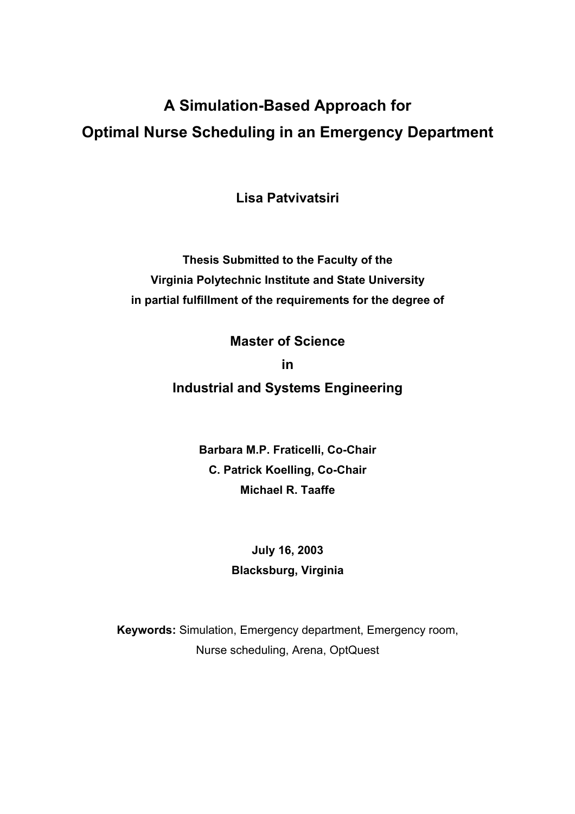# **A Simulation-Based Approach for Optimal Nurse Scheduling in an Emergency Department**

**Lisa Patvivatsiri** 

**Thesis Submitted to the Faculty of the Virginia Polytechnic Institute and State University in partial fulfillment of the requirements for the degree of** 

**Master of Science** 

**in** 

**Industrial and Systems Engineering**

**Barbara M.P. Fraticelli, Co-Chair C. Patrick Koelling, Co-Chair Michael R. Taaffe** 

> **July 16, 2003 Blacksburg, Virginia**

**Keywords:** Simulation, Emergency department, Emergency room, Nurse scheduling, Arena, OptQuest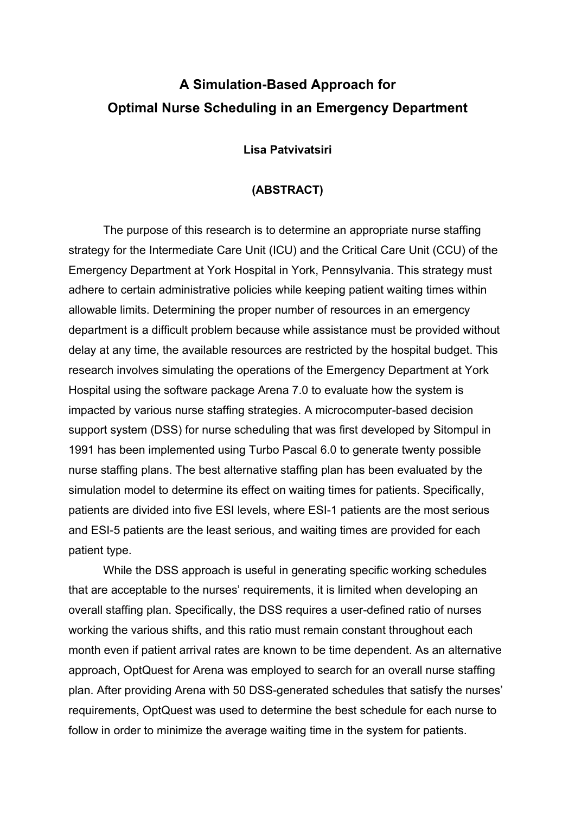# **A Simulation-Based Approach for Optimal Nurse Scheduling in an Emergency Department**

#### **Lisa Patvivatsiri**

#### **(ABSTRACT)**

The purpose of this research is to determine an appropriate nurse staffing strategy for the Intermediate Care Unit (ICU) and the Critical Care Unit (CCU) of the Emergency Department at York Hospital in York, Pennsylvania. This strategy must adhere to certain administrative policies while keeping patient waiting times within allowable limits. Determining the proper number of resources in an emergency department is a difficult problem because while assistance must be provided without delay at any time, the available resources are restricted by the hospital budget. This research involves simulating the operations of the Emergency Department at York Hospital using the software package Arena 7.0 to evaluate how the system is impacted by various nurse staffing strategies. A microcomputer-based decision support system (DSS) for nurse scheduling that was first developed by Sitompul in 1991 has been implemented using Turbo Pascal 6.0 to generate twenty possible nurse staffing plans. The best alternative staffing plan has been evaluated by the simulation model to determine its effect on waiting times for patients. Specifically, patients are divided into five ESI levels, where ESI-1 patients are the most serious and ESI-5 patients are the least serious, and waiting times are provided for each patient type.

While the DSS approach is useful in generating specific working schedules that are acceptable to the nurses' requirements, it is limited when developing an overall staffing plan. Specifically, the DSS requires a user-defined ratio of nurses working the various shifts, and this ratio must remain constant throughout each month even if patient arrival rates are known to be time dependent. As an alternative approach, OptQuest for Arena was employed to search for an overall nurse staffing plan. After providing Arena with 50 DSS-generated schedules that satisfy the nurses' requirements, OptQuest was used to determine the best schedule for each nurse to follow in order to minimize the average waiting time in the system for patients.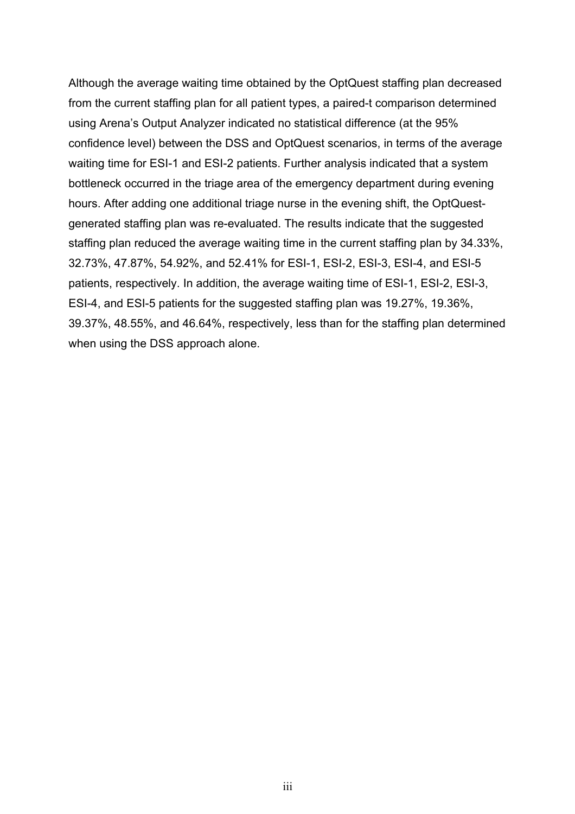Although the average waiting time obtained by the OptQuest staffing plan decreased from the current staffing plan for all patient types, a paired-t comparison determined using Arena's Output Analyzer indicated no statistical difference (at the 95% confidence level) between the DSS and OptQuest scenarios, in terms of the average waiting time for ESI-1 and ESI-2 patients. Further analysis indicated that a system bottleneck occurred in the triage area of the emergency department during evening hours. After adding one additional triage nurse in the evening shift, the OptQuestgenerated staffing plan was re-evaluated. The results indicate that the suggested staffing plan reduced the average waiting time in the current staffing plan by 34.33%, 32.73%, 47.87%, 54.92%, and 52.41% for ESI-1, ESI-2, ESI-3, ESI-4, and ESI-5 patients, respectively. In addition, the average waiting time of ESI-1, ESI-2, ESI-3, ESI-4, and ESI-5 patients for the suggested staffing plan was 19.27%, 19.36%, 39.37%, 48.55%, and 46.64%, respectively, less than for the staffing plan determined when using the DSS approach alone.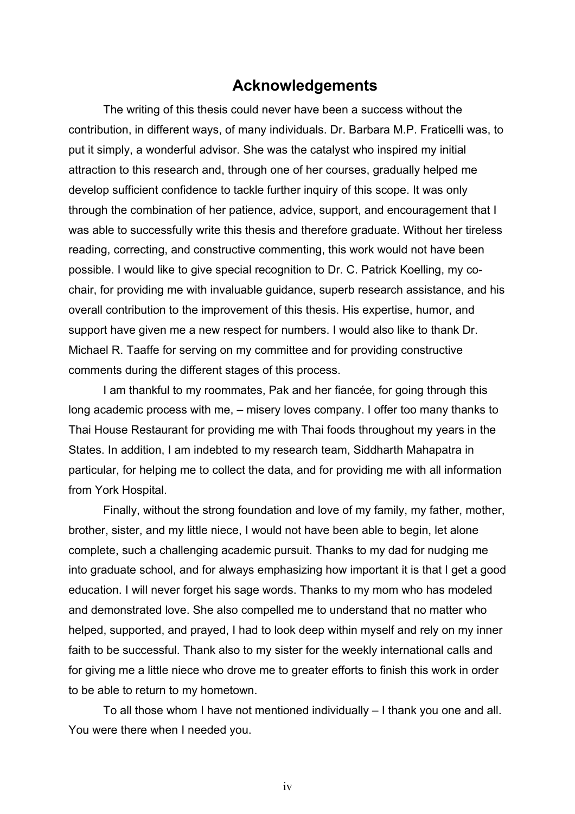## **Acknowledgements**

The writing of this thesis could never have been a success without the contribution, in different ways, of many individuals. Dr. Barbara M.P. Fraticelli was, to put it simply, a wonderful advisor. She was the catalyst who inspired my initial attraction to this research and, through one of her courses, gradually helped me develop sufficient confidence to tackle further inquiry of this scope. It was only through the combination of her patience, advice, support, and encouragement that I was able to successfully write this thesis and therefore graduate. Without her tireless reading, correcting, and constructive commenting, this work would not have been possible. I would like to give special recognition to Dr. C. Patrick Koelling, my cochair, for providing me with invaluable guidance, superb research assistance, and his overall contribution to the improvement of this thesis. His expertise, humor, and support have given me a new respect for numbers. I would also like to thank Dr. Michael R. Taaffe for serving on my committee and for providing constructive comments during the different stages of this process.

 I am thankful to my roommates, Pak and her fiancée, for going through this long academic process with me, – misery loves company. I offer too many thanks to Thai House Restaurant for providing me with Thai foods throughout my years in the States. In addition, I am indebted to my research team, Siddharth Mahapatra in particular, for helping me to collect the data, and for providing me with all information from York Hospital.

 Finally, without the strong foundation and love of my family, my father, mother, brother, sister, and my little niece, I would not have been able to begin, let alone complete, such a challenging academic pursuit. Thanks to my dad for nudging me into graduate school, and for always emphasizing how important it is that I get a good education. I will never forget his sage words. Thanks to my mom who has modeled and demonstrated love. She also compelled me to understand that no matter who helped, supported, and prayed, I had to look deep within myself and rely on my inner faith to be successful. Thank also to my sister for the weekly international calls and for giving me a little niece who drove me to greater efforts to finish this work in order to be able to return to my hometown.

 To all those whom I have not mentioned individually – I thank you one and all. You were there when I needed you.

iv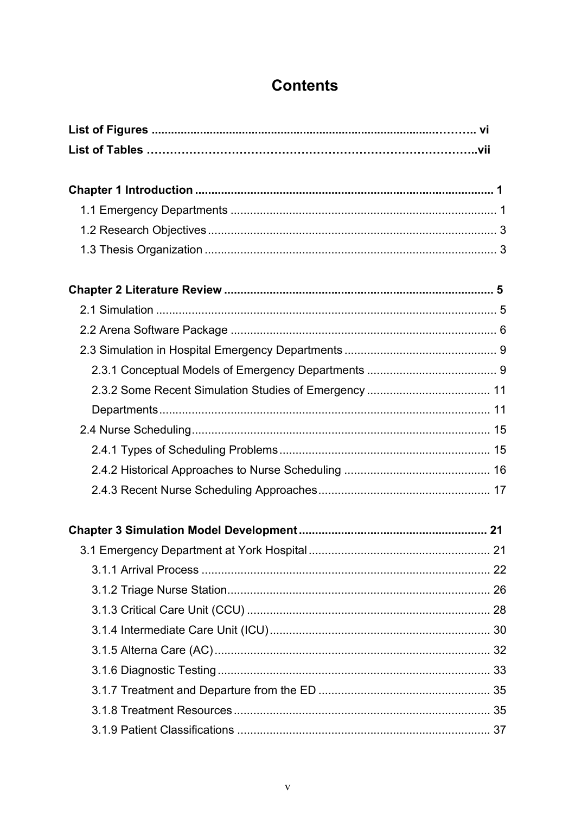# **Contents**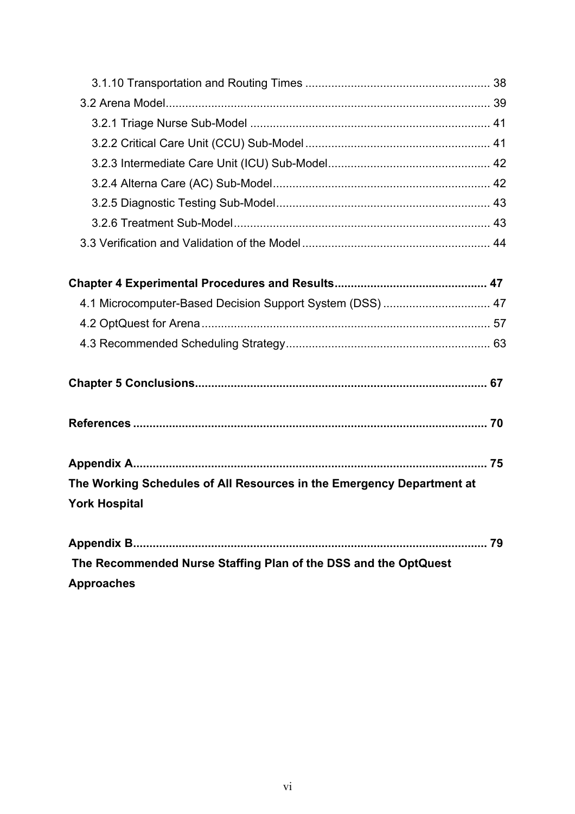| 4.1 Microcomputer-Based Decision Support System (DSS)  47             |  |
|-----------------------------------------------------------------------|--|
|                                                                       |  |
|                                                                       |  |
|                                                                       |  |
|                                                                       |  |
|                                                                       |  |
| The Working Schedules of All Resources in the Emergency Department at |  |
| <b>York Hospital</b>                                                  |  |
|                                                                       |  |
|                                                                       |  |

 **The Recommended Nurse Staffing Plan of the DSS and the OptQuest Approaches**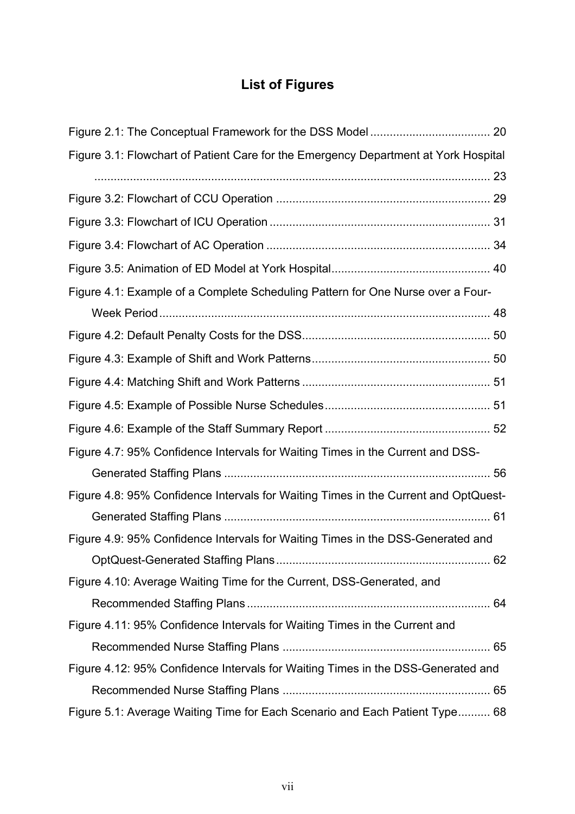# **List of Figures**

| Figure 3.1: Flowchart of Patient Care for the Emergency Department at York Hospital |  |
|-------------------------------------------------------------------------------------|--|
|                                                                                     |  |
|                                                                                     |  |
|                                                                                     |  |
|                                                                                     |  |
|                                                                                     |  |
| Figure 4.1: Example of a Complete Scheduling Pattern for One Nurse over a Four-     |  |
|                                                                                     |  |
|                                                                                     |  |
|                                                                                     |  |
|                                                                                     |  |
|                                                                                     |  |
|                                                                                     |  |
| Figure 4.7: 95% Confidence Intervals for Waiting Times in the Current and DSS-      |  |
|                                                                                     |  |
| Figure 4.8: 95% Confidence Intervals for Waiting Times in the Current and OptQuest- |  |
|                                                                                     |  |
| Figure 4.9: 95% Confidence Intervals for Waiting Times in the DSS-Generated and     |  |
|                                                                                     |  |
| Figure 4.10: Average Waiting Time for the Current, DSS-Generated, and               |  |
|                                                                                     |  |
| Figure 4.11: 95% Confidence Intervals for Waiting Times in the Current and          |  |
|                                                                                     |  |
| Figure 4.12: 95% Confidence Intervals for Waiting Times in the DSS-Generated and    |  |
|                                                                                     |  |
| Figure 5.1: Average Waiting Time for Each Scenario and Each Patient Type 68         |  |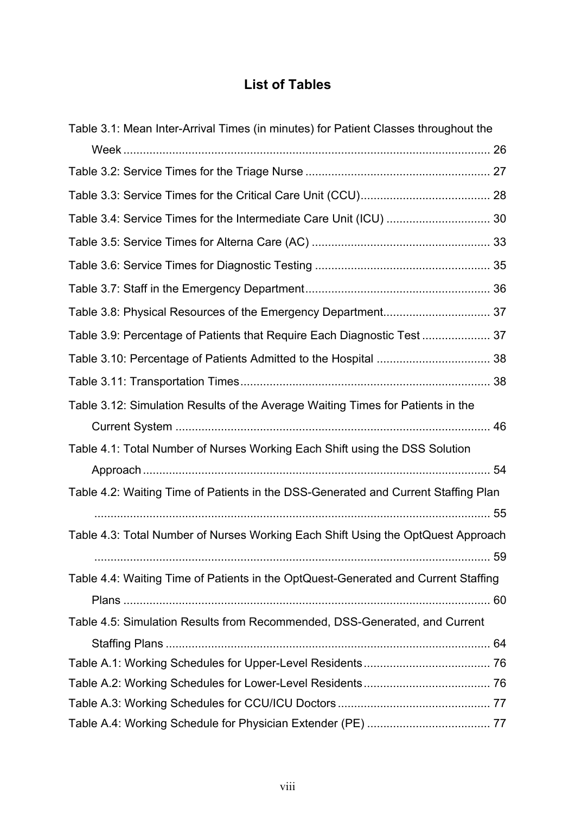# **List of Tables**

| Table 3.1: Mean Inter-Arrival Times (in minutes) for Patient Classes throughout the |  |
|-------------------------------------------------------------------------------------|--|
|                                                                                     |  |
|                                                                                     |  |
|                                                                                     |  |
| Table 3.4: Service Times for the Intermediate Care Unit (ICU)  30                   |  |
|                                                                                     |  |
|                                                                                     |  |
|                                                                                     |  |
|                                                                                     |  |
| Table 3.9: Percentage of Patients that Require Each Diagnostic Test  37             |  |
|                                                                                     |  |
|                                                                                     |  |
| Table 3.12: Simulation Results of the Average Waiting Times for Patients in the     |  |
|                                                                                     |  |
| Table 4.1: Total Number of Nurses Working Each Shift using the DSS Solution         |  |
|                                                                                     |  |
| Table 4.2: Waiting Time of Patients in the DSS-Generated and Current Staffing Plan  |  |
|                                                                                     |  |
| Table 4.3: Total Number of Nurses Working Each Shift Using the OptQuest Approach    |  |
|                                                                                     |  |
| Table 4.4: Waiting Time of Patients in the OptQuest-Generated and Current Staffing  |  |
|                                                                                     |  |
| Table 4.5: Simulation Results from Recommended, DSS-Generated, and Current          |  |
|                                                                                     |  |
|                                                                                     |  |
|                                                                                     |  |
|                                                                                     |  |
|                                                                                     |  |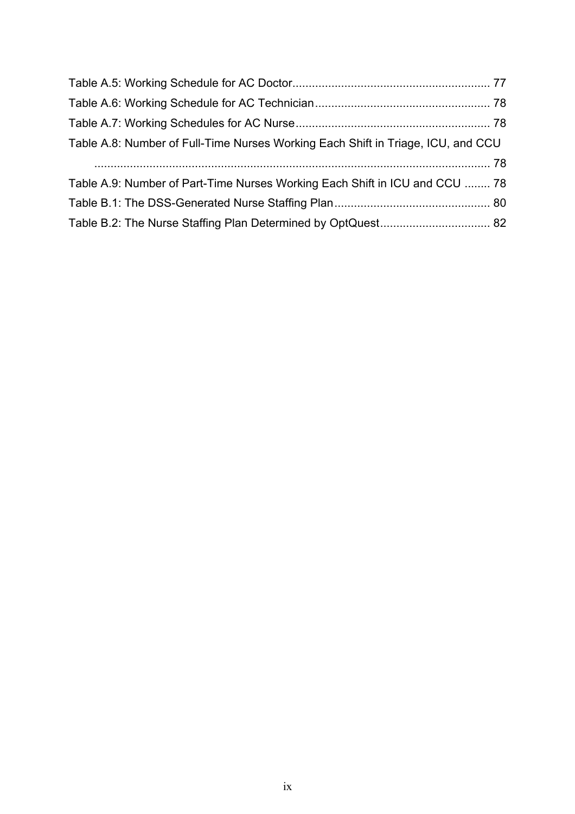| Table A.8: Number of Full-Time Nurses Working Each Shift in Triage, ICU, and CCU |
|----------------------------------------------------------------------------------|
|                                                                                  |
| Table A.9: Number of Part-Time Nurses Working Each Shift in ICU and CCU  78      |
|                                                                                  |
|                                                                                  |
|                                                                                  |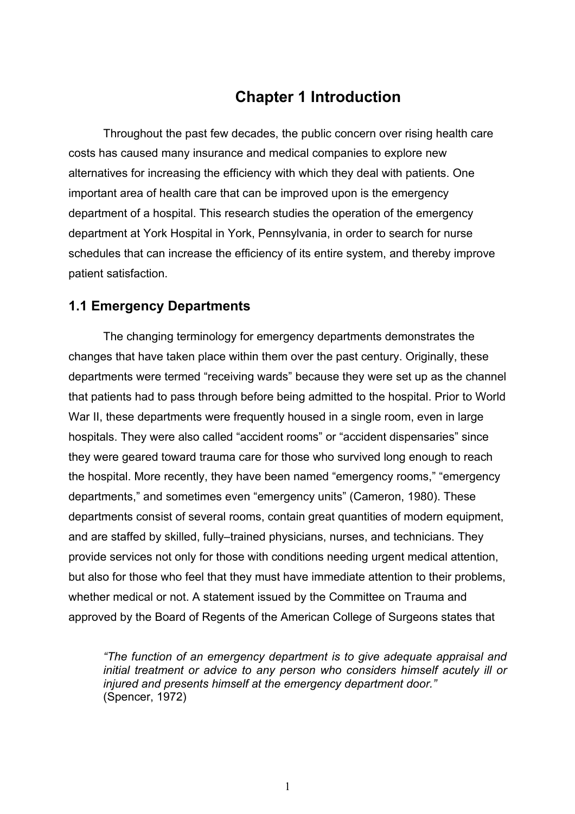# **Chapter 1 Introduction**

Throughout the past few decades, the public concern over rising health care costs has caused many insurance and medical companies to explore new alternatives for increasing the efficiency with which they deal with patients. One important area of health care that can be improved upon is the emergency department of a hospital. This research studies the operation of the emergency department at York Hospital in York, Pennsylvania, in order to search for nurse schedules that can increase the efficiency of its entire system, and thereby improve patient satisfaction.

### **1.1 Emergency Departments**

The changing terminology for emergency departments demonstrates the changes that have taken place within them over the past century. Originally, these departments were termed "receiving wards" because they were set up as the channel that patients had to pass through before being admitted to the hospital. Prior to World War II, these departments were frequently housed in a single room, even in large hospitals. They were also called "accident rooms" or "accident dispensaries" since they were geared toward trauma care for those who survived long enough to reach the hospital. More recently, they have been named "emergency rooms," "emergency departments," and sometimes even "emergency units" (Cameron, 1980). These departments consist of several rooms, contain great quantities of modern equipment, and are staffed by skilled, fully–trained physicians, nurses, and technicians. They provide services not only for those with conditions needing urgent medical attention, but also for those who feel that they must have immediate attention to their problems, whether medical or not. A statement issued by the Committee on Trauma and approved by the Board of Regents of the American College of Surgeons states that

*"The function of an emergency department is to give adequate appraisal and initial treatment or advice to any person who considers himself acutely ill or injured and presents himself at the emergency department door."* (Spencer, 1972)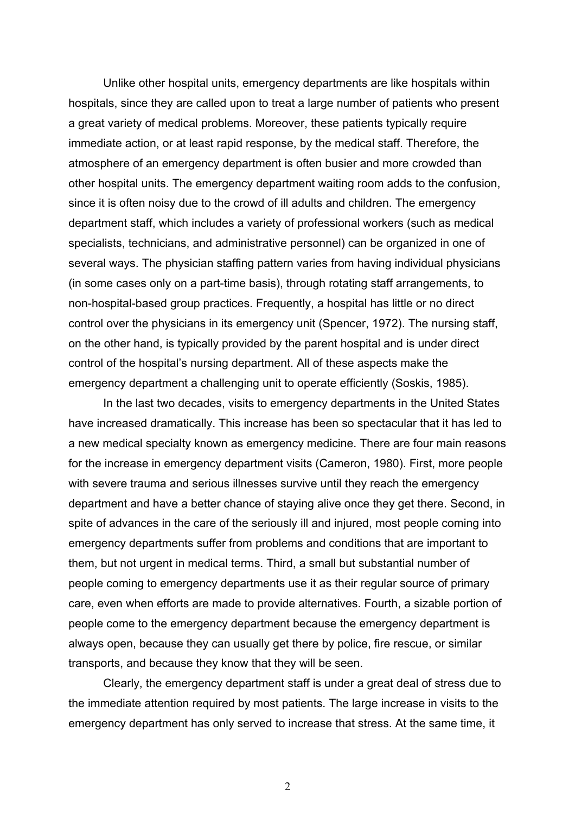Unlike other hospital units, emergency departments are like hospitals within hospitals, since they are called upon to treat a large number of patients who present a great variety of medical problems. Moreover, these patients typically require immediate action, or at least rapid response, by the medical staff. Therefore, the atmosphere of an emergency department is often busier and more crowded than other hospital units. The emergency department waiting room adds to the confusion, since it is often noisy due to the crowd of ill adults and children. The emergency department staff, which includes a variety of professional workers (such as medical specialists, technicians, and administrative personnel) can be organized in one of several ways. The physician staffing pattern varies from having individual physicians (in some cases only on a part-time basis), through rotating staff arrangements, to non-hospital-based group practices. Frequently, a hospital has little or no direct control over the physicians in its emergency unit (Spencer, 1972). The nursing staff, on the other hand, is typically provided by the parent hospital and is under direct control of the hospital's nursing department. All of these aspects make the emergency department a challenging unit to operate efficiently (Soskis, 1985).

In the last two decades, visits to emergency departments in the United States have increased dramatically. This increase has been so spectacular that it has led to a new medical specialty known as emergency medicine. There are four main reasons for the increase in emergency department visits (Cameron, 1980). First, more people with severe trauma and serious illnesses survive until they reach the emergency department and have a better chance of staying alive once they get there. Second, in spite of advances in the care of the seriously ill and injured, most people coming into emergency departments suffer from problems and conditions that are important to them, but not urgent in medical terms. Third, a small but substantial number of people coming to emergency departments use it as their regular source of primary care, even when efforts are made to provide alternatives. Fourth, a sizable portion of people come to the emergency department because the emergency department is always open, because they can usually get there by police, fire rescue, or similar transports, and because they know that they will be seen.

Clearly, the emergency department staff is under a great deal of stress due to the immediate attention required by most patients. The large increase in visits to the emergency department has only served to increase that stress. At the same time, it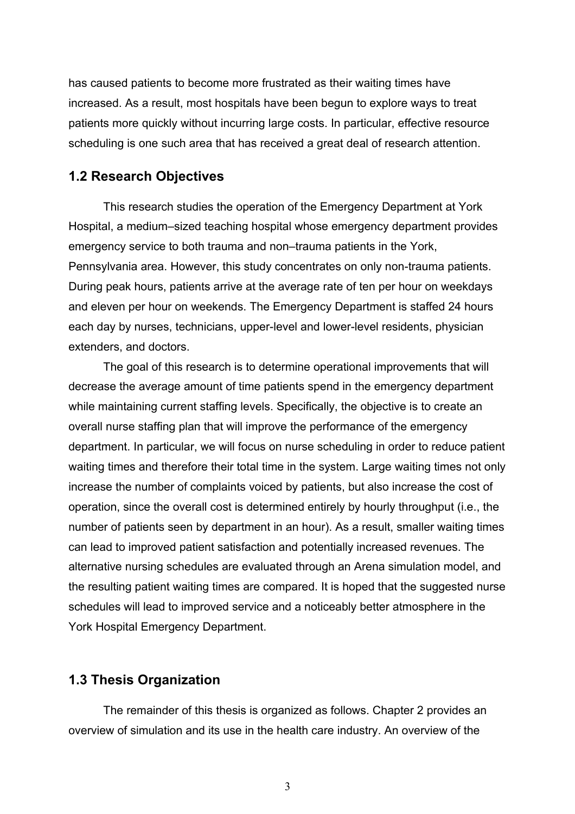has caused patients to become more frustrated as their waiting times have increased. As a result, most hospitals have been begun to explore ways to treat patients more quickly without incurring large costs. In particular, effective resource scheduling is one such area that has received a great deal of research attention.

#### **1.2 Research Objectives**

This research studies the operation of the Emergency Department at York Hospital, a medium–sized teaching hospital whose emergency department provides emergency service to both trauma and non–trauma patients in the York, Pennsylvania area. However, this study concentrates on only non-trauma patients. During peak hours, patients arrive at the average rate of ten per hour on weekdays and eleven per hour on weekends. The Emergency Department is staffed 24 hours each day by nurses, technicians, upper-level and lower-level residents, physician extenders, and doctors.

The goal of this research is to determine operational improvements that will decrease the average amount of time patients spend in the emergency department while maintaining current staffing levels. Specifically, the objective is to create an overall nurse staffing plan that will improve the performance of the emergency department. In particular, we will focus on nurse scheduling in order to reduce patient waiting times and therefore their total time in the system. Large waiting times not only increase the number of complaints voiced by patients, but also increase the cost of operation, since the overall cost is determined entirely by hourly throughput (i.e., the number of patients seen by department in an hour). As a result, smaller waiting times can lead to improved patient satisfaction and potentially increased revenues. The alternative nursing schedules are evaluated through an Arena simulation model, and the resulting patient waiting times are compared. It is hoped that the suggested nurse schedules will lead to improved service and a noticeably better atmosphere in the York Hospital Emergency Department.

### **1.3 Thesis Organization**

The remainder of this thesis is organized as follows. Chapter 2 provides an overview of simulation and its use in the health care industry. An overview of the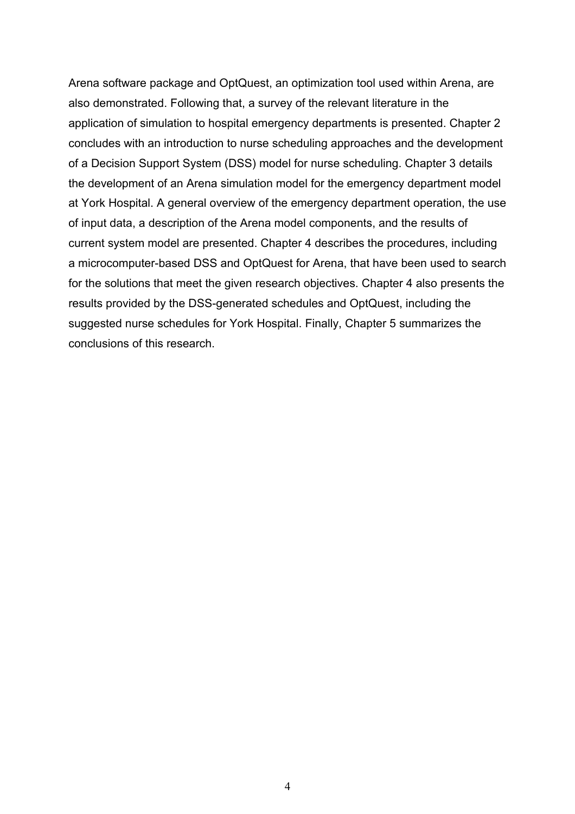Arena software package and OptQuest, an optimization tool used within Arena, are also demonstrated. Following that, a survey of the relevant literature in the application of simulation to hospital emergency departments is presented. Chapter 2 concludes with an introduction to nurse scheduling approaches and the development of a Decision Support System (DSS) model for nurse scheduling. Chapter 3 details the development of an Arena simulation model for the emergency department model at York Hospital. A general overview of the emergency department operation, the use of input data, a description of the Arena model components, and the results of current system model are presented. Chapter 4 describes the procedures, including a microcomputer-based DSS and OptQuest for Arena, that have been used to search for the solutions that meet the given research objectives. Chapter 4 also presents the results provided by the DSS-generated schedules and OptQuest, including the suggested nurse schedules for York Hospital. Finally, Chapter 5 summarizes the conclusions of this research.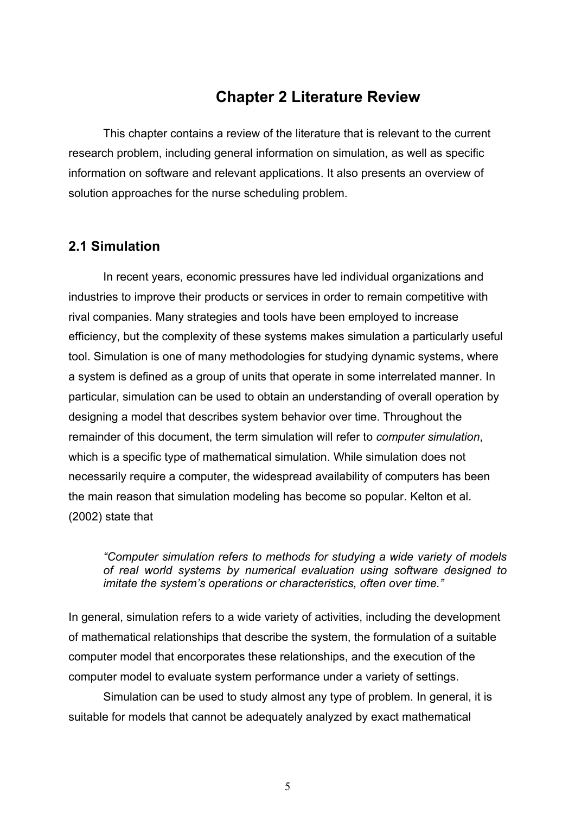# **Chapter 2 Literature Review**

 This chapter contains a review of the literature that is relevant to the current research problem, including general information on simulation, as well as specific information on software and relevant applications. It also presents an overview of solution approaches for the nurse scheduling problem.

## **2.1 Simulation**

In recent years, economic pressures have led individual organizations and industries to improve their products or services in order to remain competitive with rival companies. Many strategies and tools have been employed to increase efficiency, but the complexity of these systems makes simulation a particularly useful tool. Simulation is one of many methodologies for studying dynamic systems, where a system is defined as a group of units that operate in some interrelated manner. In particular, simulation can be used to obtain an understanding of overall operation by designing a model that describes system behavior over time. Throughout the remainder of this document, the term simulation will refer to *computer simulation*, which is a specific type of mathematical simulation. While simulation does not necessarily require a computer, the widespread availability of computers has been the main reason that simulation modeling has become so popular. Kelton et al. (2002) state that

*"Computer simulation refers to methods for studying a wide variety of models of real world systems by numerical evaluation using software designed to imitate the system's operations or characteristics, often over time."*

In general, simulation refers to a wide variety of activities, including the development of mathematical relationships that describe the system, the formulation of a suitable computer model that encorporates these relationships, and the execution of the computer model to evaluate system performance under a variety of settings.

 Simulation can be used to study almost any type of problem. In general, it is suitable for models that cannot be adequately analyzed by exact mathematical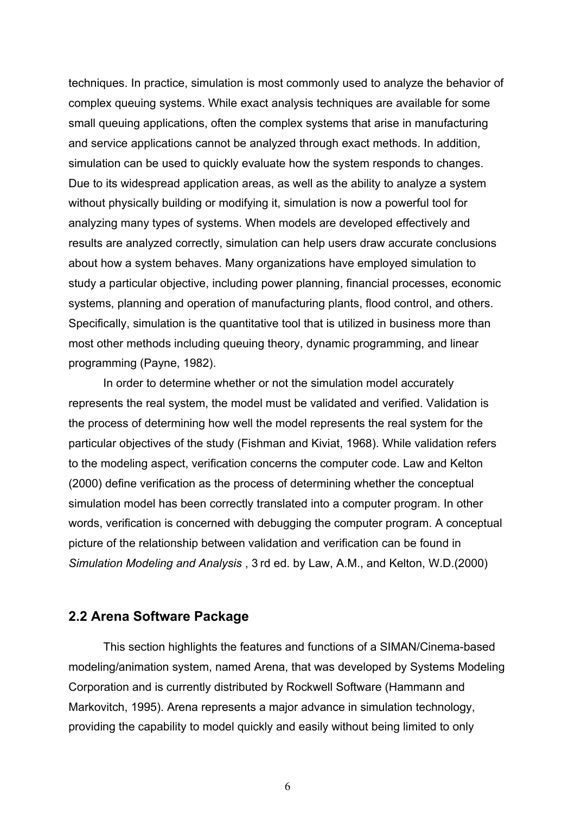techniques. In practice, simulation is most commonly used to analyze the behavior of complex queuing systems. While exact analysis techniques are available for some small queuing applications, often the complex systems that arise in manufacturing and service applications cannot be analyzed through exact methods. In addition, simulation can be used to quickly evaluate how the system responds to changes. Due to its widespread application areas, as well as the ability to analyze a system without physically building or modifying it, simulation is now a powerful tool for analyzing many types of systems. When models are developed effectively and results are analyzed correctly, simulation can help users draw accurate conclusions about how a system behaves. Many organizations have employed simulation to study a particular objective, including power planning, financial processes, economic systems, planning and operation of manufacturing plants, flood control, and others. Specifically, simulation is the quantitative tool that is utilized in business more than most other methods including queuing theory, dynamic programming, and linear programming (Payne, 1982).

In order to determine whether or not the simulation model accurately represents the real system, the model must be validated and verified. Validation is the process of determining how well the model represents the real system for the particular objectives of the study (Fishman and Kiviat, 1968). While validation refers to the modeling aspect, verification concerns the computer code. Law and Kelton (2000) define verification as the process of determining whether the conceptual simulation model has been correctly translated into a computer program. In other words, verification is concerned with debugging the computer program. A conceptual picture of the relationship between validation and verification can be found in *Simulation Modeling and Analysis* , 3 rd ed. by Law, A.M., and Kelton, W.D.(2000)

#### **2.2 Arena Software Package**

This section highlights the features and functions of a SIMAN/Cinema-based modeling/animation system, named Arena, that was developed by Systems Modeling Corporation and is currently distributed by Rockwell Software (Hammann and Markovitch, 1995). Arena represents a major advance in simulation technology, providing the capability to model quickly and easily without being limited to only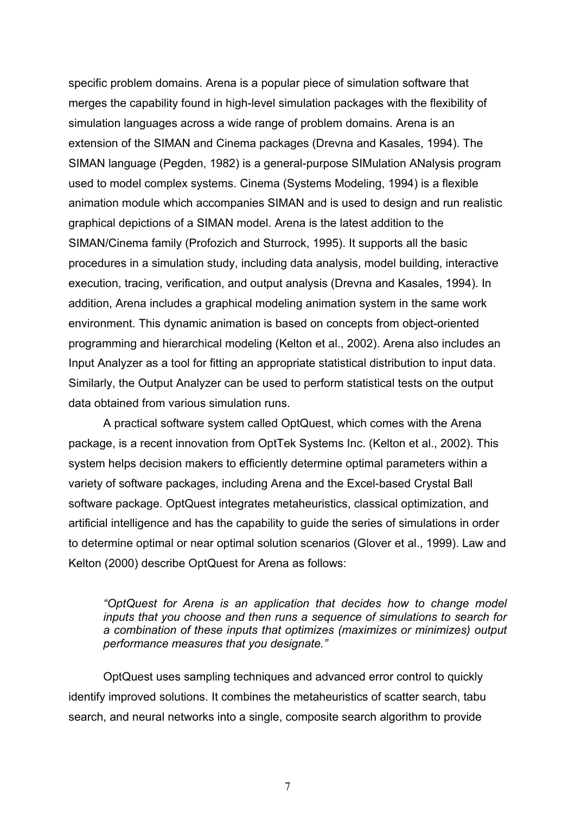specific problem domains. Arena is a popular piece of simulation software that merges the capability found in high-level simulation packages with the flexibility of simulation languages across a wide range of problem domains. Arena is an extension of the SIMAN and Cinema packages (Drevna and Kasales, 1994). The SIMAN language (Pegden, 1982) is a general-purpose SIMulation ANalysis program used to model complex systems. Cinema (Systems Modeling, 1994) is a flexible animation module which accompanies SIMAN and is used to design and run realistic graphical depictions of a SIMAN model. Arena is the latest addition to the SIMAN/Cinema family (Profozich and Sturrock, 1995). It supports all the basic procedures in a simulation study, including data analysis, model building, interactive execution, tracing, verification, and output analysis (Drevna and Kasales, 1994). In addition, Arena includes a graphical modeling animation system in the same work environment. This dynamic animation is based on concepts from object-oriented programming and hierarchical modeling (Kelton et al., 2002). Arena also includes an Input Analyzer as a tool for fitting an appropriate statistical distribution to input data. Similarly, the Output Analyzer can be used to perform statistical tests on the output data obtained from various simulation runs.

A practical software system called OptQuest, which comes with the Arena package, is a recent innovation from OptTek Systems Inc. (Kelton et al., 2002). This system helps decision makers to efficiently determine optimal parameters within a variety of software packages, including Arena and the Excel-based Crystal Ball software package. OptQuest integrates metaheuristics, classical optimization, and artificial intelligence and has the capability to guide the series of simulations in order to determine optimal or near optimal solution scenarios (Glover et al., 1999). Law and Kelton (2000) describe OptQuest for Arena as follows:

*"OptQuest for Arena is an application that decides how to change model inputs that you choose and then runs a sequence of simulations to search for a combination of these inputs that optimizes (maximizes or minimizes) output performance measures that you designate."* 

OptQuest uses sampling techniques and advanced error control to quickly identify improved solutions. It combines the metaheuristics of scatter search, tabu search, and neural networks into a single, composite search algorithm to provide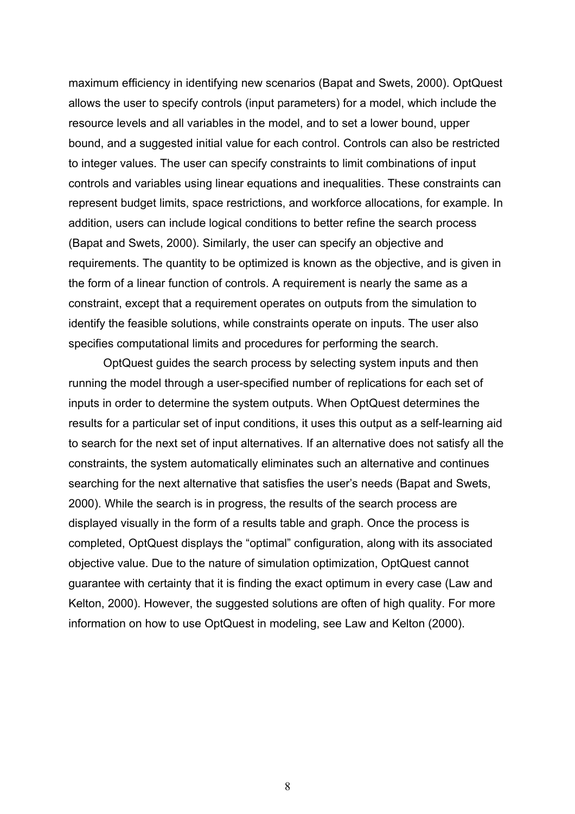maximum efficiency in identifying new scenarios (Bapat and Swets, 2000). OptQuest allows the user to specify controls (input parameters) for a model, which include the resource levels and all variables in the model, and to set a lower bound, upper bound, and a suggested initial value for each control. Controls can also be restricted to integer values. The user can specify constraints to limit combinations of input controls and variables using linear equations and inequalities. These constraints can represent budget limits, space restrictions, and workforce allocations, for example. In addition, users can include logical conditions to better refine the search process (Bapat and Swets, 2000). Similarly, the user can specify an objective and requirements. The quantity to be optimized is known as the objective, and is given in the form of a linear function of controls. A requirement is nearly the same as a constraint, except that a requirement operates on outputs from the simulation to identify the feasible solutions, while constraints operate on inputs. The user also specifies computational limits and procedures for performing the search.

OptQuest guides the search process by selecting system inputs and then running the model through a user-specified number of replications for each set of inputs in order to determine the system outputs. When OptQuest determines the results for a particular set of input conditions, it uses this output as a self-learning aid to search for the next set of input alternatives. If an alternative does not satisfy all the constraints, the system automatically eliminates such an alternative and continues searching for the next alternative that satisfies the user's needs (Bapat and Swets, 2000). While the search is in progress, the results of the search process are displayed visually in the form of a results table and graph. Once the process is completed, OptQuest displays the "optimal" configuration, along with its associated objective value. Due to the nature of simulation optimization, OptQuest cannot guarantee with certainty that it is finding the exact optimum in every case (Law and Kelton, 2000). However, the suggested solutions are often of high quality. For more information on how to use OptQuest in modeling, see Law and Kelton (2000).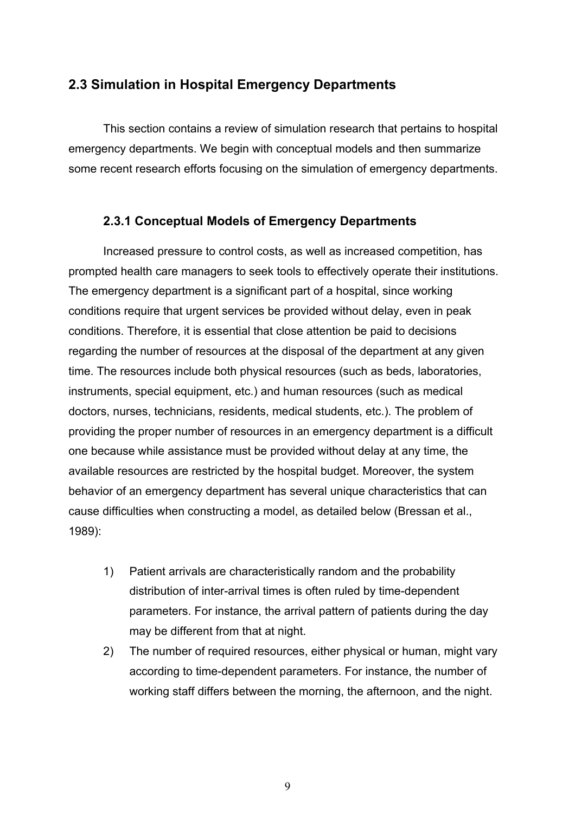## **2.3 Simulation in Hospital Emergency Departments**

This section contains a review of simulation research that pertains to hospital emergency departments. We begin with conceptual models and then summarize some recent research efforts focusing on the simulation of emergency departments.

### **2.3.1 Conceptual Models of Emergency Departments**

 Increased pressure to control costs, as well as increased competition, has prompted health care managers to seek tools to effectively operate their institutions. The emergency department is a significant part of a hospital, since working conditions require that urgent services be provided without delay, even in peak conditions. Therefore, it is essential that close attention be paid to decisions regarding the number of resources at the disposal of the department at any given time. The resources include both physical resources (such as beds, laboratories, instruments, special equipment, etc.) and human resources (such as medical doctors, nurses, technicians, residents, medical students, etc.). The problem of providing the proper number of resources in an emergency department is a difficult one because while assistance must be provided without delay at any time, the available resources are restricted by the hospital budget. Moreover, the system behavior of an emergency department has several unique characteristics that can cause difficulties when constructing a model, as detailed below (Bressan et al., 1989):

- 1) Patient arrivals are characteristically random and the probability distribution of inter-arrival times is often ruled by time-dependent parameters. For instance, the arrival pattern of patients during the day may be different from that at night.
- 2) The number of required resources, either physical or human, might vary according to time-dependent parameters. For instance, the number of working staff differs between the morning, the afternoon, and the night.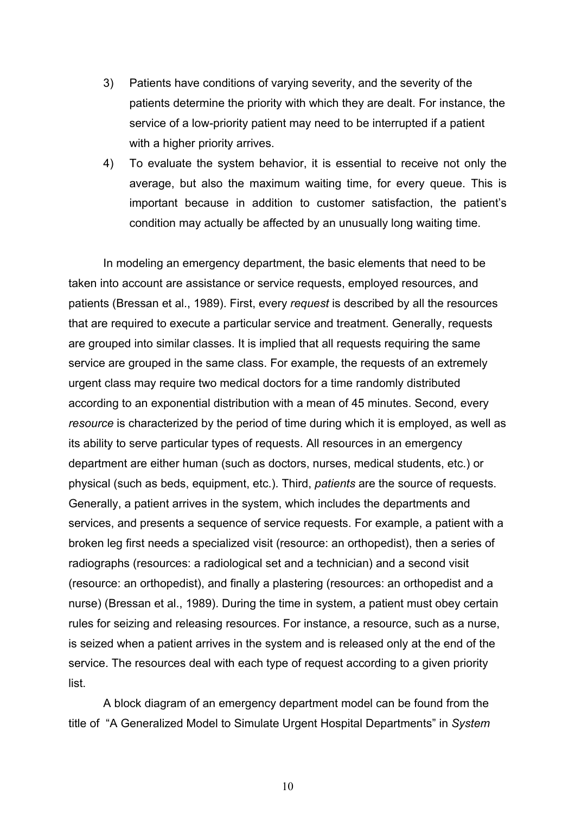- 3) Patients have conditions of varying severity, and the severity of the patients determine the priority with which they are dealt. For instance, the service of a low-priority patient may need to be interrupted if a patient with a higher priority arrives.
- 4) To evaluate the system behavior, it is essential to receive not only the average, but also the maximum waiting time, for every queue. This is important because in addition to customer satisfaction, the patient's condition may actually be affected by an unusually long waiting time.

In modeling an emergency department, the basic elements that need to be taken into account are assistance or service requests, employed resources, and patients (Bressan et al., 1989). First, every *request* is described by all the resources that are required to execute a particular service and treatment. Generally, requests are grouped into similar classes. It is implied that all requests requiring the same service are grouped in the same class. For example, the requests of an extremely urgent class may require two medical doctors for a time randomly distributed according to an exponential distribution with a mean of 45 minutes. Second*,* every *resource* is characterized by the period of time during which it is employed, as well as its ability to serve particular types of requests. All resources in an emergency department are either human (such as doctors, nurses, medical students, etc.) or physical (such as beds, equipment, etc.). Third, *patients* are the source of requests. Generally, a patient arrives in the system, which includes the departments and services, and presents a sequence of service requests. For example, a patient with a broken leg first needs a specialized visit (resource: an orthopedist), then a series of radiographs (resources: a radiological set and a technician) and a second visit (resource: an orthopedist), and finally a plastering (resources: an orthopedist and a nurse) (Bressan et al., 1989). During the time in system, a patient must obey certain rules for seizing and releasing resources. For instance, a resource, such as a nurse, is seized when a patient arrives in the system and is released only at the end of the service. The resources deal with each type of request according to a given priority list.

A block diagram of an emergency department model can be found from the title of "A Generalized Model to Simulate Urgent Hospital Departments" in *System*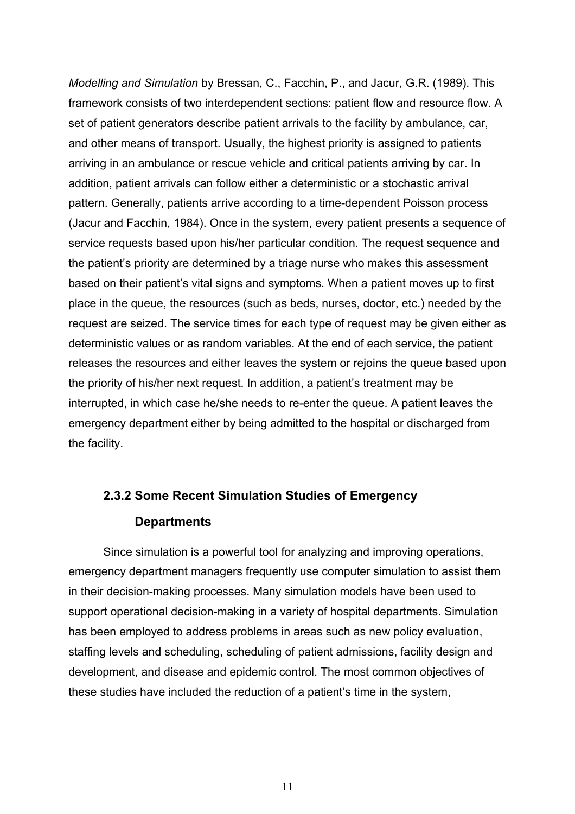*Modelling and Simulation* by Bressan, C., Facchin, P., and Jacur, G.R. (1989). This framework consists of two interdependent sections: patient flow and resource flow. A set of patient generators describe patient arrivals to the facility by ambulance, car, and other means of transport. Usually, the highest priority is assigned to patients arriving in an ambulance or rescue vehicle and critical patients arriving by car. In addition, patient arrivals can follow either a deterministic or a stochastic arrival pattern. Generally, patients arrive according to a time-dependent Poisson process (Jacur and Facchin, 1984). Once in the system, every patient presents a sequence of service requests based upon his/her particular condition. The request sequence and the patient's priority are determined by a triage nurse who makes this assessment based on their patient's vital signs and symptoms. When a patient moves up to first place in the queue, the resources (such as beds, nurses, doctor, etc.) needed by the request are seized. The service times for each type of request may be given either as deterministic values or as random variables. At the end of each service, the patient releases the resources and either leaves the system or rejoins the queue based upon the priority of his/her next request. In addition, a patient's treatment may be interrupted, in which case he/she needs to re-enter the queue. A patient leaves the emergency department either by being admitted to the hospital or discharged from the facility.

# **2.3.2 Some Recent Simulation Studies of Emergency Departments**

Since simulation is a powerful tool for analyzing and improving operations, emergency department managers frequently use computer simulation to assist them in their decision-making processes. Many simulation models have been used to support operational decision-making in a variety of hospital departments. Simulation has been employed to address problems in areas such as new policy evaluation, staffing levels and scheduling, scheduling of patient admissions, facility design and development, and disease and epidemic control. The most common objectives of these studies have included the reduction of a patient's time in the system,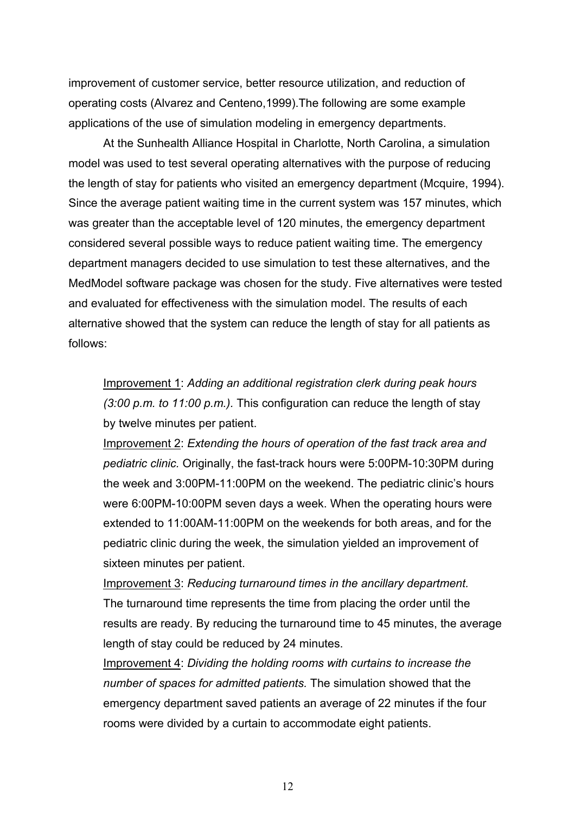improvement of customer service, better resource utilization, and reduction of operating costs (Alvarez and Centeno,1999).The following are some example applications of the use of simulation modeling in emergency departments.

At the Sunhealth Alliance Hospital in Charlotte, North Carolina, a simulation model was used to test several operating alternatives with the purpose of reducing the length of stay for patients who visited an emergency department (Mcquire, 1994). Since the average patient waiting time in the current system was 157 minutes, which was greater than the acceptable level of 120 minutes, the emergency department considered several possible ways to reduce patient waiting time. The emergency department managers decided to use simulation to test these alternatives, and the MedModel software package was chosen for the study. Five alternatives were tested and evaluated for effectiveness with the simulation model. The results of each alternative showed that the system can reduce the length of stay for all patients as follows:

Improvement 1: *Adding an additional registration clerk during peak hours (3:00 p.m. to 11:00 p.m.).* This configuration can reduce the length of stay by twelve minutes per patient.

Improvement 2: *Extending the hours of operation of the fast track area and pediatric clinic.* Originally, the fast-track hours were 5:00PM-10:30PM during the week and 3:00PM-11:00PM on the weekend. The pediatric clinic's hours were 6:00PM-10:00PM seven days a week. When the operating hours were extended to 11:00AM-11:00PM on the weekends for both areas, and for the pediatric clinic during the week, the simulation yielded an improvement of sixteen minutes per patient.

Improvement 3: *Reducing turnaround times in the ancillary department.* The turnaround time represents the time from placing the order until the results are ready. By reducing the turnaround time to 45 minutes, the average length of stay could be reduced by 24 minutes.

Improvement 4: *Dividing the holding rooms with curtains to increase the number of spaces for admitted patients.* The simulation showed that the emergency department saved patients an average of 22 minutes if the four rooms were divided by a curtain to accommodate eight patients.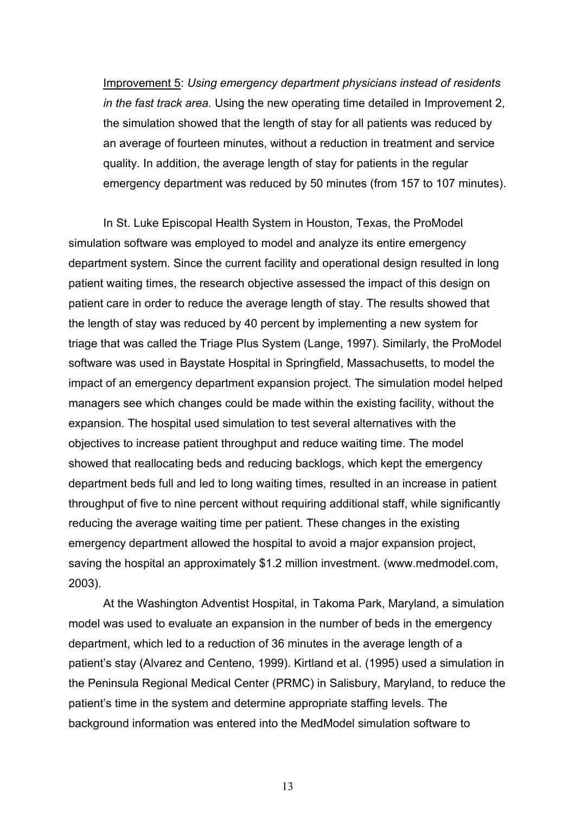Improvement 5: *Using emergency department physicians instead of residents in the fast track area.* Using the new operating time detailed in Improvement 2, the simulation showed that the length of stay for all patients was reduced by an average of fourteen minutes, without a reduction in treatment and service quality. In addition, the average length of stay for patients in the regular emergency department was reduced by 50 minutes (from 157 to 107 minutes).

In St. Luke Episcopal Health System in Houston, Texas, the ProModel simulation software was employed to model and analyze its entire emergency department system. Since the current facility and operational design resulted in long patient waiting times, the research objective assessed the impact of this design on patient care in order to reduce the average length of stay. The results showed that the length of stay was reduced by 40 percent by implementing a new system for triage that was called the Triage Plus System (Lange, 1997). Similarly, the ProModel software was used in Baystate Hospital in Springfield, Massachusetts, to model the impact of an emergency department expansion project. The simulation model helped managers see which changes could be made within the existing facility, without the expansion. The hospital used simulation to test several alternatives with the objectives to increase patient throughput and reduce waiting time. The model showed that reallocating beds and reducing backlogs, which kept the emergency department beds full and led to long waiting times, resulted in an increase in patient throughput of five to nine percent without requiring additional staff, while significantly reducing the average waiting time per patient. These changes in the existing emergency department allowed the hospital to avoid a major expansion project, saving the hospital an approximately \$1.2 million investment. (www.medmodel.com, 2003).

At the Washington Adventist Hospital, in Takoma Park, Maryland, a simulation model was used to evaluate an expansion in the number of beds in the emergency department, which led to a reduction of 36 minutes in the average length of a patient's stay (Alvarez and Centeno, 1999). Kirtland et al. (1995) used a simulation in the Peninsula Regional Medical Center (PRMC) in Salisbury, Maryland, to reduce the patient's time in the system and determine appropriate staffing levels. The background information was entered into the MedModel simulation software to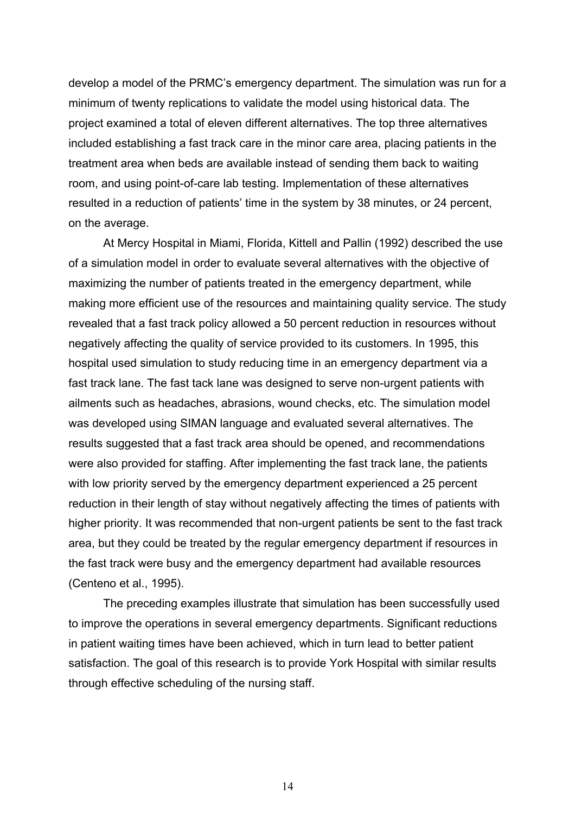develop a model of the PRMC's emergency department. The simulation was run for a minimum of twenty replications to validate the model using historical data. The project examined a total of eleven different alternatives. The top three alternatives included establishing a fast track care in the minor care area, placing patients in the treatment area when beds are available instead of sending them back to waiting room, and using point-of-care lab testing. Implementation of these alternatives resulted in a reduction of patients' time in the system by 38 minutes, or 24 percent, on the average.

At Mercy Hospital in Miami, Florida, Kittell and Pallin (1992) described the use of a simulation model in order to evaluate several alternatives with the objective of maximizing the number of patients treated in the emergency department, while making more efficient use of the resources and maintaining quality service. The study revealed that a fast track policy allowed a 50 percent reduction in resources without negatively affecting the quality of service provided to its customers. In 1995, this hospital used simulation to study reducing time in an emergency department via a fast track lane. The fast tack lane was designed to serve non-urgent patients with ailments such as headaches, abrasions, wound checks, etc. The simulation model was developed using SIMAN language and evaluated several alternatives. The results suggested that a fast track area should be opened, and recommendations were also provided for staffing. After implementing the fast track lane, the patients with low priority served by the emergency department experienced a 25 percent reduction in their length of stay without negatively affecting the times of patients with higher priority. It was recommended that non-urgent patients be sent to the fast track area, but they could be treated by the regular emergency department if resources in the fast track were busy and the emergency department had available resources (Centeno et al., 1995).

The preceding examples illustrate that simulation has been successfully used to improve the operations in several emergency departments. Significant reductions in patient waiting times have been achieved, which in turn lead to better patient satisfaction. The goal of this research is to provide York Hospital with similar results through effective scheduling of the nursing staff.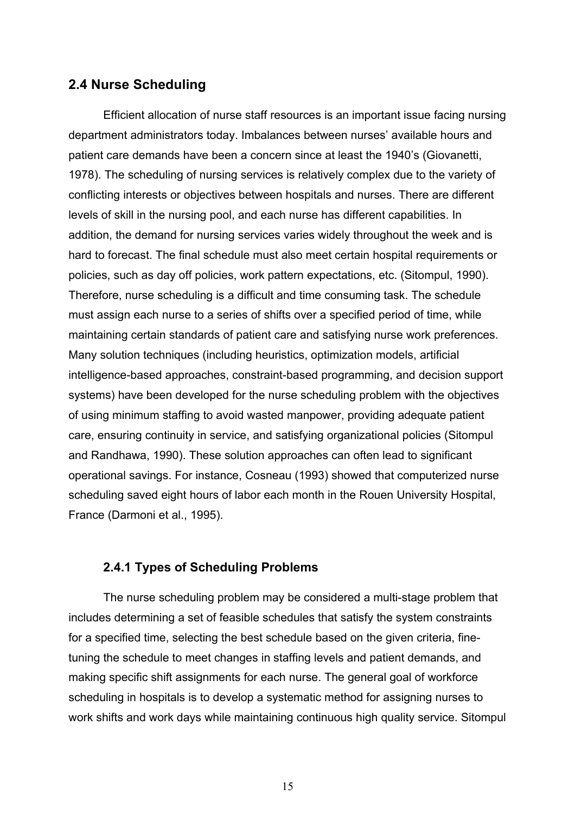## **2.4 Nurse Scheduling**

 Efficient allocation of nurse staff resources is an important issue facing nursing department administrators today. Imbalances between nurses' available hours and patient care demands have been a concern since at least the 1940's (Giovanetti, 1978). The scheduling of nursing services is relatively complex due to the variety of conflicting interests or objectives between hospitals and nurses. There are different levels of skill in the nursing pool, and each nurse has different capabilities. In addition, the demand for nursing services varies widely throughout the week and is hard to forecast. The final schedule must also meet certain hospital requirements or policies, such as day off policies, work pattern expectations, etc. (Sitompul, 1990). Therefore, nurse scheduling is a difficult and time consuming task. The schedule must assign each nurse to a series of shifts over a specified period of time, while maintaining certain standards of patient care and satisfying nurse work preferences. Many solution techniques (including heuristics, optimization models, artificial intelligence-based approaches, constraint-based programming, and decision support systems) have been developed for the nurse scheduling problem with the objectives of using minimum staffing to avoid wasted manpower, providing adequate patient care, ensuring continuity in service, and satisfying organizational policies (Sitompul and Randhawa, 1990). These solution approaches can often lead to significant operational savings. For instance, Cosneau (1993) showed that computerized nurse scheduling saved eight hours of labor each month in the Rouen University Hospital, France (Darmoni et al., 1995).

### **2.4.1 Types of Scheduling Problems**

 The nurse scheduling problem may be considered a multi-stage problem that includes determining a set of feasible schedules that satisfy the system constraints for a specified time, selecting the best schedule based on the given criteria, finetuning the schedule to meet changes in staffing levels and patient demands, and making specific shift assignments for each nurse. The general goal of workforce scheduling in hospitals is to develop a systematic method for assigning nurses to work shifts and work days while maintaining continuous high quality service. Sitompul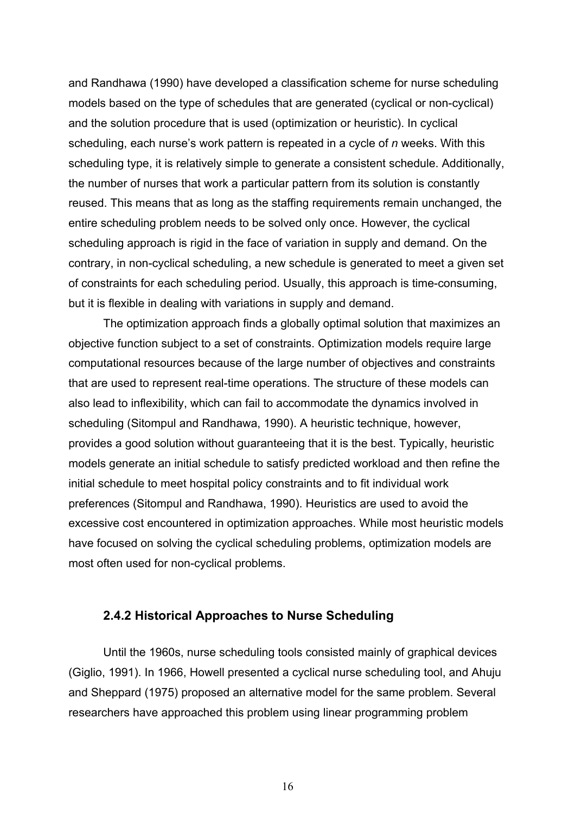and Randhawa (1990) have developed a classification scheme for nurse scheduling models based on the type of schedules that are generated (cyclical or non-cyclical) and the solution procedure that is used (optimization or heuristic). In cyclical scheduling, each nurse's work pattern is repeated in a cycle of *n* weeks. With this scheduling type, it is relatively simple to generate a consistent schedule. Additionally, the number of nurses that work a particular pattern from its solution is constantly reused. This means that as long as the staffing requirements remain unchanged, the entire scheduling problem needs to be solved only once. However, the cyclical scheduling approach is rigid in the face of variation in supply and demand. On the contrary, in non-cyclical scheduling, a new schedule is generated to meet a given set of constraints for each scheduling period. Usually, this approach is time-consuming, but it is flexible in dealing with variations in supply and demand.

The optimization approach finds a globally optimal solution that maximizes an objective function subject to a set of constraints. Optimization models require large computational resources because of the large number of objectives and constraints that are used to represent real-time operations. The structure of these models can also lead to inflexibility, which can fail to accommodate the dynamics involved in scheduling (Sitompul and Randhawa, 1990). A heuristic technique, however, provides a good solution without guaranteeing that it is the best. Typically, heuristic models generate an initial schedule to satisfy predicted workload and then refine the initial schedule to meet hospital policy constraints and to fit individual work preferences (Sitompul and Randhawa, 1990). Heuristics are used to avoid the excessive cost encountered in optimization approaches. While most heuristic models have focused on solving the cyclical scheduling problems, optimization models are most often used for non-cyclical problems.

#### **2.4.2 Historical Approaches to Nurse Scheduling**

Until the 1960s, nurse scheduling tools consisted mainly of graphical devices (Giglio, 1991). In 1966, Howell presented a cyclical nurse scheduling tool, and Ahuju and Sheppard (1975) proposed an alternative model for the same problem. Several researchers have approached this problem using linear programming problem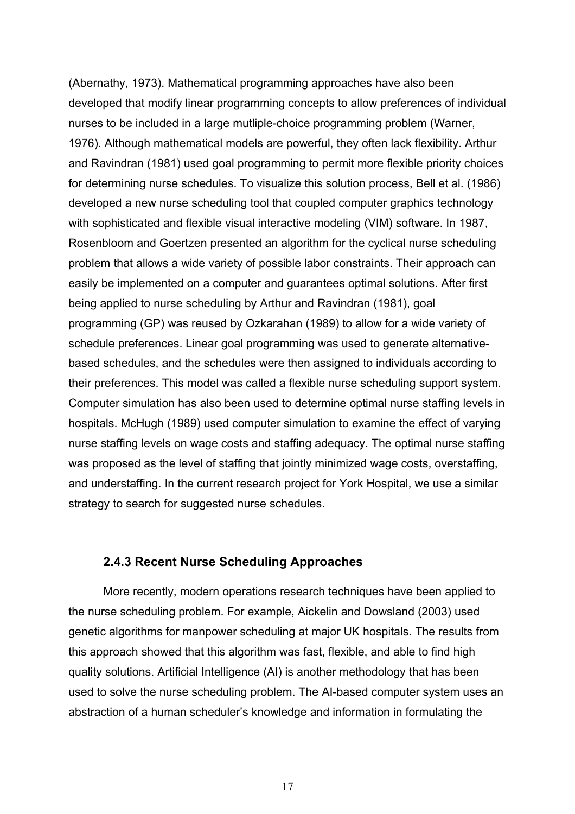(Abernathy, 1973). Mathematical programming approaches have also been developed that modify linear programming concepts to allow preferences of individual nurses to be included in a large mutliple-choice programming problem (Warner, 1976). Although mathematical models are powerful, they often lack flexibility. Arthur and Ravindran (1981) used goal programming to permit more flexible priority choices for determining nurse schedules. To visualize this solution process, Bell et al. (1986) developed a new nurse scheduling tool that coupled computer graphics technology with sophisticated and flexible visual interactive modeling (VIM) software. In 1987, Rosenbloom and Goertzen presented an algorithm for the cyclical nurse scheduling problem that allows a wide variety of possible labor constraints. Their approach can easily be implemented on a computer and guarantees optimal solutions. After first being applied to nurse scheduling by Arthur and Ravindran (1981), goal programming (GP) was reused by Ozkarahan (1989) to allow for a wide variety of schedule preferences. Linear goal programming was used to generate alternativebased schedules, and the schedules were then assigned to individuals according to their preferences. This model was called a flexible nurse scheduling support system. Computer simulation has also been used to determine optimal nurse staffing levels in hospitals. McHugh (1989) used computer simulation to examine the effect of varying nurse staffing levels on wage costs and staffing adequacy. The optimal nurse staffing was proposed as the level of staffing that jointly minimized wage costs, overstaffing, and understaffing. In the current research project for York Hospital, we use a similar strategy to search for suggested nurse schedules.

#### **2.4.3 Recent Nurse Scheduling Approaches**

 More recently, modern operations research techniques have been applied to the nurse scheduling problem. For example, Aickelin and Dowsland (2003) used genetic algorithms for manpower scheduling at major UK hospitals. The results from this approach showed that this algorithm was fast, flexible, and able to find high quality solutions. Artificial Intelligence (AI) is another methodology that has been used to solve the nurse scheduling problem. The AI-based computer system uses an abstraction of a human scheduler's knowledge and information in formulating the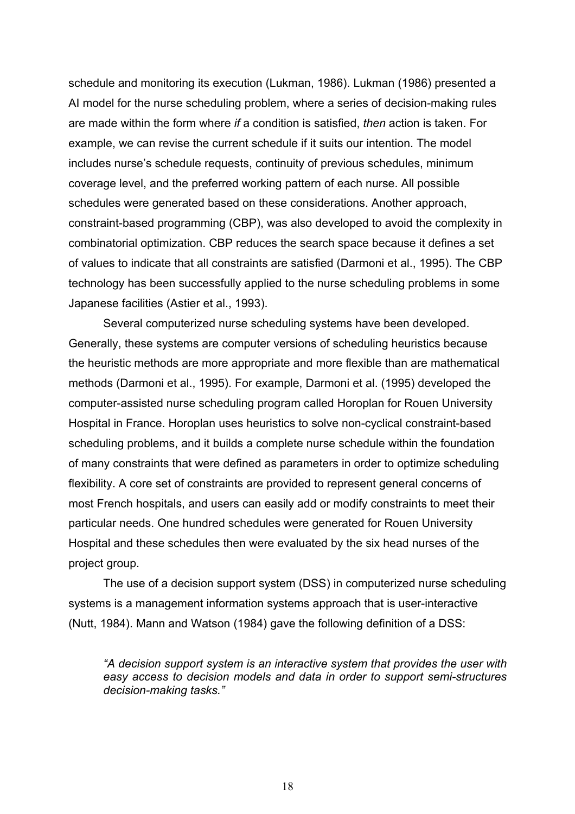schedule and monitoring its execution (Lukman, 1986). Lukman (1986) presented a AI model for the nurse scheduling problem, where a series of decision-making rules are made within the form where *if* a condition is satisfied, *then* action is taken. For example, we can revise the current schedule if it suits our intention. The model includes nurse's schedule requests, continuity of previous schedules, minimum coverage level, and the preferred working pattern of each nurse. All possible schedules were generated based on these considerations. Another approach, constraint-based programming (CBP), was also developed to avoid the complexity in combinatorial optimization. CBP reduces the search space because it defines a set of values to indicate that all constraints are satisfied (Darmoni et al., 1995). The CBP technology has been successfully applied to the nurse scheduling problems in some Japanese facilities (Astier et al., 1993).

 Several computerized nurse scheduling systems have been developed. Generally, these systems are computer versions of scheduling heuristics because the heuristic methods are more appropriate and more flexible than are mathematical methods (Darmoni et al., 1995). For example, Darmoni et al. (1995) developed the computer-assisted nurse scheduling program called Horoplan for Rouen University Hospital in France. Horoplan uses heuristics to solve non-cyclical constraint-based scheduling problems, and it builds a complete nurse schedule within the foundation of many constraints that were defined as parameters in order to optimize scheduling flexibility. A core set of constraints are provided to represent general concerns of most French hospitals, and users can easily add or modify constraints to meet their particular needs. One hundred schedules were generated for Rouen University Hospital and these schedules then were evaluated by the six head nurses of the project group.

 The use of a decision support system (DSS) in computerized nurse scheduling systems is a management information systems approach that is user-interactive (Nutt, 1984). Mann and Watson (1984) gave the following definition of a DSS:

*"A decision support system is an interactive system that provides the user with easy access to decision models and data in order to support semi-structures decision-making tasks."*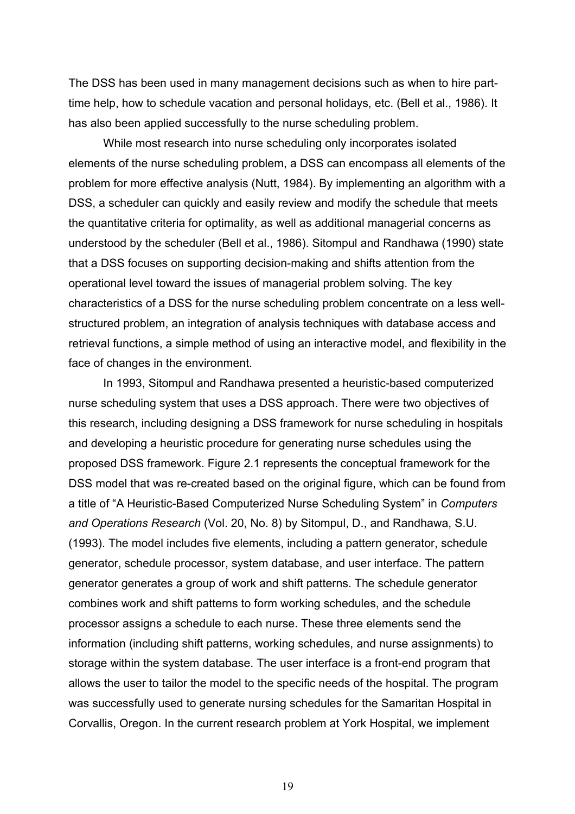The DSS has been used in many management decisions such as when to hire parttime help, how to schedule vacation and personal holidays, etc. (Bell et al., 1986). It has also been applied successfully to the nurse scheduling problem.

While most research into nurse scheduling only incorporates isolated elements of the nurse scheduling problem, a DSS can encompass all elements of the problem for more effective analysis (Nutt, 1984). By implementing an algorithm with a DSS, a scheduler can quickly and easily review and modify the schedule that meets the quantitative criteria for optimality, as well as additional managerial concerns as understood by the scheduler (Bell et al., 1986). Sitompul and Randhawa (1990) state that a DSS focuses on supporting decision-making and shifts attention from the operational level toward the issues of managerial problem solving. The key characteristics of a DSS for the nurse scheduling problem concentrate on a less wellstructured problem, an integration of analysis techniques with database access and retrieval functions, a simple method of using an interactive model, and flexibility in the face of changes in the environment.

In 1993, Sitompul and Randhawa presented a heuristic-based computerized nurse scheduling system that uses a DSS approach. There were two objectives of this research, including designing a DSS framework for nurse scheduling in hospitals and developing a heuristic procedure for generating nurse schedules using the proposed DSS framework. Figure 2.1 represents the conceptual framework for the DSS model that was re-created based on the original figure, which can be found from a title of "A Heuristic-Based Computerized Nurse Scheduling System" in *Computers and Operations Research* (Vol. 20, No. 8) by Sitompul, D., and Randhawa, S.U. (1993). The model includes five elements, including a pattern generator, schedule generator, schedule processor, system database, and user interface. The pattern generator generates a group of work and shift patterns. The schedule generator combines work and shift patterns to form working schedules, and the schedule processor assigns a schedule to each nurse. These three elements send the information (including shift patterns, working schedules, and nurse assignments) to storage within the system database. The user interface is a front-end program that allows the user to tailor the model to the specific needs of the hospital. The program was successfully used to generate nursing schedules for the Samaritan Hospital in Corvallis, Oregon. In the current research problem at York Hospital, we implement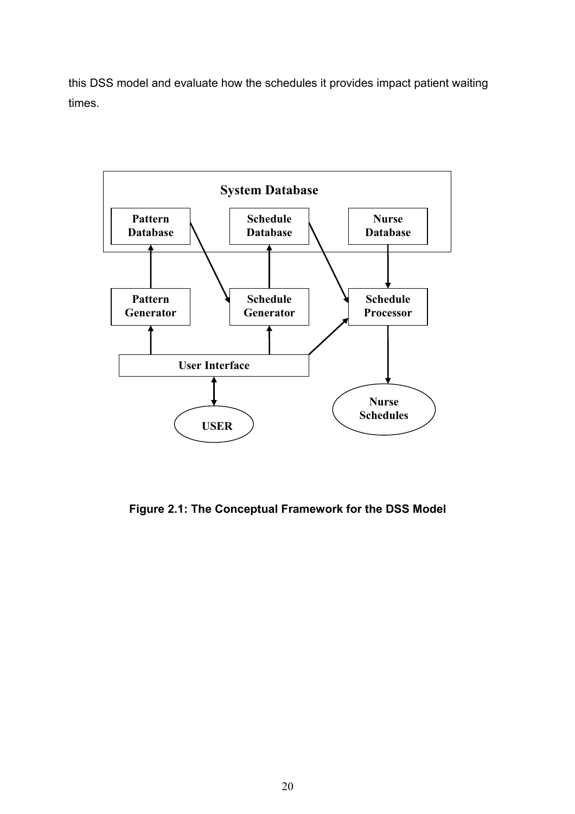this DSS model and evaluate how the schedules it provides impact patient waiting times.



**Figure 2.1: The Conceptual Framework for the DSS Model**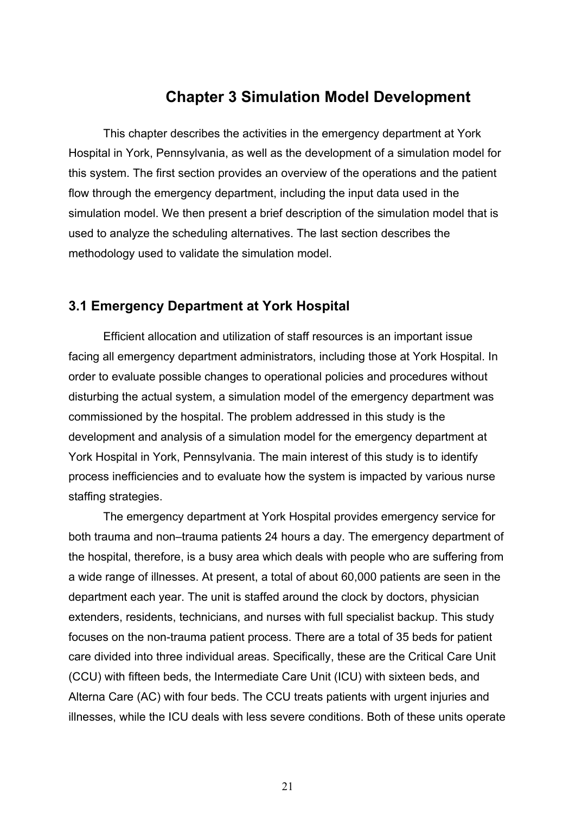# **Chapter 3 Simulation Model Development**

This chapter describes the activities in the emergency department at York Hospital in York, Pennsylvania, as well as the development of a simulation model for this system. The first section provides an overview of the operations and the patient flow through the emergency department, including the input data used in the simulation model. We then present a brief description of the simulation model that is used to analyze the scheduling alternatives. The last section describes the methodology used to validate the simulation model.

### **3.1 Emergency Department at York Hospital**

Efficient allocation and utilization of staff resources is an important issue facing all emergency department administrators, including those at York Hospital. In order to evaluate possible changes to operational policies and procedures without disturbing the actual system, a simulation model of the emergency department was commissioned by the hospital. The problem addressed in this study is the development and analysis of a simulation model for the emergency department at York Hospital in York, Pennsylvania. The main interest of this study is to identify process inefficiencies and to evaluate how the system is impacted by various nurse staffing strategies.

The emergency department at York Hospital provides emergency service for both trauma and non–trauma patients 24 hours a day. The emergency department of the hospital, therefore, is a busy area which deals with people who are suffering from a wide range of illnesses. At present, a total of about 60,000 patients are seen in the department each year. The unit is staffed around the clock by doctors, physician extenders, residents, technicians, and nurses with full specialist backup. This study focuses on the non-trauma patient process. There are a total of 35 beds for patient care divided into three individual areas. Specifically, these are the Critical Care Unit (CCU) with fifteen beds, the Intermediate Care Unit (ICU) with sixteen beds, and Alterna Care (AC) with four beds. The CCU treats patients with urgent injuries and illnesses, while the ICU deals with less severe conditions. Both of these units operate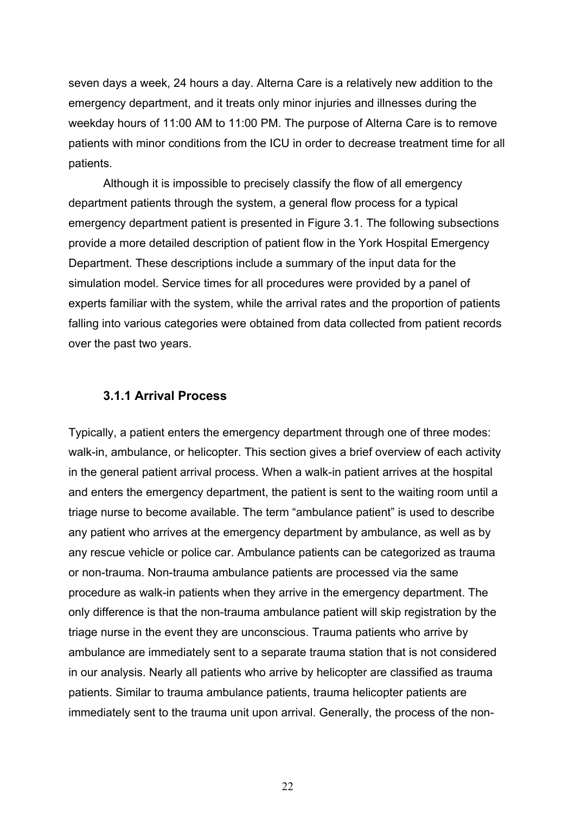seven days a week, 24 hours a day. Alterna Care is a relatively new addition to the emergency department, and it treats only minor injuries and illnesses during the weekday hours of 11:00 AM to 11:00 PM. The purpose of Alterna Care is to remove patients with minor conditions from the ICU in order to decrease treatment time for all patients.

Although it is impossible to precisely classify the flow of all emergency department patients through the system, a general flow process for a typical emergency department patient is presented in Figure 3.1. The following subsections provide a more detailed description of patient flow in the York Hospital Emergency Department. These descriptions include a summary of the input data for the simulation model. Service times for all procedures were provided by a panel of experts familiar with the system, while the arrival rates and the proportion of patients falling into various categories were obtained from data collected from patient records over the past two years.

#### **3.1.1 Arrival Process**

Typically, a patient enters the emergency department through one of three modes: walk-in, ambulance, or helicopter. This section gives a brief overview of each activity in the general patient arrival process. When a walk-in patient arrives at the hospital and enters the emergency department, the patient is sent to the waiting room until a triage nurse to become available. The term "ambulance patient" is used to describe any patient who arrives at the emergency department by ambulance, as well as by any rescue vehicle or police car. Ambulance patients can be categorized as trauma or non-trauma. Non-trauma ambulance patients are processed via the same procedure as walk-in patients when they arrive in the emergency department. The only difference is that the non-trauma ambulance patient will skip registration by the triage nurse in the event they are unconscious. Trauma patients who arrive by ambulance are immediately sent to a separate trauma station that is not considered in our analysis. Nearly all patients who arrive by helicopter are classified as trauma patients. Similar to trauma ambulance patients, trauma helicopter patients are immediately sent to the trauma unit upon arrival. Generally, the process of the non-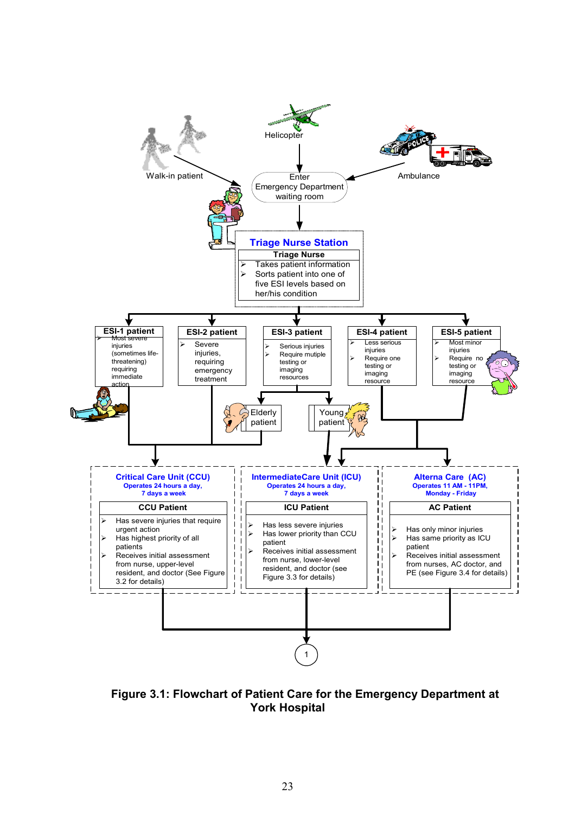

**Figure 3.1: Flowchart of Patient Care for the Emergency Department at York Hospital**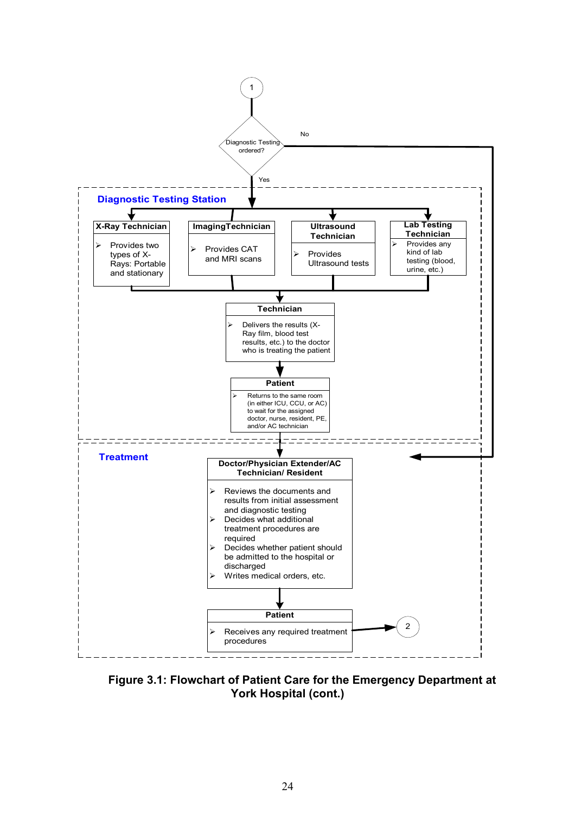

 **Figure 3.1: Flowchart of Patient Care for the Emergency Department at York Hospital (cont.)**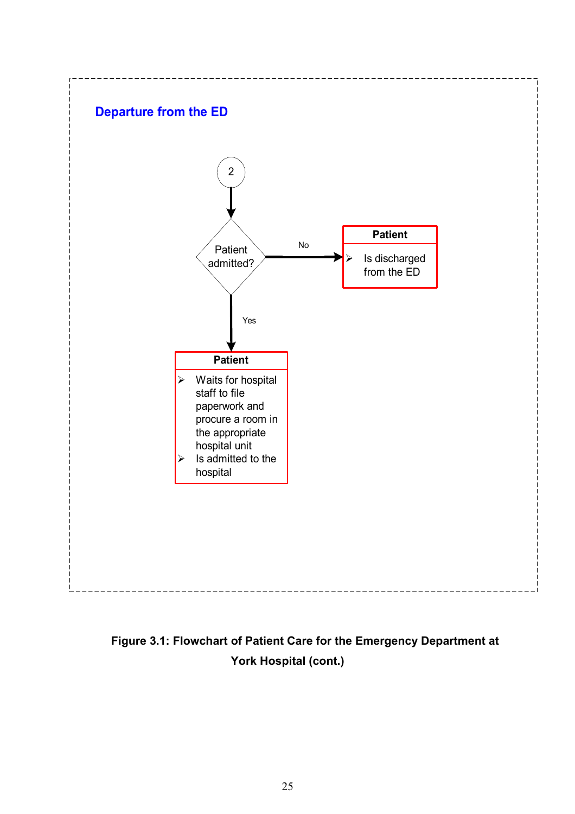

**Figure 3.1: Flowchart of Patient Care for the Emergency Department at York Hospital (cont.)**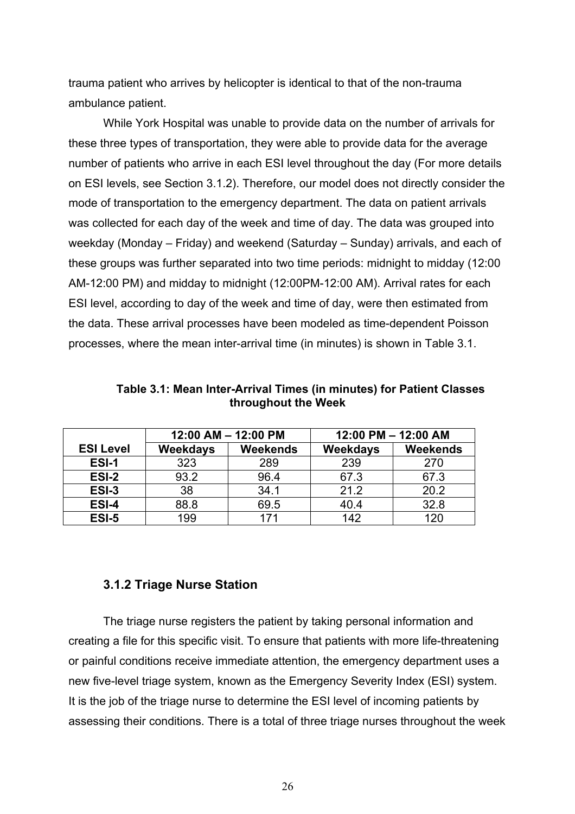trauma patient who arrives by helicopter is identical to that of the non-trauma ambulance patient.

While York Hospital was unable to provide data on the number of arrivals for these three types of transportation, they were able to provide data for the average number of patients who arrive in each ESI level throughout the day (For more details on ESI levels, see Section 3.1.2). Therefore, our model does not directly consider the mode of transportation to the emergency department. The data on patient arrivals was collected for each day of the week and time of day. The data was grouped into weekday (Monday – Friday) and weekend (Saturday – Sunday) arrivals, and each of these groups was further separated into two time periods: midnight to midday (12:00 AM-12:00 PM) and midday to midnight (12:00PM-12:00 AM). Arrival rates for each ESI level, according to day of the week and time of day, were then estimated from the data. These arrival processes have been modeled as time-dependent Poisson processes, where the mean inter-arrival time (in minutes) is shown in Table 3.1.

|                  | 12:00 AM - 12:00 PM |          | 12:00 PM - 12:00 AM |          |
|------------------|---------------------|----------|---------------------|----------|
| <b>ESI Level</b> | <b>Weekdays</b>     | Weekends | Weekdays            | Weekends |
| ESI-1            | 323                 | 289      | 239                 | 270      |
| ESI-2            | 93.2                | 96.4     | 67.3                | 67.3     |
| ESI-3            | 38                  | 34.1     | 21.2                | 20.2     |
| ESI-4            | 88.8                | 69.5     | 40.4                | 32.8     |
| ESI-5            | 199                 | 171      | 142                 | 120      |

**Table 3.1: Mean Inter-Arrival Times (in minutes) for Patient Classes throughout the Week** 

#### **3.1.2 Triage Nurse Station**

The triage nurse registers the patient by taking personal information and creating a file for this specific visit. To ensure that patients with more life-threatening or painful conditions receive immediate attention, the emergency department uses a new five-level triage system, known as the Emergency Severity Index (ESI) system. It is the job of the triage nurse to determine the ESI level of incoming patients by assessing their conditions. There is a total of three triage nurses throughout the week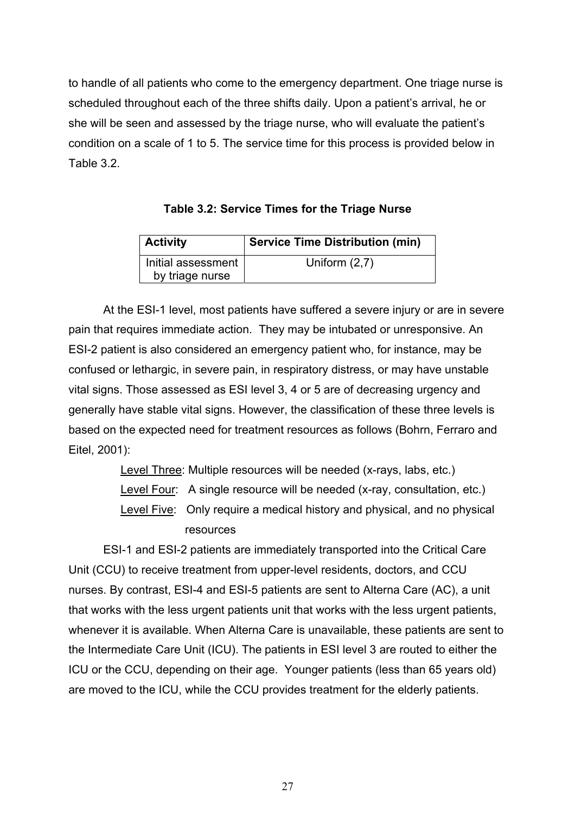to handle of all patients who come to the emergency department. One triage nurse is scheduled throughout each of the three shifts daily. Upon a patient's arrival, he or she will be seen and assessed by the triage nurse, who will evaluate the patient's condition on a scale of 1 to 5. The service time for this process is provided below in Table 3.2.

| Table 3.2: Service Times for the Triage Nurse |  |  |  |
|-----------------------------------------------|--|--|--|
|-----------------------------------------------|--|--|--|

| $\vert$ Activity   | <b>Service Time Distribution (min)</b> |
|--------------------|----------------------------------------|
| Initial assessment | Uniform $(2,7)$                        |
| by triage nurse    |                                        |

At the ESI-1 level, most patients have suffered a severe injury or are in severe pain that requires immediate action. They may be intubated or unresponsive. An ESI-2 patient is also considered an emergency patient who, for instance, may be confused or lethargic, in severe pain, in respiratory distress, or may have unstable vital signs. Those assessed as ESI level 3, 4 or 5 are of decreasing urgency and generally have stable vital signs. However, the classification of these three levels is based on the expected need for treatment resources as follows (Bohrn, Ferraro and Eitel, 2001):

Level Three: Multiple resources will be needed (x-rays, labs, etc.)

Level Four: A single resource will be needed (x-ray, consultation, etc.)

Level Five: Only require a medical history and physical, and no physical resources

ESI-1 and ESI-2 patients are immediately transported into the Critical Care Unit (CCU) to receive treatment from upper-level residents, doctors, and CCU nurses. By contrast, ESI-4 and ESI-5 patients are sent to Alterna Care (AC), a unit that works with the less urgent patients unit that works with the less urgent patients, whenever it is available. When Alterna Care is unavailable, these patients are sent to the Intermediate Care Unit (ICU). The patients in ESI level 3 are routed to either the ICU or the CCU, depending on their age. Younger patients (less than 65 years old) are moved to the ICU, while the CCU provides treatment for the elderly patients.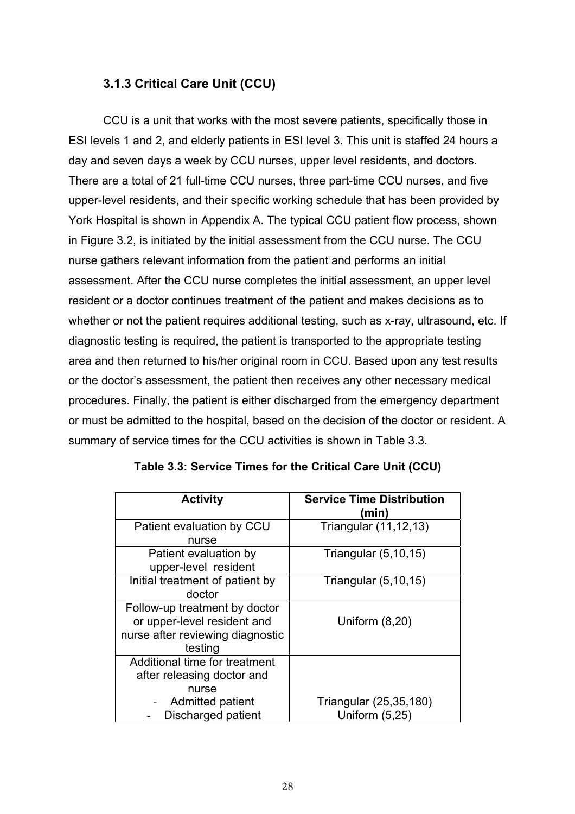# **3.1.3 Critical Care Unit (CCU)**

CCU is a unit that works with the most severe patients, specifically those in ESI levels 1 and 2, and elderly patients in ESI level 3. This unit is staffed 24 hours a day and seven days a week by CCU nurses, upper level residents, and doctors. There are a total of 21 full-time CCU nurses, three part-time CCU nurses, and five upper-level residents, and their specific working schedule that has been provided by York Hospital is shown in Appendix A. The typical CCU patient flow process, shown in Figure 3.2, is initiated by the initial assessment from the CCU nurse. The CCU nurse gathers relevant information from the patient and performs an initial assessment. After the CCU nurse completes the initial assessment, an upper level resident or a doctor continues treatment of the patient and makes decisions as to whether or not the patient requires additional testing, such as x-ray, ultrasound, etc. If diagnostic testing is required, the patient is transported to the appropriate testing area and then returned to his/her original room in CCU. Based upon any test results or the doctor's assessment, the patient then receives any other necessary medical procedures. Finally, the patient is either discharged from the emergency department or must be admitted to the hospital, based on the decision of the doctor or resident. A summary of service times for the CCU activities is shown in Table 3.3.

| <b>Activity</b>                  | <b>Service Time Distribution</b> |
|----------------------------------|----------------------------------|
|                                  | (min)                            |
| Patient evaluation by CCU        | Triangular (11,12,13)            |
| nurse                            |                                  |
| Patient evaluation by            | Triangular $(5, 10, 15)$         |
| upper-level resident             |                                  |
| Initial treatment of patient by  | Triangular $(5, 10, 15)$         |
| doctor                           |                                  |
| Follow-up treatment by doctor    |                                  |
| or upper-level resident and      | Uniform $(8,20)$                 |
| nurse after reviewing diagnostic |                                  |
| testing                          |                                  |
| Additional time for treatment    |                                  |
| after releasing doctor and       |                                  |
| nurse                            |                                  |
| Admitted patient                 | Triangular (25,35,180)           |
| Discharged patient               | Uniform (5,25)                   |

| Table 3.3: Service Times for the Critical Care Unit (CCU) |  |  |  |  |
|-----------------------------------------------------------|--|--|--|--|
|-----------------------------------------------------------|--|--|--|--|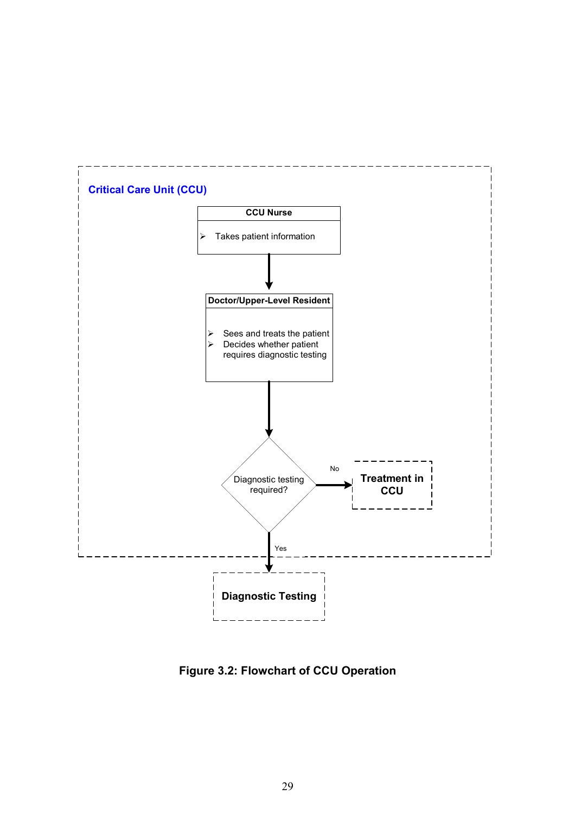

**Figure 3.2: Flowchart of CCU Operation**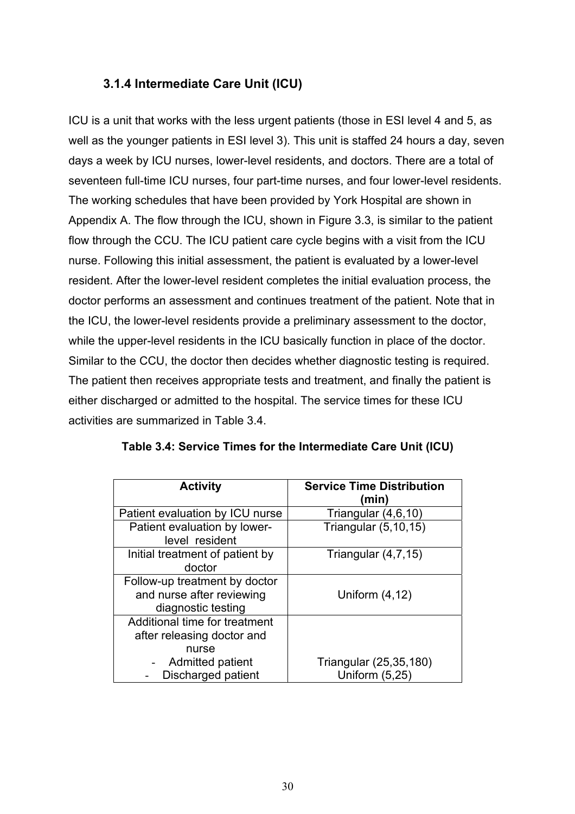# **3.1.4 Intermediate Care Unit (ICU)**

ICU is a unit that works with the less urgent patients (those in ESI level 4 and 5, as well as the younger patients in ESI level 3). This unit is staffed 24 hours a day, seven days a week by ICU nurses, lower-level residents, and doctors. There are a total of seventeen full-time ICU nurses, four part-time nurses, and four lower-level residents. The working schedules that have been provided by York Hospital are shown in Appendix A. The flow through the ICU, shown in Figure 3.3, is similar to the patient flow through the CCU. The ICU patient care cycle begins with a visit from the ICU nurse. Following this initial assessment, the patient is evaluated by a lower-level resident. After the lower-level resident completes the initial evaluation process, the doctor performs an assessment and continues treatment of the patient. Note that in the ICU, the lower-level residents provide a preliminary assessment to the doctor, while the upper-level residents in the ICU basically function in place of the doctor. Similar to the CCU, the doctor then decides whether diagnostic testing is required. The patient then receives appropriate tests and treatment, and finally the patient is either discharged or admitted to the hospital. The service times for these ICU activities are summarized in Table 3.4.

| <b>Activity</b>                                                                          | <b>Service Time Distribution</b><br>(min) |
|------------------------------------------------------------------------------------------|-------------------------------------------|
| Patient evaluation by ICU nurse                                                          | Triangular (4,6,10)                       |
| Patient evaluation by lower-<br>level resident                                           | Triangular (5,10,15)                      |
| Initial treatment of patient by<br>doctor                                                | Triangular $(4,7,15)$                     |
| Follow-up treatment by doctor<br>and nurse after reviewing<br>diagnostic testing         | Uniform $(4, 12)$                         |
| Additional time for treatment<br>after releasing doctor and<br>nurse<br>Admitted patient | Triangular (25,35,180)                    |
| Discharged patient                                                                       | Uniform (5,25)                            |

|  |  | Table 3.4: Service Times for the Intermediate Care Unit (ICU) |  |
|--|--|---------------------------------------------------------------|--|
|--|--|---------------------------------------------------------------|--|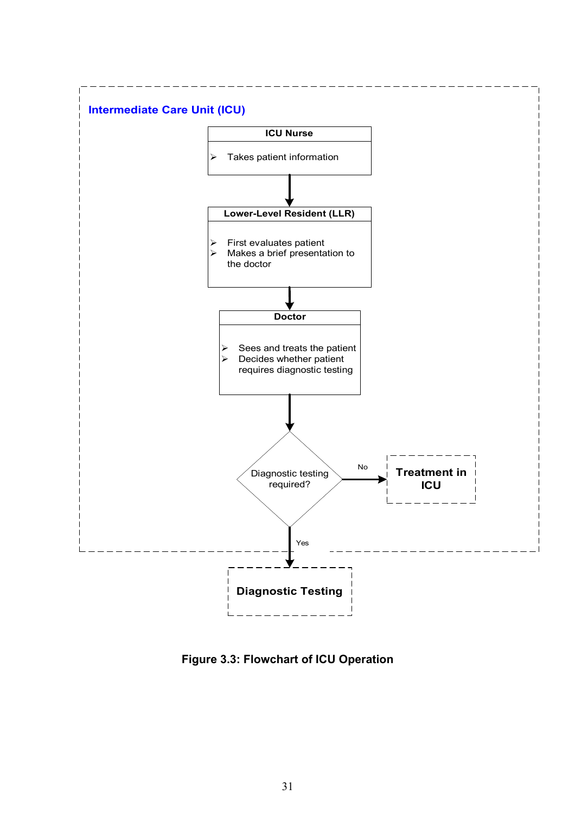

**Figure 3.3: Flowchart of ICU Operation**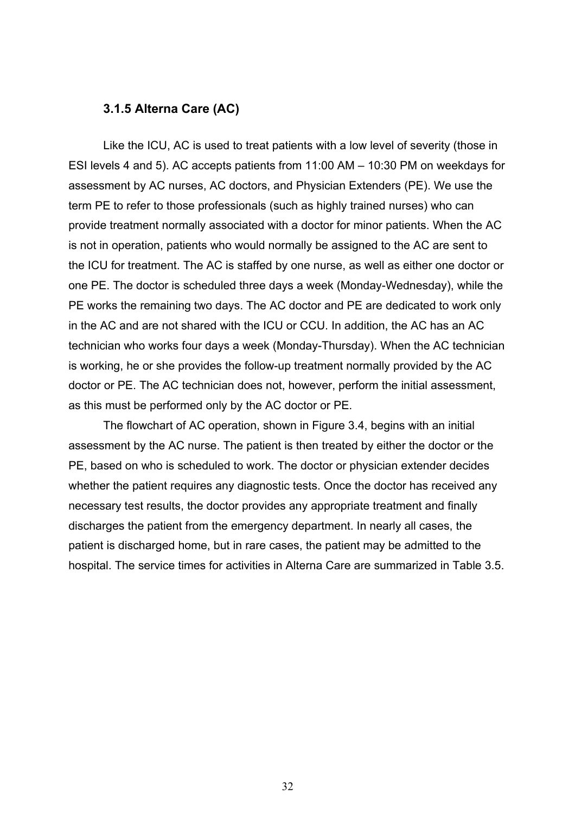#### **3.1.5 Alterna Care (AC)**

Like the ICU, AC is used to treat patients with a low level of severity (those in ESI levels 4 and 5). AC accepts patients from 11:00 AM – 10:30 PM on weekdays for assessment by AC nurses, AC doctors, and Physician Extenders (PE). We use the term PE to refer to those professionals (such as highly trained nurses) who can provide treatment normally associated with a doctor for minor patients. When the AC is not in operation, patients who would normally be assigned to the AC are sent to the ICU for treatment. The AC is staffed by one nurse, as well as either one doctor or one PE. The doctor is scheduled three days a week (Monday-Wednesday), while the PE works the remaining two days. The AC doctor and PE are dedicated to work only in the AC and are not shared with the ICU or CCU. In addition, the AC has an AC technician who works four days a week (Monday-Thursday). When the AC technician is working, he or she provides the follow-up treatment normally provided by the AC doctor or PE. The AC technician does not, however, perform the initial assessment, as this must be performed only by the AC doctor or PE.

The flowchart of AC operation, shown in Figure 3.4, begins with an initial assessment by the AC nurse. The patient is then treated by either the doctor or the PE, based on who is scheduled to work. The doctor or physician extender decides whether the patient requires any diagnostic tests. Once the doctor has received any necessary test results, the doctor provides any appropriate treatment and finally discharges the patient from the emergency department. In nearly all cases, the patient is discharged home, but in rare cases, the patient may be admitted to the hospital. The service times for activities in Alterna Care are summarized in Table 3.5.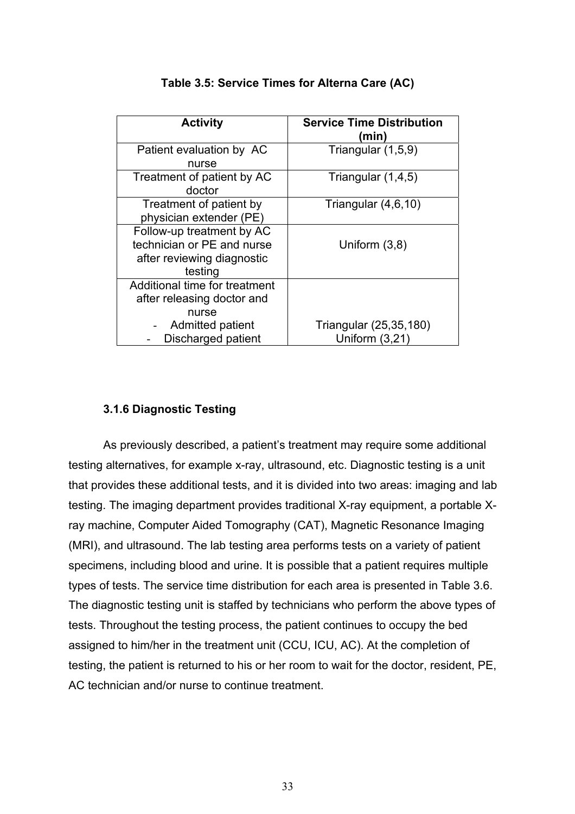|                               | <b>Service Time Distribution</b> |
|-------------------------------|----------------------------------|
| <b>Activity</b>               | (min)                            |
|                               |                                  |
| Patient evaluation by AC      | Triangular (1,5,9)               |
| nurse                         |                                  |
| Treatment of patient by AC    | Triangular (1,4,5)               |
| doctor                        |                                  |
| Treatment of patient by       | Triangular $(4,6,10)$            |
| physician extender (PE)       |                                  |
| Follow-up treatment by AC     |                                  |
| technician or PE and nurse    | Uniform $(3,8)$                  |
| after reviewing diagnostic    |                                  |
| testing                       |                                  |
| Additional time for treatment |                                  |
| after releasing doctor and    |                                  |
| nurse                         |                                  |
| Admitted patient              | Triangular (25,35,180)           |
| Discharged patient            | Uniform $(3,21)$                 |

## **Table 3.5: Service Times for Alterna Care (AC)**

## **3.1.6 Diagnostic Testing**

As previously described, a patient's treatment may require some additional testing alternatives, for example x-ray, ultrasound, etc. Diagnostic testing is a unit that provides these additional tests, and it is divided into two areas: imaging and lab testing. The imaging department provides traditional X-ray equipment, a portable Xray machine, Computer Aided Tomography (CAT), Magnetic Resonance Imaging (MRI), and ultrasound. The lab testing area performs tests on a variety of patient specimens, including blood and urine. It is possible that a patient requires multiple types of tests. The service time distribution for each area is presented in Table 3.6. The diagnostic testing unit is staffed by technicians who perform the above types of tests. Throughout the testing process, the patient continues to occupy the bed assigned to him/her in the treatment unit (CCU, ICU, AC). At the completion of testing, the patient is returned to his or her room to wait for the doctor, resident, PE, AC technician and/or nurse to continue treatment.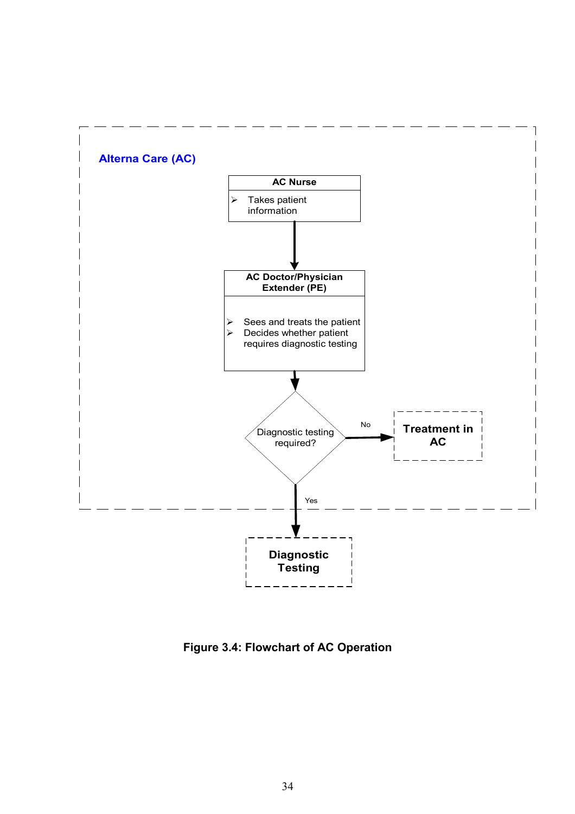

**Figure 3.4: Flowchart of AC Operation**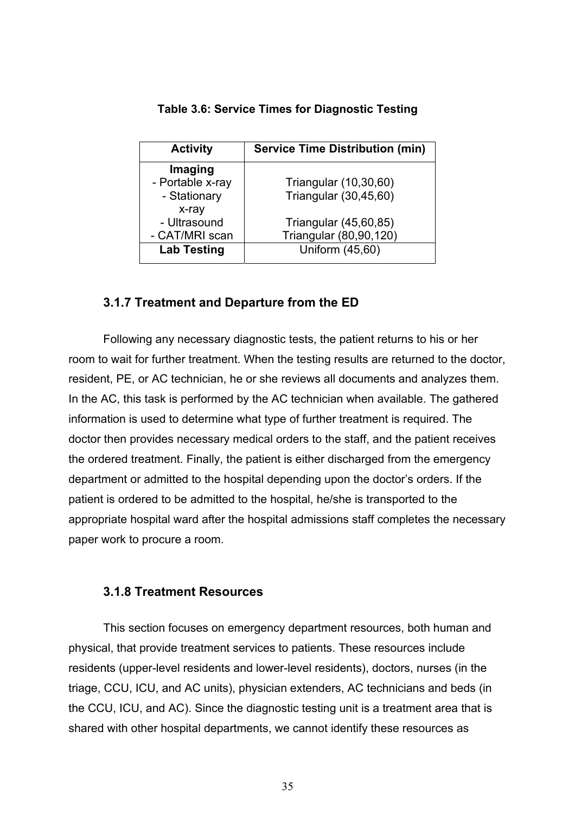| <b>Activity</b>    | <b>Service Time Distribution (min)</b> |
|--------------------|----------------------------------------|
| Imaging            |                                        |
| - Portable x-ray   | Triangular (10,30,60)                  |
| - Stationary       | Triangular (30,45,60)                  |
| x-ray              |                                        |
| - Ultrasound       | Triangular (45,60,85)                  |
| - CAT/MRI scan     | Triangular (80,90,120)                 |
| <b>Lab Testing</b> | Uniform (45,60)                        |

**Table 3.6: Service Times for Diagnostic Testing** 

# **3.1.7 Treatment and Departure from the ED**

Following any necessary diagnostic tests, the patient returns to his or her room to wait for further treatment. When the testing results are returned to the doctor, resident, PE, or AC technician, he or she reviews all documents and analyzes them. In the AC, this task is performed by the AC technician when available. The gathered information is used to determine what type of further treatment is required. The doctor then provides necessary medical orders to the staff, and the patient receives the ordered treatment. Finally, the patient is either discharged from the emergency department or admitted to the hospital depending upon the doctor's orders. If the patient is ordered to be admitted to the hospital, he/she is transported to the appropriate hospital ward after the hospital admissions staff completes the necessary paper work to procure a room.

# **3.1.8 Treatment Resources**

This section focuses on emergency department resources, both human and physical, that provide treatment services to patients. These resources include residents (upper-level residents and lower-level residents), doctors, nurses (in the triage, CCU, ICU, and AC units), physician extenders, AC technicians and beds (in the CCU, ICU, and AC). Since the diagnostic testing unit is a treatment area that is shared with other hospital departments, we cannot identify these resources as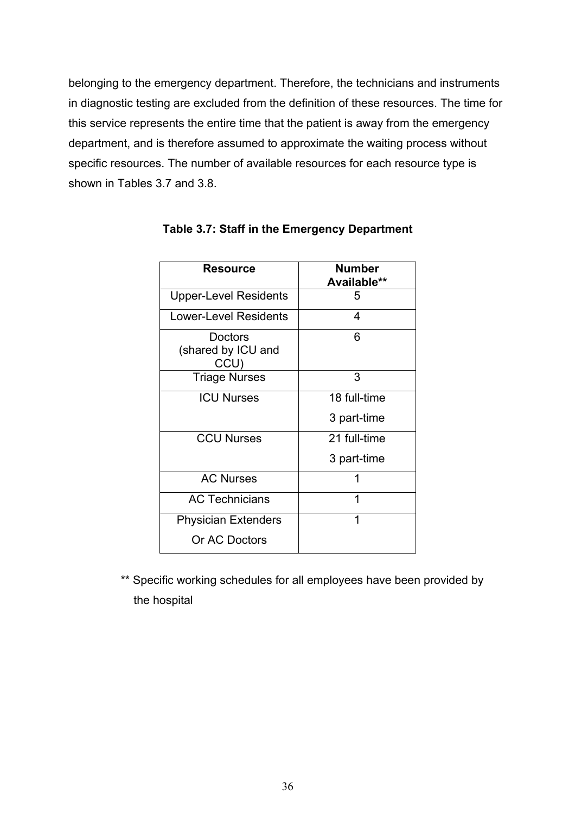belonging to the emergency department. Therefore, the technicians and instruments in diagnostic testing are excluded from the definition of these resources. The time for this service represents the entire time that the patient is away from the emergency department, and is therefore assumed to approximate the waiting process without specific resources. The number of available resources for each resource type is shown in Tables 3.7 and 3.8.

| <b>Resource</b>                       | Number<br>Available** |
|---------------------------------------|-----------------------|
| <b>Upper-Level Residents</b>          | 5                     |
| Lower-Level Residents                 | 4                     |
| Doctors<br>(shared by ICU and<br>CCU) | 6                     |
| <b>Triage Nurses</b>                  | 3                     |
| <b>ICU Nurses</b>                     | 18 full-time          |
|                                       | 3 part-time           |
| <b>CCU Nurses</b>                     | 21 full-time          |
|                                       | 3 part-time           |
| <b>AC Nurses</b>                      | 1                     |
| <b>AC Technicians</b>                 | 1                     |
| <b>Physician Extenders</b>            | 1                     |
| Or AC Doctors                         |                       |

# **Table 3.7: Staff in the Emergency Department**

\*\* Specific working schedules for all employees have been provided by the hospital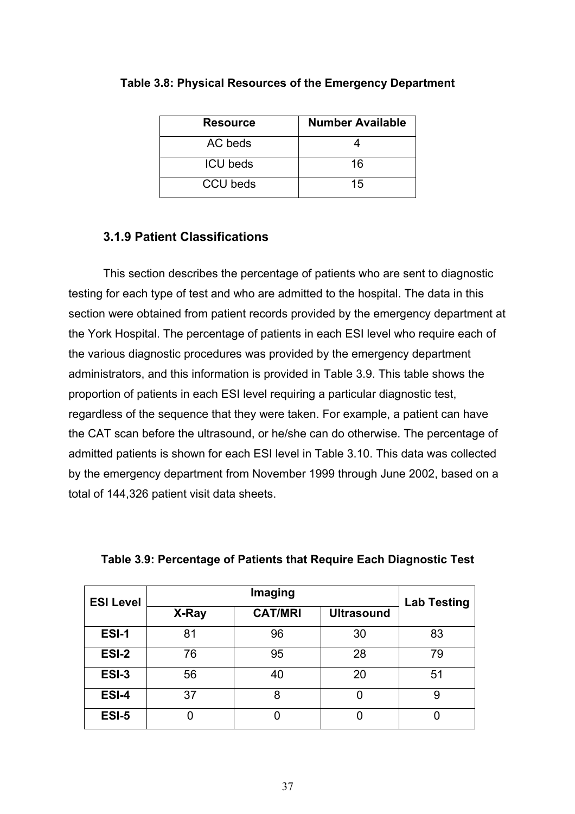| <b>Resource</b> | <b>Number Available</b> |
|-----------------|-------------------------|
| AC beds         |                         |
| <b>ICU</b> beds | 16                      |
| <b>CCU</b> beds | 15                      |

#### **Table 3.8: Physical Resources of the Emergency Department**

## **3.1.9 Patient Classifications**

 This section describes the percentage of patients who are sent to diagnostic testing for each type of test and who are admitted to the hospital. The data in this section were obtained from patient records provided by the emergency department at the York Hospital. The percentage of patients in each ESI level who require each of the various diagnostic procedures was provided by the emergency department administrators, and this information is provided in Table 3.9. This table shows the proportion of patients in each ESI level requiring a particular diagnostic test, regardless of the sequence that they were taken. For example, a patient can have the CAT scan before the ultrasound, or he/she can do otherwise. The percentage of admitted patients is shown for each ESI level in Table 3.10. This data was collected by the emergency department from November 1999 through June 2002, based on a total of 144,326 patient visit data sheets.

| <b>ESI Level</b> | Imaging |                |                   | <b>Lab Testing</b> |
|------------------|---------|----------------|-------------------|--------------------|
|                  | X-Ray   | <b>CAT/MRI</b> | <b>Ultrasound</b> |                    |
| ESI-1            | 81      | 96             | 30                | 83                 |
| ESI-2            | 76      | 95             | 28                | 79                 |
| ESI-3            | 56      | 40             | 20                | 51                 |
| ESI-4            | 37      | 8              |                   | 9                  |
| ESI-5            |         |                |                   |                    |

| Table 3.9: Percentage of Patients that Require Each Diagnostic Test |  |  |
|---------------------------------------------------------------------|--|--|
|                                                                     |  |  |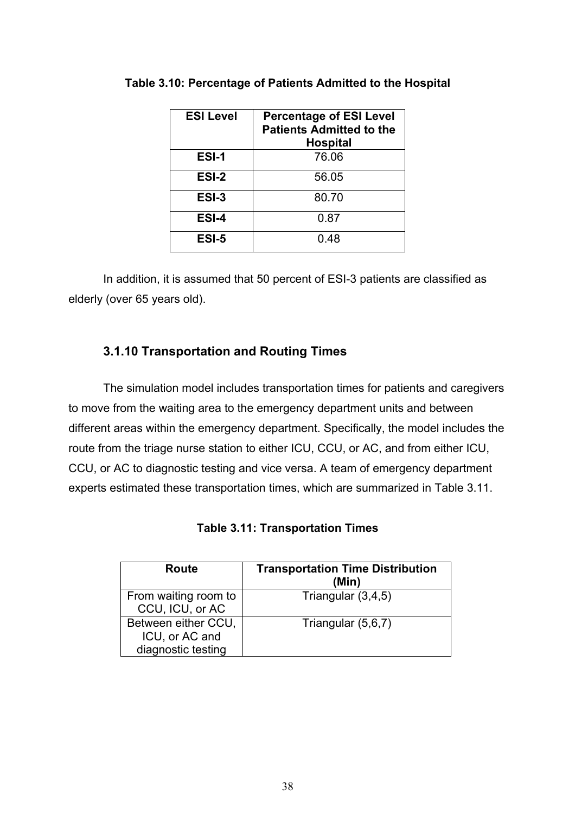| <b>ESI Level</b> | <b>Percentage of ESI Level</b><br><b>Patients Admitted to the</b><br><b>Hospital</b> |
|------------------|--------------------------------------------------------------------------------------|
| ESI-1            | 76.06                                                                                |
| ESI-2            | 56.05                                                                                |
| ESI-3            | 80.70                                                                                |
| ESI-4            | 0.87                                                                                 |
| ESI-5            | 0.48                                                                                 |

**Table 3.10: Percentage of Patients Admitted to the Hospital** 

 In addition, it is assumed that 50 percent of ESI-3 patients are classified as elderly (over 65 years old).

# **3.1.10 Transportation and Routing Times**

 The simulation model includes transportation times for patients and caregivers to move from the waiting area to the emergency department units and between different areas within the emergency department. Specifically, the model includes the route from the triage nurse station to either ICU, CCU, or AC, and from either ICU, CCU, or AC to diagnostic testing and vice versa. A team of emergency department experts estimated these transportation times, which are summarized in Table 3.11.

**Table 3.11: Transportation Times** 

| Route                                                       | <b>Transportation Time Distribution</b><br>(Min) |
|-------------------------------------------------------------|--------------------------------------------------|
| From waiting room to<br>CCU, ICU, or AC                     | Triangular $(3,4,5)$                             |
| Between either CCU,<br>ICU, or AC and<br>diagnostic testing | Triangular (5,6,7)                               |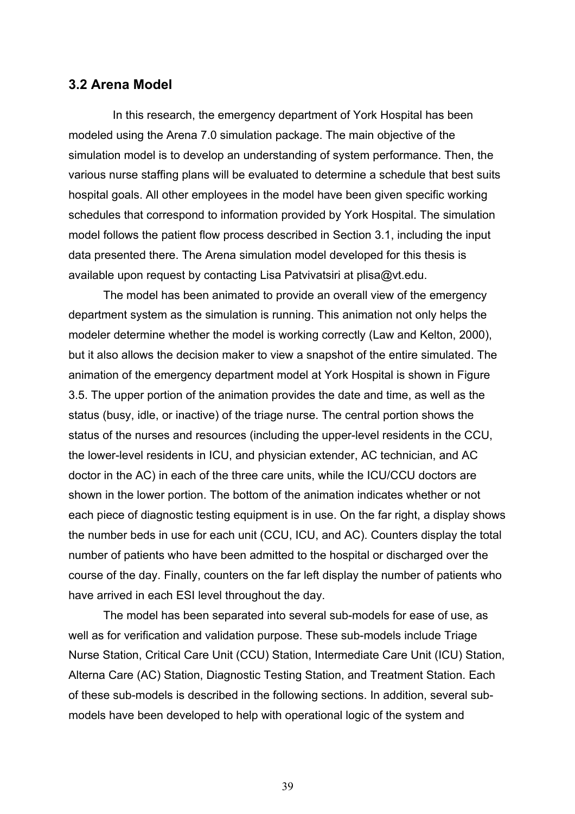### **3.2 Arena Model**

In this research, the emergency department of York Hospital has been modeled using the Arena 7.0 simulation package. The main objective of the simulation model is to develop an understanding of system performance. Then, the various nurse staffing plans will be evaluated to determine a schedule that best suits hospital goals. All other employees in the model have been given specific working schedules that correspond to information provided by York Hospital. The simulation model follows the patient flow process described in Section 3.1, including the input data presented there. The Arena simulation model developed for this thesis is available upon request by contacting Lisa Patvivatsiri at plisa@vt.edu.

The model has been animated to provide an overall view of the emergency department system as the simulation is running. This animation not only helps the modeler determine whether the model is working correctly (Law and Kelton, 2000), but it also allows the decision maker to view a snapshot of the entire simulated. The animation of the emergency department model at York Hospital is shown in Figure 3.5. The upper portion of the animation provides the date and time, as well as the status (busy, idle, or inactive) of the triage nurse. The central portion shows the status of the nurses and resources (including the upper-level residents in the CCU, the lower-level residents in ICU, and physician extender, AC technician, and AC doctor in the AC) in each of the three care units, while the ICU/CCU doctors are shown in the lower portion. The bottom of the animation indicates whether or not each piece of diagnostic testing equipment is in use. On the far right, a display shows the number beds in use for each unit (CCU, ICU, and AC). Counters display the total number of patients who have been admitted to the hospital or discharged over the course of the day. Finally, counters on the far left display the number of patients who have arrived in each ESI level throughout the day.

The model has been separated into several sub-models for ease of use, as well as for verification and validation purpose. These sub-models include Triage Nurse Station, Critical Care Unit (CCU) Station, Intermediate Care Unit (ICU) Station, Alterna Care (AC) Station, Diagnostic Testing Station, and Treatment Station. Each of these sub-models is described in the following sections. In addition, several submodels have been developed to help with operational logic of the system and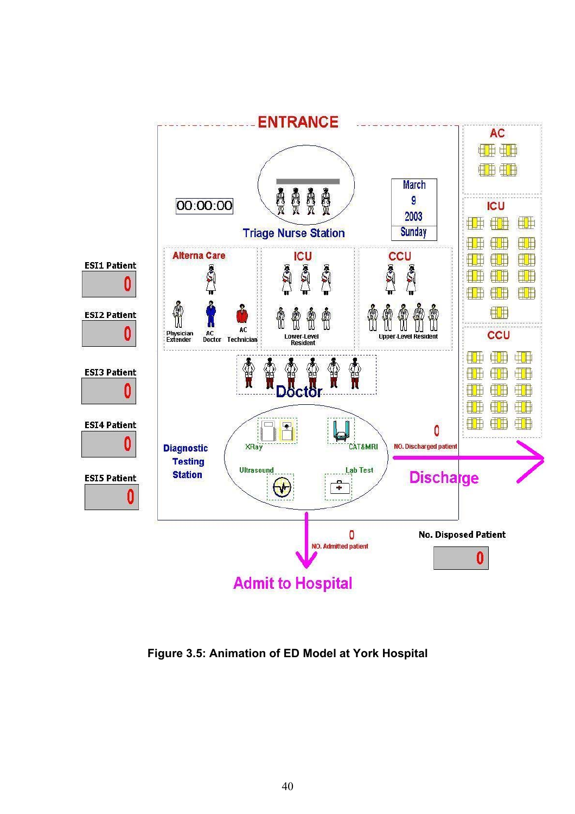

**Figure 3.5: Animation of ED Model at York Hospital**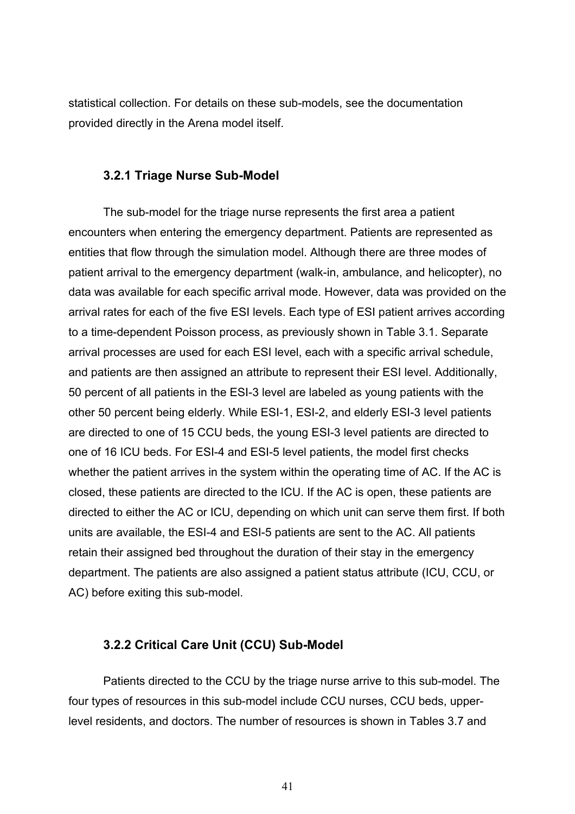statistical collection. For details on these sub-models, see the documentation provided directly in the Arena model itself.

## **3.2.1 Triage Nurse Sub-Model**

The sub-model for the triage nurse represents the first area a patient encounters when entering the emergency department. Patients are represented as entities that flow through the simulation model. Although there are three modes of patient arrival to the emergency department (walk-in, ambulance, and helicopter), no data was available for each specific arrival mode. However, data was provided on the arrival rates for each of the five ESI levels. Each type of ESI patient arrives according to a time-dependent Poisson process, as previously shown in Table 3.1. Separate arrival processes are used for each ESI level, each with a specific arrival schedule, and patients are then assigned an attribute to represent their ESI level. Additionally, 50 percent of all patients in the ESI-3 level are labeled as young patients with the other 50 percent being elderly. While ESI-1, ESI-2, and elderly ESI-3 level patients are directed to one of 15 CCU beds, the young ESI-3 level patients are directed to one of 16 ICU beds. For ESI-4 and ESI-5 level patients, the model first checks whether the patient arrives in the system within the operating time of AC. If the AC is closed, these patients are directed to the ICU. If the AC is open, these patients are directed to either the AC or ICU, depending on which unit can serve them first. If both units are available, the ESI-4 and ESI-5 patients are sent to the AC. All patients retain their assigned bed throughout the duration of their stay in the emergency department. The patients are also assigned a patient status attribute (ICU, CCU, or AC) before exiting this sub-model.

## **3.2.2 Critical Care Unit (CCU) Sub-Model**

Patients directed to the CCU by the triage nurse arrive to this sub-model. The four types of resources in this sub-model include CCU nurses, CCU beds, upperlevel residents, and doctors. The number of resources is shown in Tables 3.7 and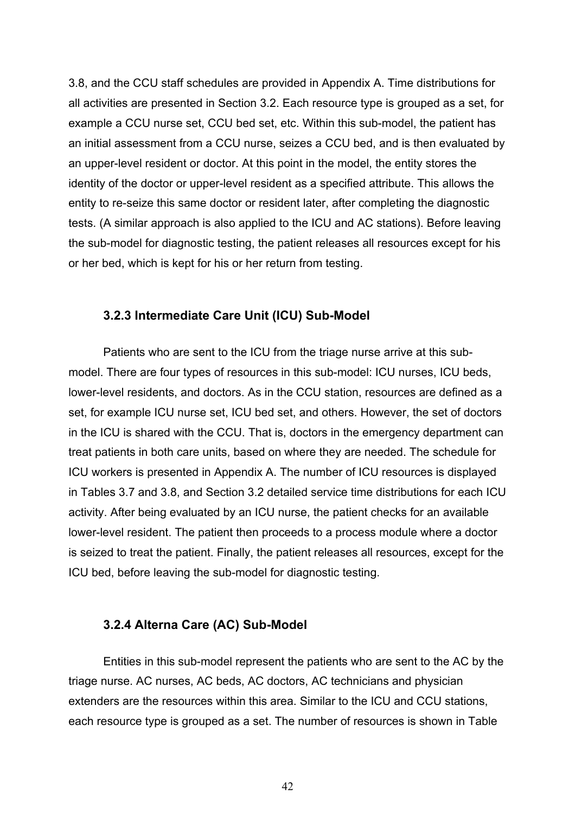3.8, and the CCU staff schedules are provided in Appendix A. Time distributions for all activities are presented in Section 3.2. Each resource type is grouped as a set, for example a CCU nurse set, CCU bed set, etc. Within this sub-model, the patient has an initial assessment from a CCU nurse, seizes a CCU bed, and is then evaluated by an upper-level resident or doctor. At this point in the model, the entity stores the identity of the doctor or upper-level resident as a specified attribute. This allows the entity to re-seize this same doctor or resident later, after completing the diagnostic tests. (A similar approach is also applied to the ICU and AC stations). Before leaving the sub-model for diagnostic testing, the patient releases all resources except for his or her bed, which is kept for his or her return from testing.

#### **3.2.3 Intermediate Care Unit (ICU) Sub-Model**

Patients who are sent to the ICU from the triage nurse arrive at this submodel. There are four types of resources in this sub-model: ICU nurses, ICU beds, lower-level residents, and doctors. As in the CCU station, resources are defined as a set, for example ICU nurse set, ICU bed set, and others. However, the set of doctors in the ICU is shared with the CCU. That is, doctors in the emergency department can treat patients in both care units, based on where they are needed. The schedule for ICU workers is presented in Appendix A. The number of ICU resources is displayed in Tables 3.7 and 3.8, and Section 3.2 detailed service time distributions for each ICU activity. After being evaluated by an ICU nurse, the patient checks for an available lower-level resident. The patient then proceeds to a process module where a doctor is seized to treat the patient. Finally, the patient releases all resources, except for the ICU bed, before leaving the sub-model for diagnostic testing.

#### **3.2.4 Alterna Care (AC) Sub-Model**

Entities in this sub-model represent the patients who are sent to the AC by the triage nurse. AC nurses, AC beds, AC doctors, AC technicians and physician extenders are the resources within this area. Similar to the ICU and CCU stations, each resource type is grouped as a set. The number of resources is shown in Table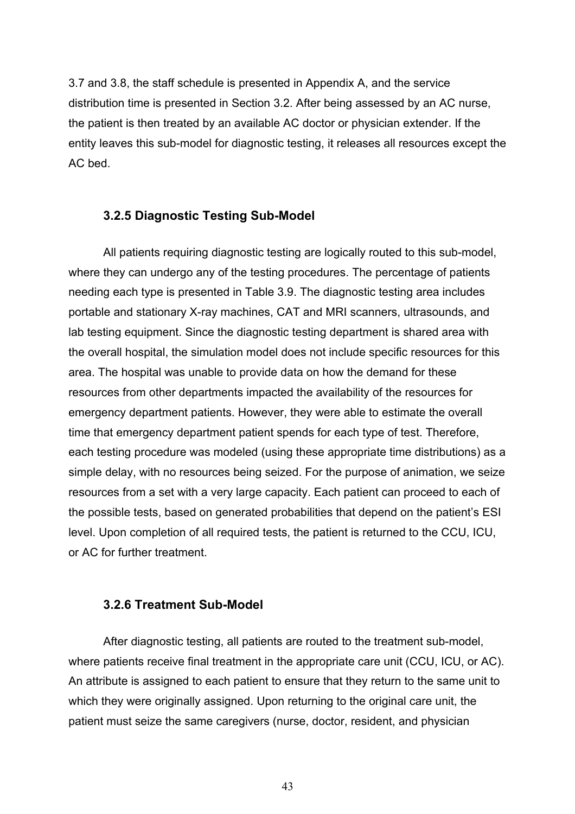3.7 and 3.8, the staff schedule is presented in Appendix A, and the service distribution time is presented in Section 3.2. After being assessed by an AC nurse, the patient is then treated by an available AC doctor or physician extender. If the entity leaves this sub-model for diagnostic testing, it releases all resources except the AC bed.

#### **3.2.5 Diagnostic Testing Sub-Model**

All patients requiring diagnostic testing are logically routed to this sub-model, where they can undergo any of the testing procedures. The percentage of patients needing each type is presented in Table 3.9. The diagnostic testing area includes portable and stationary X-ray machines, CAT and MRI scanners, ultrasounds, and lab testing equipment. Since the diagnostic testing department is shared area with the overall hospital, the simulation model does not include specific resources for this area. The hospital was unable to provide data on how the demand for these resources from other departments impacted the availability of the resources for emergency department patients. However, they were able to estimate the overall time that emergency department patient spends for each type of test. Therefore, each testing procedure was modeled (using these appropriate time distributions) as a simple delay, with no resources being seized. For the purpose of animation, we seize resources from a set with a very large capacity. Each patient can proceed to each of the possible tests, based on generated probabilities that depend on the patient's ESI level. Upon completion of all required tests, the patient is returned to the CCU, ICU, or AC for further treatment.

#### **3.2.6 Treatment Sub-Model**

After diagnostic testing, all patients are routed to the treatment sub-model, where patients receive final treatment in the appropriate care unit (CCU, ICU, or AC). An attribute is assigned to each patient to ensure that they return to the same unit to which they were originally assigned. Upon returning to the original care unit, the patient must seize the same caregivers (nurse, doctor, resident, and physician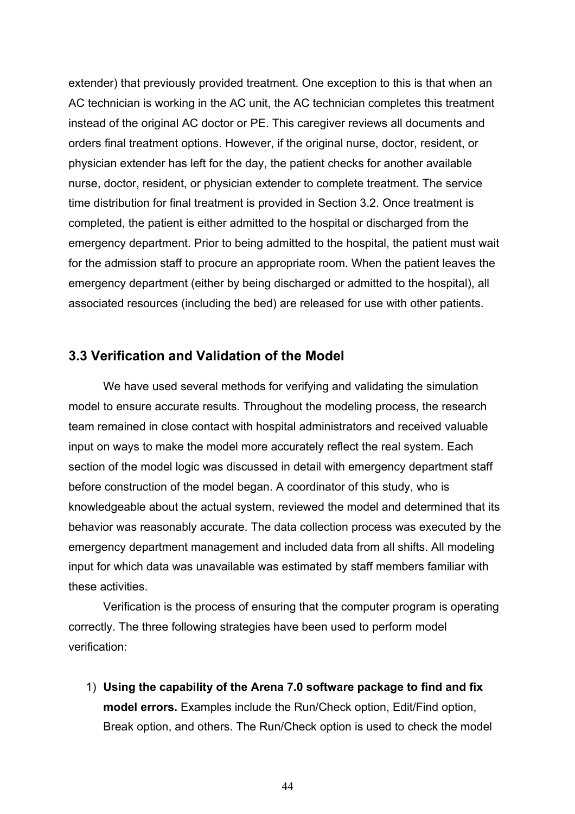extender) that previously provided treatment. One exception to this is that when an AC technician is working in the AC unit, the AC technician completes this treatment instead of the original AC doctor or PE. This caregiver reviews all documents and orders final treatment options. However, if the original nurse, doctor, resident, or physician extender has left for the day, the patient checks for another available nurse, doctor, resident, or physician extender to complete treatment. The service time distribution for final treatment is provided in Section 3.2. Once treatment is completed, the patient is either admitted to the hospital or discharged from the emergency department. Prior to being admitted to the hospital, the patient must wait for the admission staff to procure an appropriate room. When the patient leaves the emergency department (either by being discharged or admitted to the hospital), all associated resources (including the bed) are released for use with other patients.

# **3.3 Verification and Validation of the Model**

 We have used several methods for verifying and validating the simulation model to ensure accurate results. Throughout the modeling process, the research team remained in close contact with hospital administrators and received valuable input on ways to make the model more accurately reflect the real system. Each section of the model logic was discussed in detail with emergency department staff before construction of the model began. A coordinator of this study, who is knowledgeable about the actual system, reviewed the model and determined that its behavior was reasonably accurate. The data collection process was executed by the emergency department management and included data from all shifts. All modeling input for which data was unavailable was estimated by staff members familiar with these activities.

 Verification is the process of ensuring that the computer program is operating correctly. The three following strategies have been used to perform model verification:

1) **Using the capability of the Arena 7.0 software package to find and fix model errors.** Examples include the Run/Check option, Edit/Find option, Break option, and others. The Run/Check option is used to check the model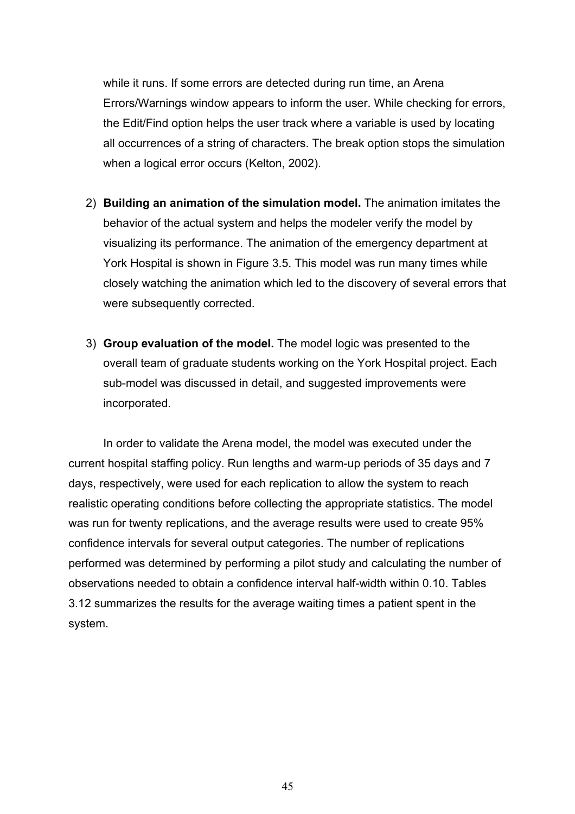while it runs. If some errors are detected during run time, an Arena Errors/Warnings window appears to inform the user. While checking for errors, the Edit/Find option helps the user track where a variable is used by locating all occurrences of a string of characters. The break option stops the simulation when a logical error occurs (Kelton, 2002).

- 2) **Building an animation of the simulation model.** The animation imitates the behavior of the actual system and helps the modeler verify the model by visualizing its performance. The animation of the emergency department at York Hospital is shown in Figure 3.5. This model was run many times while closely watching the animation which led to the discovery of several errors that were subsequently corrected.
- 3) **Group evaluation of the model.** The model logic was presented to the overall team of graduate students working on the York Hospital project. Each sub-model was discussed in detail, and suggested improvements were incorporated.

In order to validate the Arena model, the model was executed under the current hospital staffing policy. Run lengths and warm-up periods of 35 days and 7 days, respectively, were used for each replication to allow the system to reach realistic operating conditions before collecting the appropriate statistics. The model was run for twenty replications, and the average results were used to create 95% confidence intervals for several output categories. The number of replications performed was determined by performing a pilot study and calculating the number of observations needed to obtain a confidence interval half-width within 0.10. Tables 3.12 summarizes the results for the average waiting times a patient spent in the system.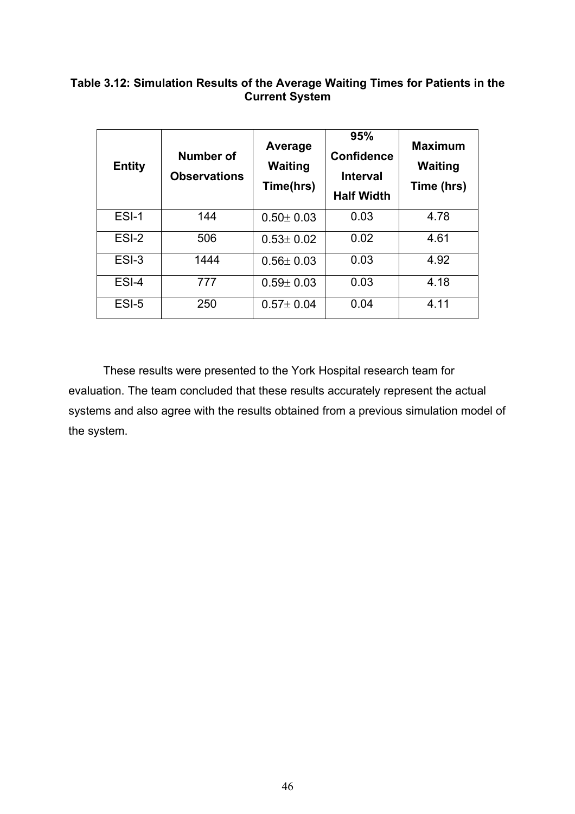# **Table 3.12: Simulation Results of the Average Waiting Times for Patients in the Current System**

| <b>Entity</b> | Number of<br><b>Observations</b> | Average<br><b>Waiting</b><br>Time(hrs) | 95%<br><b>Confidence</b><br><b>Interval</b><br><b>Half Width</b> | <b>Maximum</b><br><b>Waiting</b><br>Time (hrs) |
|---------------|----------------------------------|----------------------------------------|------------------------------------------------------------------|------------------------------------------------|
| $ESI-1$       | 144                              | $0.50 \pm 0.03$                        | 0.03                                                             | 4.78                                           |
| $ESI-2$       | 506                              | $0.53 \pm 0.02$                        | 0.02                                                             | 4.61                                           |
| $ESI-3$       | 1444                             | $0.56 \pm 0.03$                        | 0.03                                                             | 4.92                                           |
| ESI-4         | 777                              | $0.59 \pm 0.03$                        | 0.03                                                             | 4.18                                           |
| ESI-5         | 250                              | $0.57 \pm 0.04$                        | 0.04                                                             | 4.11                                           |

These results were presented to the York Hospital research team for evaluation. The team concluded that these results accurately represent the actual systems and also agree with the results obtained from a previous simulation model of the system.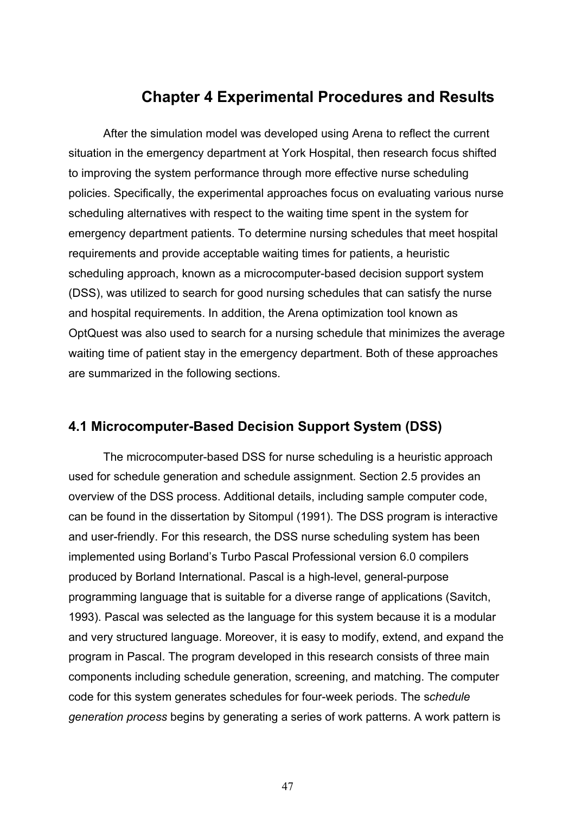# **Chapter 4 Experimental Procedures and Results**

 After the simulation model was developed using Arena to reflect the current situation in the emergency department at York Hospital, then research focus shifted to improving the system performance through more effective nurse scheduling policies. Specifically, the experimental approaches focus on evaluating various nurse scheduling alternatives with respect to the waiting time spent in the system for emergency department patients. To determine nursing schedules that meet hospital requirements and provide acceptable waiting times for patients, a heuristic scheduling approach, known as a microcomputer-based decision support system (DSS), was utilized to search for good nursing schedules that can satisfy the nurse and hospital requirements. In addition, the Arena optimization tool known as OptQuest was also used to search for a nursing schedule that minimizes the average waiting time of patient stay in the emergency department. Both of these approaches are summarized in the following sections.

# **4.1 Microcomputer-Based Decision Support System (DSS)**

 The microcomputer-based DSS for nurse scheduling is a heuristic approach used for schedule generation and schedule assignment. Section 2.5 provides an overview of the DSS process. Additional details, including sample computer code, can be found in the dissertation by Sitompul (1991). The DSS program is interactive and user-friendly. For this research, the DSS nurse scheduling system has been implemented using Borland's Turbo Pascal Professional version 6.0 compilers produced by Borland International. Pascal is a high-level, general-purpose programming language that is suitable for a diverse range of applications (Savitch, 1993). Pascal was selected as the language for this system because it is a modular and very structured language. Moreover, it is easy to modify, extend, and expand the program in Pascal. The program developed in this research consists of three main components including schedule generation, screening, and matching. The computer code for this system generates schedules for four-week periods. The s*chedule generation process* begins by generating a series of work patterns. A work pattern is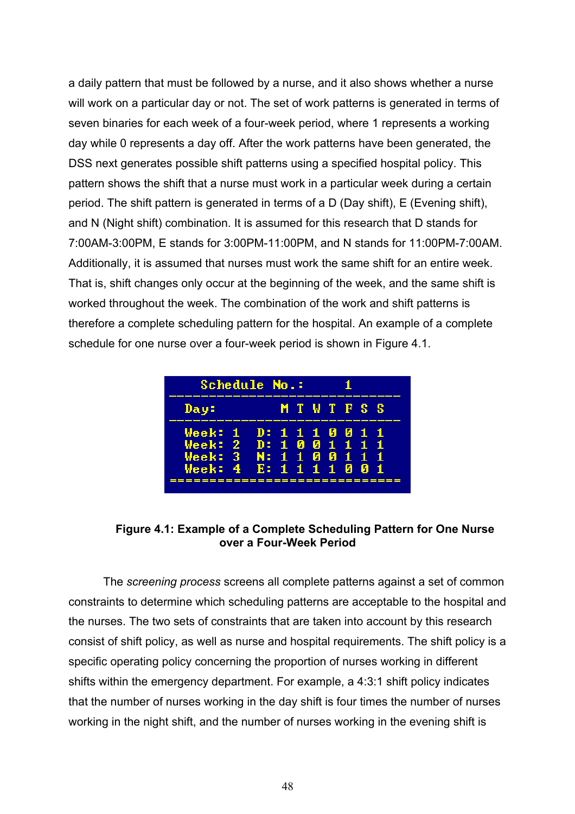a daily pattern that must be followed by a nurse, and it also shows whether a nurse will work on a particular day or not. The set of work patterns is generated in terms of seven binaries for each week of a four-week period, where 1 represents a working day while 0 represents a day off. After the work patterns have been generated, the DSS next generates possible shift patterns using a specified hospital policy. This pattern shows the shift that a nurse must work in a particular week during a certain period. The shift pattern is generated in terms of a D (Day shift), E (Evening shift), and N (Night shift) combination. It is assumed for this research that D stands for 7:00AM-3:00PM, E stands for 3:00PM-11:00PM, and N stands for 11:00PM-7:00AM. Additionally, it is assumed that nurses must work the same shift for an entire week. That is, shift changes only occur at the beginning of the week, and the same shift is worked throughout the week. The combination of the work and shift patterns is therefore a complete scheduling pattern for the hospital. An example of a complete schedule for one nurse over a four-week period is shown in Figure 4.1.

| Schedule No.:                                                                                                |  |                |  |  |
|--------------------------------------------------------------------------------------------------------------|--|----------------|--|--|
| Day:                                                                                                         |  | <b>MTWTFSS</b> |  |  |
| Week: 1 D: 1 1 1 0 0 1 1<br>Week: 2 D: 1 0 0 1 1 1 1<br>Week: 3 N: 1 1 0 0 1 1 1<br>Week: 4 E: 1 1 1 1 0 0 1 |  |                |  |  |

**Figure 4.1: Example of a Complete Scheduling Pattern for One Nurse over a Four-Week Period** 

The *screening process* screens all complete patterns against a set of common constraints to determine which scheduling patterns are acceptable to the hospital and the nurses. The two sets of constraints that are taken into account by this research consist of shift policy, as well as nurse and hospital requirements. The shift policy is a specific operating policy concerning the proportion of nurses working in different shifts within the emergency department. For example, a 4:3:1 shift policy indicates that the number of nurses working in the day shift is four times the number of nurses working in the night shift, and the number of nurses working in the evening shift is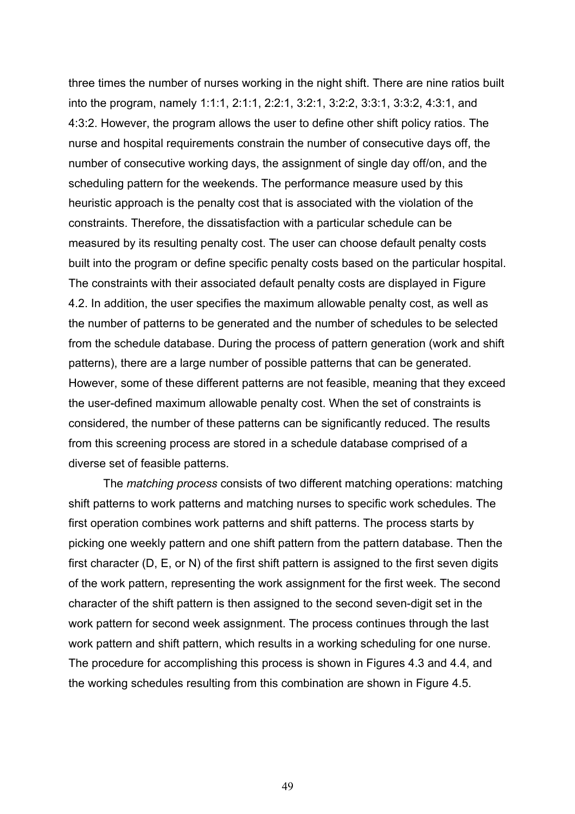three times the number of nurses working in the night shift. There are nine ratios built into the program, namely 1:1:1, 2:1:1, 2:2:1, 3:2:1, 3:2:2, 3:3:1, 3:3:2, 4:3:1, and 4:3:2. However, the program allows the user to define other shift policy ratios. The nurse and hospital requirements constrain the number of consecutive days off, the number of consecutive working days, the assignment of single day off/on, and the scheduling pattern for the weekends. The performance measure used by this heuristic approach is the penalty cost that is associated with the violation of the constraints. Therefore, the dissatisfaction with a particular schedule can be measured by its resulting penalty cost. The user can choose default penalty costs built into the program or define specific penalty costs based on the particular hospital. The constraints with their associated default penalty costs are displayed in Figure 4.2. In addition, the user specifies the maximum allowable penalty cost, as well as the number of patterns to be generated and the number of schedules to be selected from the schedule database. During the process of pattern generation (work and shift patterns), there are a large number of possible patterns that can be generated. However, some of these different patterns are not feasible, meaning that they exceed the user-defined maximum allowable penalty cost. When the set of constraints is considered, the number of these patterns can be significantly reduced. The results from this screening process are stored in a schedule database comprised of a diverse set of feasible patterns.

The *matching process* consists of two different matching operations: matching shift patterns to work patterns and matching nurses to specific work schedules. The first operation combines work patterns and shift patterns. The process starts by picking one weekly pattern and one shift pattern from the pattern database. Then the first character (D, E, or N) of the first shift pattern is assigned to the first seven digits of the work pattern, representing the work assignment for the first week. The second character of the shift pattern is then assigned to the second seven-digit set in the work pattern for second week assignment. The process continues through the last work pattern and shift pattern, which results in a working scheduling for one nurse. The procedure for accomplishing this process is shown in Figures 4.3 and 4.4, and the working schedules resulting from this combination are shown in Figure 4.5.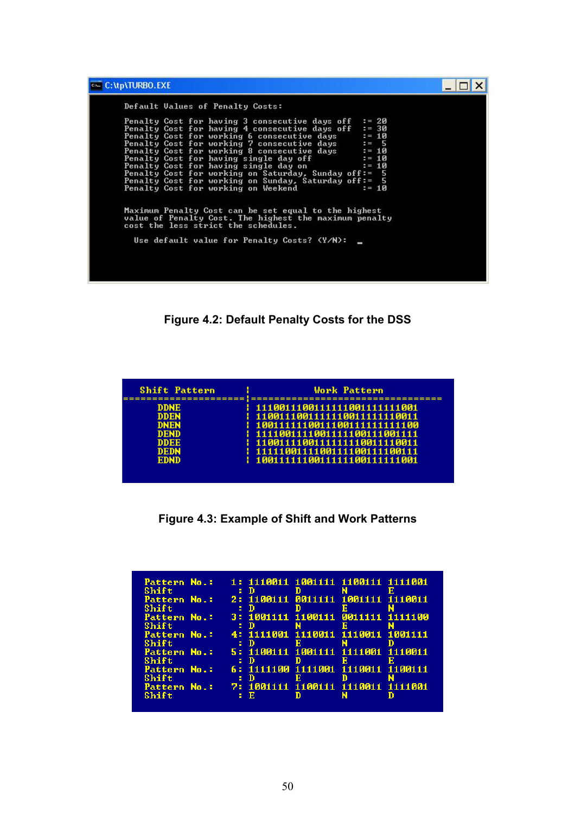| Default Values of Penalty Costs:                                                                                                                      |          |  |
|-------------------------------------------------------------------------------------------------------------------------------------------------------|----------|--|
| Penalty Cost for having 3 consecutive days off                                                                                                        | $= 20$   |  |
| Penalty Cost for having 4 consecutive days off                                                                                                        | $: = 30$ |  |
| Penalty Cost for working 6 consecutive days                                                                                                           | $= 10$   |  |
| Penalty Cost for working 7 consecutive days                                                                                                           | $= 5$    |  |
| Penalty Cost for working 8 consecutive days                                                                                                           | $= 10$   |  |
| Penalty Cost for having single day off                                                                                                                | $= 10$   |  |
| Penalty Cost for having single day on                                                                                                                 | $: = 10$ |  |
| Penalty Cost for working on Saturday, Sunday off:= 5                                                                                                  |          |  |
| Penalty Cost for working on Sunday, Saturday off:= 5                                                                                                  |          |  |
| Penalty Cost for working on Weekend                                                                                                                   | $= 10$   |  |
| Maximum Penalty Cost can be set equal to the highest<br>value of Penalty Cost. The highest the maximum penalty<br>cost the less strict the schedules. |          |  |
| Use default value for Penalty Costs? (Y/N):                                                                                                           |          |  |

**Figure 4.2: Default Penalty Costs for the DSS** 

| <b>Shift Pattern</b>                                                                                                  | <b>Work Pattern</b>                                                                                                                                                                                                                          |
|-----------------------------------------------------------------------------------------------------------------------|----------------------------------------------------------------------------------------------------------------------------------------------------------------------------------------------------------------------------------------------|
| ===========!<br><b>DDNE</b><br><b>DDEN</b><br><b>DNEN</b><br><b>DEND</b><br><b>DDEE</b><br><b>DEDN</b><br><b>EDND</b> | 1 1110011100111111001111111001<br>1 1100111001111110011111110011<br>1 100111111100111001111111111100<br>1 1111001111001111100111001111<br>: 1100111100111111110011110011<br>11111100111100111100111100111<br>1 10011111110011111100111111001 |

**Figure 4.3: Example of Shift and Work Patterns** 

| Shift                 | . . n | Pattern No.: 1: 1110011 1001111 1100111 1111001      | D | N. |  |
|-----------------------|-------|------------------------------------------------------|---|----|--|
| Shift                 |       | Pattern No.: 2: 1100111 0011111 1001111 1110011      |   | к  |  |
| Pattern No.:<br>Shift | . . n | 3: 1001111 1100111 0011111 1111100                   |   | к  |  |
| Shift                 | . . n | Pattern No.: 4: 1111001 1110011 1110011 1001111      | ю |    |  |
| Shift                 | . . n | Pattern No.: 5: 1100111 1001111 1111001 1110011      |   |    |  |
| Shift                 |       | Pattern No.: 6: 1111100 1111001 1110011 1100111      |   |    |  |
| Shift                 |       | Pattern No.: 7: 1001111 1100111 1110011 1111001<br>E |   |    |  |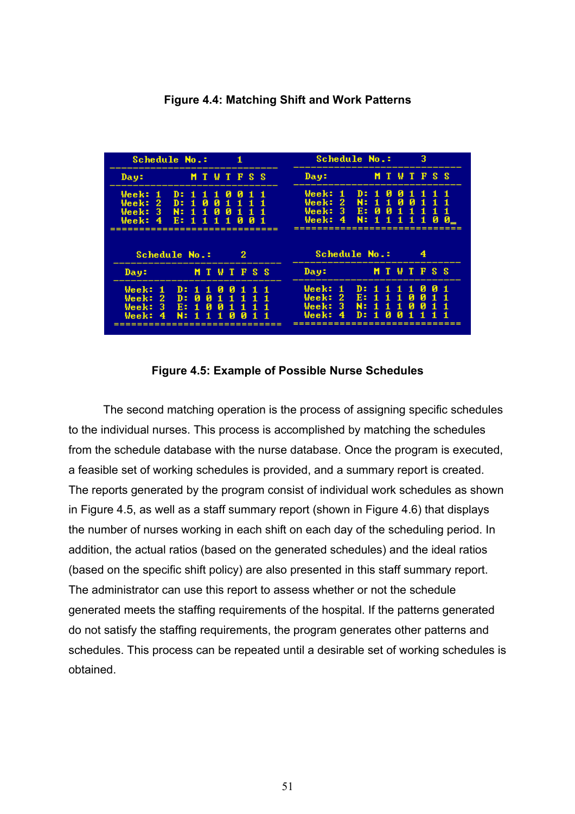

**Figure 4.4: Matching Shift and Work Patterns** 

#### **Figure 4.5: Example of Possible Nurse Schedules**

The second matching operation is the process of assigning specific schedules to the individual nurses. This process is accomplished by matching the schedules from the schedule database with the nurse database. Once the program is executed, a feasible set of working schedules is provided, and a summary report is created. The reports generated by the program consist of individual work schedules as shown in Figure 4.5, as well as a staff summary report (shown in Figure 4.6) that displays the number of nurses working in each shift on each day of the scheduling period. In addition, the actual ratios (based on the generated schedules) and the ideal ratios (based on the specific shift policy) are also presented in this staff summary report. The administrator can use this report to assess whether or not the schedule generated meets the staffing requirements of the hospital. If the patterns generated do not satisfy the staffing requirements, the program generates other patterns and schedules. This process can be repeated until a desirable set of working schedules is obtained.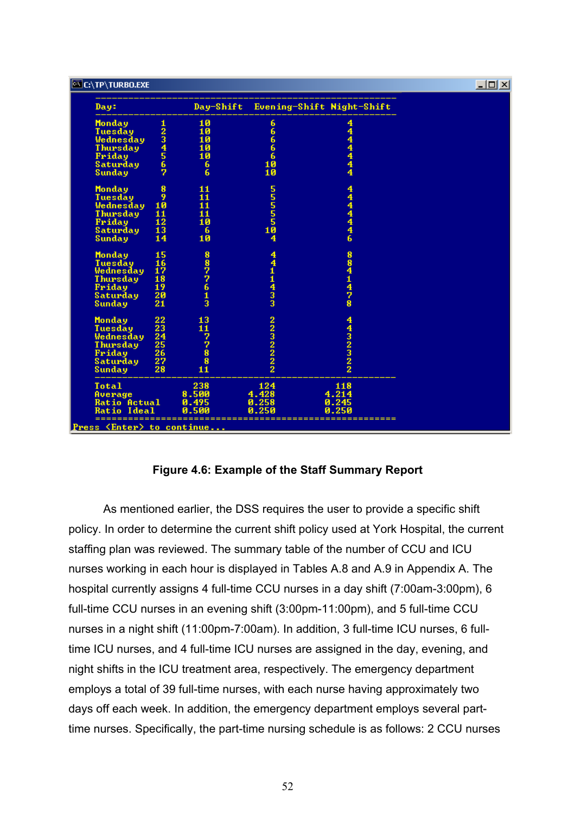| <b>C:\TP\TURBO.EXE</b>                                                                                           |                                                                           |                                                       |                              |                                                                  | $\underline{\Box} \boxdot \boxtimes$ |
|------------------------------------------------------------------------------------------------------------------|---------------------------------------------------------------------------|-------------------------------------------------------|------------------------------|------------------------------------------------------------------|--------------------------------------|
| Day:                                                                                                             |                                                                           | Day-Shift                                             |                              | Evening-Shift Night-Shift                                        |                                      |
| <b>Monday</b><br>Tuesday<br>Wednesday<br><b>Thursday</b><br>Friday<br>Saturday                                   | 1234567                                                                   | $\frac{10}{10}$<br>$\overline{10}$<br>$\frac{10}{10}$ | ი<br>10<br>10<br>10          | 4444444                                                          |                                      |
| <b>Sunday</b><br>Monday                                                                                          | 8                                                                         | 6<br>6<br>11                                          |                              |                                                                  |                                      |
| Tuesday<br>Wednesday<br><b>Thursday</b><br>Friday<br>Saturday<br><b>Sunday</b>                                   | 9<br>10<br>$\overline{\mathbf{11}}$<br>12<br>13<br>14                     | 11<br>$\overline{11}$<br>$\frac{11}{10}$<br>6<br>10   | ៱ង់<br>ក្នុង                 | 444446                                                           |                                      |
| <b>Monday</b><br>Tuesday<br>Wednesday<br>Thursday<br>Friday<br>Saturday                                          | $\frac{15}{16}$<br>$\overline{18}$<br>$\bar{1}\bar{9}$<br>$\frac{20}{21}$ | 8877613                                               | 4411433                      | 8<br>$\begin{array}{c} 8 \\ 4 \\ 1 \end{array}$<br>$\frac{4}{7}$ |                                      |
| <b>Sunday</b><br><b>Monday</b><br>Tuesday<br>Wednesday<br>Thursday<br>Friday<br>Saturday<br>Sunday               | 223<br>2345<br>2526<br>2728                                               | 13 11 7 7 8 8 8<br>11                                 | 2232222                      | 4323222                                                          |                                      |
| <b>Total</b><br>Average<br><b>Ratio Actual</b><br><b>Ratio Ideal</b><br><b>Press <enter> to continue</enter></b> |                                                                           | 238<br>8.500<br>0.495<br>и                            | 124<br>4.428<br>0.258<br>250 | 118<br>4.214<br>0.245<br>250                                     |                                      |

#### **Figure 4.6: Example of the Staff Summary Report**

As mentioned earlier, the DSS requires the user to provide a specific shift policy. In order to determine the current shift policy used at York Hospital, the current staffing plan was reviewed. The summary table of the number of CCU and ICU nurses working in each hour is displayed in Tables A.8 and A.9 in Appendix A. The hospital currently assigns 4 full-time CCU nurses in a day shift (7:00am-3:00pm), 6 full-time CCU nurses in an evening shift (3:00pm-11:00pm), and 5 full-time CCU nurses in a night shift (11:00pm-7:00am). In addition, 3 full-time ICU nurses, 6 fulltime ICU nurses, and 4 full-time ICU nurses are assigned in the day, evening, and night shifts in the ICU treatment area, respectively. The emergency department employs a total of 39 full-time nurses, with each nurse having approximately two days off each week. In addition, the emergency department employs several parttime nurses. Specifically, the part-time nursing schedule is as follows: 2 CCU nurses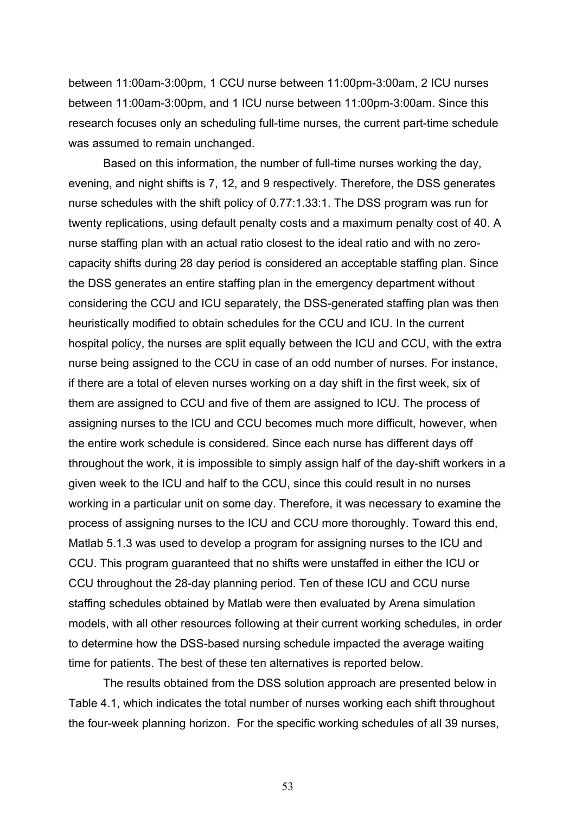between 11:00am-3:00pm, 1 CCU nurse between 11:00pm-3:00am, 2 ICU nurses between 11:00am-3:00pm, and 1 ICU nurse between 11:00pm-3:00am. Since this research focuses only an scheduling full-time nurses, the current part-time schedule was assumed to remain unchanged.

Based on this information, the number of full-time nurses working the day, evening, and night shifts is 7, 12, and 9 respectively. Therefore, the DSS generates nurse schedules with the shift policy of 0.77:1.33:1. The DSS program was run for twenty replications, using default penalty costs and a maximum penalty cost of 40. A nurse staffing plan with an actual ratio closest to the ideal ratio and with no zerocapacity shifts during 28 day period is considered an acceptable staffing plan. Since the DSS generates an entire staffing plan in the emergency department without considering the CCU and ICU separately, the DSS-generated staffing plan was then heuristically modified to obtain schedules for the CCU and ICU. In the current hospital policy, the nurses are split equally between the ICU and CCU, with the extra nurse being assigned to the CCU in case of an odd number of nurses. For instance, if there are a total of eleven nurses working on a day shift in the first week, six of them are assigned to CCU and five of them are assigned to ICU. The process of assigning nurses to the ICU and CCU becomes much more difficult, however, when the entire work schedule is considered. Since each nurse has different days off throughout the work, it is impossible to simply assign half of the day-shift workers in a given week to the ICU and half to the CCU, since this could result in no nurses working in a particular unit on some day. Therefore, it was necessary to examine the process of assigning nurses to the ICU and CCU more thoroughly. Toward this end, Matlab 5.1.3 was used to develop a program for assigning nurses to the ICU and CCU. This program guaranteed that no shifts were unstaffed in either the ICU or CCU throughout the 28-day planning period. Ten of these ICU and CCU nurse staffing schedules obtained by Matlab were then evaluated by Arena simulation models, with all other resources following at their current working schedules, in order to determine how the DSS-based nursing schedule impacted the average waiting time for patients. The best of these ten alternatives is reported below.

The results obtained from the DSS solution approach are presented below in Table 4.1, which indicates the total number of nurses working each shift throughout the four-week planning horizon. For the specific working schedules of all 39 nurses,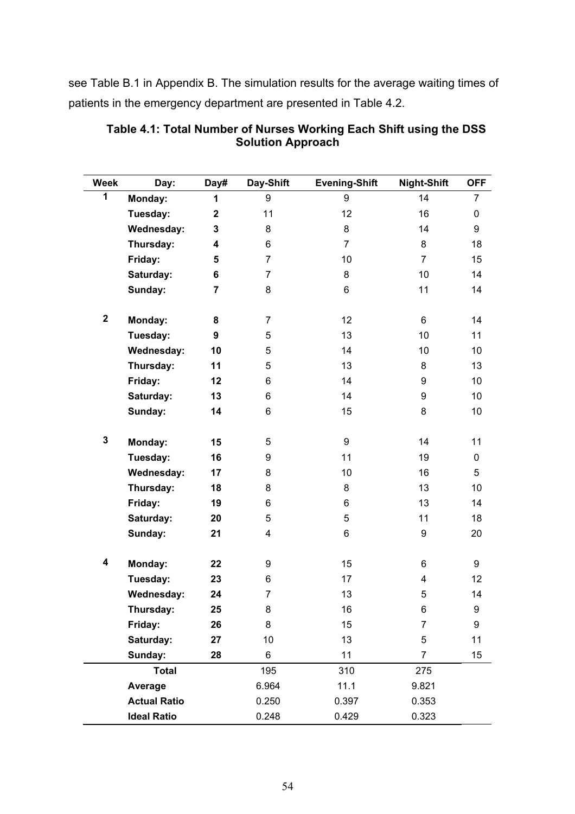see Table B.1 in Appendix B. The simulation results for the average waiting times of patients in the emergency department are presented in Table 4.2.

| <b>Week</b> | Day:                | Day#           | Day-Shift               | <b>Evening-Shift</b> | <b>Night-Shift</b> | <b>OFF</b>     |
|-------------|---------------------|----------------|-------------------------|----------------------|--------------------|----------------|
| 1           | Monday:             | 1              | 9                       | 9                    | 14                 | $\overline{7}$ |
|             | Tuesday:            | $\mathbf 2$    | 11                      | 12                   | 16                 | 0              |
|             | <b>Wednesday:</b>   | 3              | 8                       | 8                    | 14                 | 9              |
|             | Thursday:           | 4              | 6                       | $\overline{7}$       | 8                  | 18             |
|             | Friday:             | 5              | $\overline{7}$          | 10                   | $\overline{7}$     | 15             |
|             | Saturday:           | 6              | $\overline{7}$          | 8                    | 10                 | 14             |
|             | Sunday:             | $\overline{7}$ | 8                       | 6                    | 11                 | 14             |
|             |                     |                |                         |                      |                    |                |
| $\mathbf 2$ | Monday:             | 8              | $\overline{7}$          | 12                   | 6                  | 14             |
|             | Tuesday:            | 9              | 5                       | 13                   | 10                 | 11             |
|             | <b>Wednesday:</b>   | 10             | 5                       | 14                   | 10                 | 10             |
|             | Thursday:           | 11             | 5                       | 13                   | 8                  | 13             |
|             | Friday:             | 12             | 6                       | 14                   | 9                  | 10             |
|             | Saturday:           | 13             | 6                       | 14                   | 9                  | 10             |
|             | Sunday:             | 14             | 6                       | 15                   | 8                  | 10             |
|             |                     |                |                         |                      |                    |                |
| $\mathbf 3$ | Monday:             | 15             | 5                       | 9                    | 14                 | 11             |
|             | Tuesday:            | 16             | 9                       | 11                   | 19                 | 0              |
|             | <b>Wednesday:</b>   | 17             | 8                       | 10                   | 16                 | 5              |
|             | Thursday:           | 18             | 8                       | 8                    | 13                 | 10             |
|             | Friday:             | 19             | 6                       | 6                    | 13                 | 14             |
|             | Saturday:           | 20             | 5                       | 5                    | 11                 | 18             |
|             | Sunday:             | 21             | $\overline{\mathbf{4}}$ | 6                    | 9                  | 20             |
|             |                     |                |                         |                      |                    |                |
| 4           | Monday:             | 22             | 9                       | 15                   | 6                  | 9              |
|             | Tuesday:            | 23             | 6                       | 17                   | 4                  | 12             |
|             | <b>Wednesday:</b>   | 24             | $\overline{7}$          | 13                   | 5                  | 14             |
|             | Thursday:           | 25             | 8                       | 16                   | 6                  | 9              |
|             | Friday:             | 26             | 8                       | 15                   | $\overline{7}$     | 9              |
|             | Saturday:           | 27             | 10                      | 13                   | 5                  | 11             |
|             | Sunday:             | 28             | 6                       | 11                   | 7                  | 15             |
|             | <b>Total</b>        |                | 195                     | 310                  | 275                |                |
|             | Average             |                | 6.964                   | 11.1                 | 9.821              |                |
|             | <b>Actual Ratio</b> |                | 0.250                   | 0.397                | 0.353              |                |
|             | <b>Ideal Ratio</b>  |                | 0.248                   | 0.429                | 0.323              |                |

#### **Table 4.1: Total Number of Nurses Working Each Shift using the DSS Solution Approach**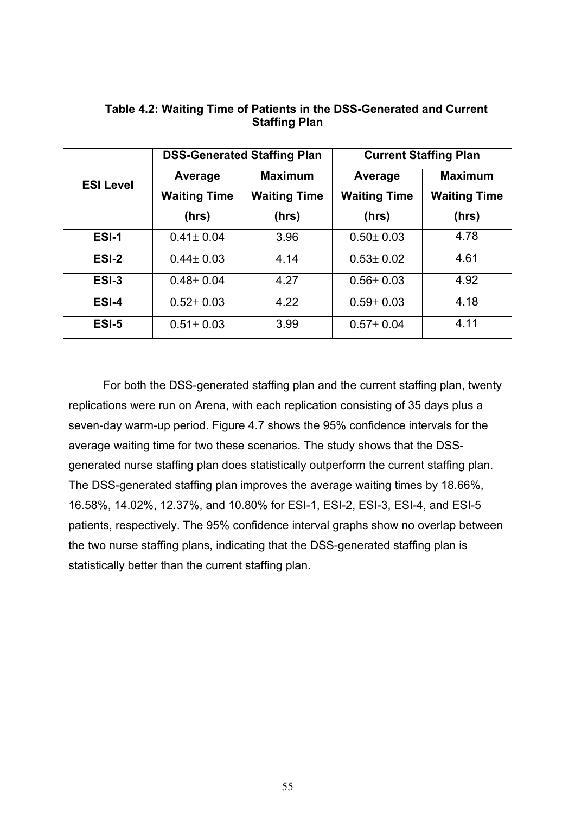|                  |                     | <b>DSS-Generated Staffing Plan</b> | <b>Current Staffing Plan</b> |                     |  |  |
|------------------|---------------------|------------------------------------|------------------------------|---------------------|--|--|
| <b>ESI Level</b> | Average             | <b>Maximum</b>                     | Average                      | <b>Maximum</b>      |  |  |
|                  | <b>Waiting Time</b> | <b>Waiting Time</b>                | <b>Waiting Time</b>          | <b>Waiting Time</b> |  |  |
|                  | (hrs)               | (hrs)                              | (hrs)                        | (hrs)               |  |  |
| <b>ESI-1</b>     | $0.41 \pm 0.04$     | 3.96                               | $0.50 \pm 0.03$              | 4.78                |  |  |
| ESI-2            | $0.44 \pm 0.03$     | 4.14                               | $0.53 \pm 0.02$              | 4.61                |  |  |
| ESI-3            | $0.48 \pm 0.04$     | 4.27                               | $0.56 \pm 0.03$              | 4.92                |  |  |
| ESI-4            | $0.52 \pm 0.03$     | 4.22                               | $0.59 \pm 0.03$              | 4.18                |  |  |
| ESI-5            | $0.51 \pm 0.03$     | 3.99                               | $0.57 \pm 0.04$              | 4.11                |  |  |

## **Table 4.2: Waiting Time of Patients in the DSS-Generated and Current Staffing Plan**

For both the DSS-generated staffing plan and the current staffing plan, twenty replications were run on Arena, with each replication consisting of 35 days plus a seven-day warm-up period. Figure 4.7 shows the 95% confidence intervals for the average waiting time for two these scenarios. The study shows that the DSSgenerated nurse staffing plan does statistically outperform the current staffing plan. The DSS-generated staffing plan improves the average waiting times by 18.66%, 16.58%, 14.02%, 12.37%, and 10.80% for ESI-1, ESI-2, ESI-3, ESI-4, and ESI-5 patients, respectively. The 95% confidence interval graphs show no overlap between the two nurse staffing plans, indicating that the DSS-generated staffing plan is statistically better than the current staffing plan.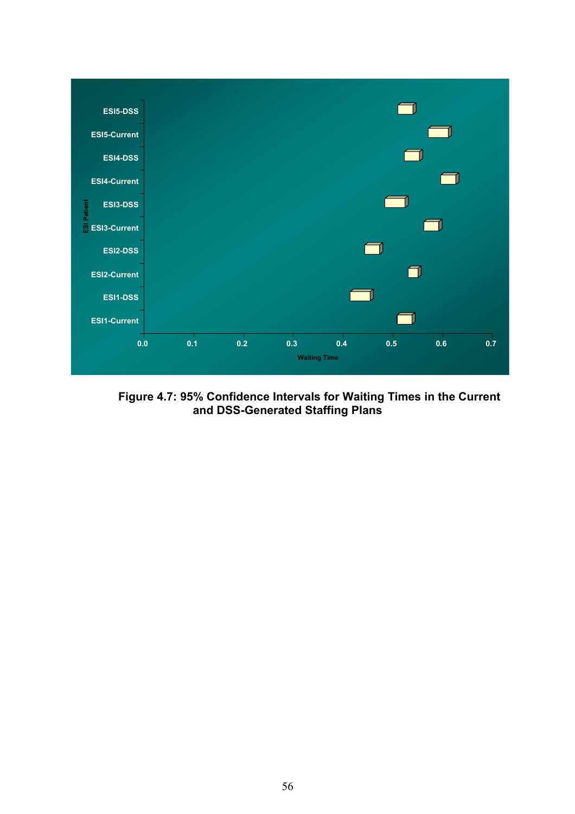

**Figure 4.7: 95% Confidence Intervals for Waiting Times in the Current and DSS-Generated Staffing Plans**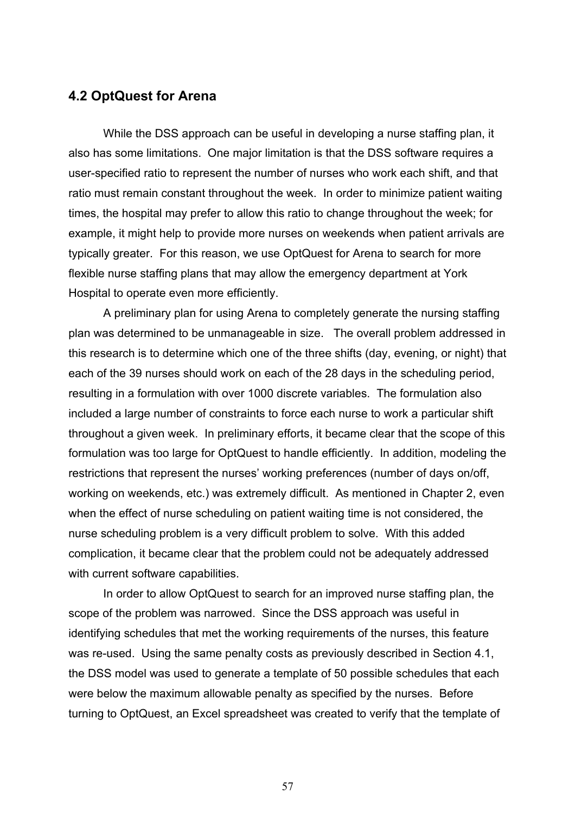## **4.2 OptQuest for Arena**

 While the DSS approach can be useful in developing a nurse staffing plan, it also has some limitations. One major limitation is that the DSS software requires a user-specified ratio to represent the number of nurses who work each shift, and that ratio must remain constant throughout the week. In order to minimize patient waiting times, the hospital may prefer to allow this ratio to change throughout the week; for example, it might help to provide more nurses on weekends when patient arrivals are typically greater. For this reason, we use OptQuest for Arena to search for more flexible nurse staffing plans that may allow the emergency department at York Hospital to operate even more efficiently.

 A preliminary plan for using Arena to completely generate the nursing staffing plan was determined to be unmanageable in size. The overall problem addressed in this research is to determine which one of the three shifts (day, evening, or night) that each of the 39 nurses should work on each of the 28 days in the scheduling period, resulting in a formulation with over 1000 discrete variables. The formulation also included a large number of constraints to force each nurse to work a particular shift throughout a given week. In preliminary efforts, it became clear that the scope of this formulation was too large for OptQuest to handle efficiently. In addition, modeling the restrictions that represent the nurses' working preferences (number of days on/off, working on weekends, etc.) was extremely difficult. As mentioned in Chapter 2, even when the effect of nurse scheduling on patient waiting time is not considered, the nurse scheduling problem is a very difficult problem to solve. With this added complication, it became clear that the problem could not be adequately addressed with current software capabilities.

 In order to allow OptQuest to search for an improved nurse staffing plan, the scope of the problem was narrowed. Since the DSS approach was useful in identifying schedules that met the working requirements of the nurses, this feature was re-used. Using the same penalty costs as previously described in Section 4.1, the DSS model was used to generate a template of 50 possible schedules that each were below the maximum allowable penalty as specified by the nurses. Before turning to OptQuest, an Excel spreadsheet was created to verify that the template of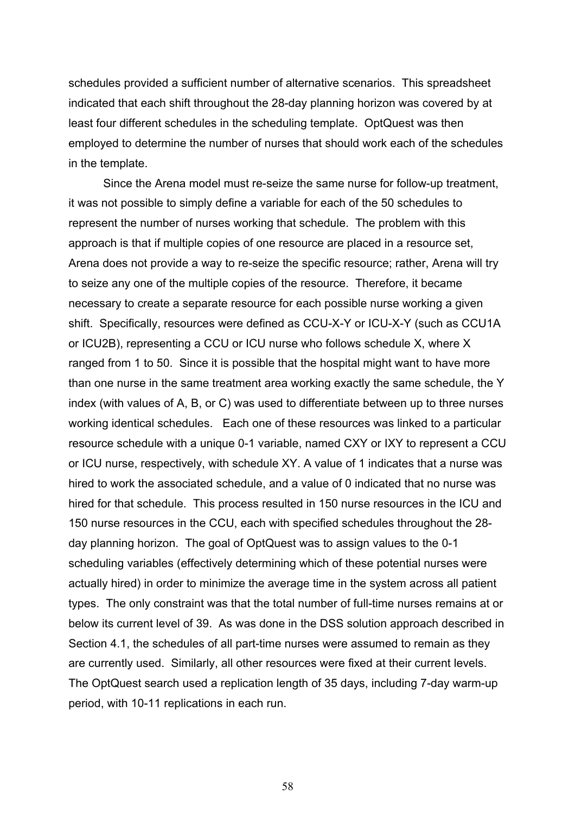schedules provided a sufficient number of alternative scenarios. This spreadsheet indicated that each shift throughout the 28-day planning horizon was covered by at least four different schedules in the scheduling template. OptQuest was then employed to determine the number of nurses that should work each of the schedules in the template.

Since the Arena model must re-seize the same nurse for follow-up treatment, it was not possible to simply define a variable for each of the 50 schedules to represent the number of nurses working that schedule. The problem with this approach is that if multiple copies of one resource are placed in a resource set, Arena does not provide a way to re-seize the specific resource; rather, Arena will try to seize any one of the multiple copies of the resource. Therefore, it became necessary to create a separate resource for each possible nurse working a given shift. Specifically, resources were defined as CCU-X-Y or ICU-X-Y (such as CCU1A or ICU2B), representing a CCU or ICU nurse who follows schedule X, where X ranged from 1 to 50. Since it is possible that the hospital might want to have more than one nurse in the same treatment area working exactly the same schedule, the Y index (with values of A, B, or C) was used to differentiate between up to three nurses working identical schedules. Each one of these resources was linked to a particular resource schedule with a unique 0-1 variable, named CXY or IXY to represent a CCU or ICU nurse, respectively, with schedule XY. A value of 1 indicates that a nurse was hired to work the associated schedule, and a value of 0 indicated that no nurse was hired for that schedule. This process resulted in 150 nurse resources in the ICU and 150 nurse resources in the CCU, each with specified schedules throughout the 28 day planning horizon. The goal of OptQuest was to assign values to the 0-1 scheduling variables (effectively determining which of these potential nurses were actually hired) in order to minimize the average time in the system across all patient types. The only constraint was that the total number of full-time nurses remains at or below its current level of 39. As was done in the DSS solution approach described in Section 4.1, the schedules of all part-time nurses were assumed to remain as they are currently used. Similarly, all other resources were fixed at their current levels. The OptQuest search used a replication length of 35 days, including 7-day warm-up period, with 10-11 replications in each run.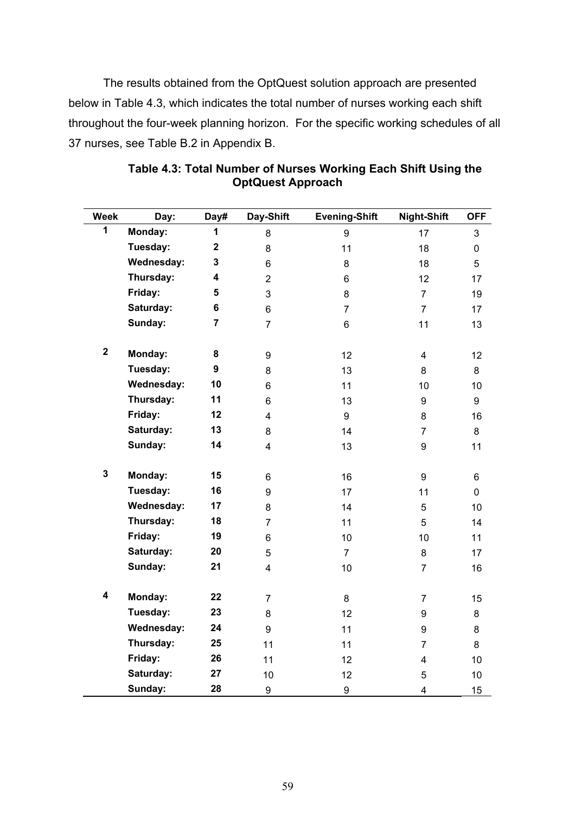The results obtained from the OptQuest solution approach are presented below in Table 4.3, which indicates the total number of nurses working each shift throughout the four-week planning horizon. For the specific working schedules of all 37 nurses, see Table B.2 in Appendix B.

| <b>Week</b>             | Day:              | Day#                    | Day-Shift               | <b>Evening-Shift</b> | <b>Night-Shift</b>      | <b>OFF</b>  |
|-------------------------|-------------------|-------------------------|-------------------------|----------------------|-------------------------|-------------|
| 1                       | Monday:           | 1                       | 8                       | 9                    | 17                      | 3           |
|                         | Tuesday:          | $\overline{\mathbf{2}}$ | 8                       | 11                   | 18                      | $\pmb{0}$   |
|                         | Wednesday:        | 3                       | 6                       | 8                    | 18                      | 5           |
|                         | Thursday:         | 4                       | $\overline{2}$          | 6                    | 12                      | 17          |
|                         | Friday:           | 5                       | 3                       | 8                    | $\overline{7}$          | 19          |
|                         | Saturday:         | $6\phantom{a}$          | 6                       | $\overline{7}$       | $\overline{7}$          | 17          |
|                         | Sunday:           | $\overline{7}$          | $\overline{7}$          | 6                    | 11                      | 13          |
| $\mathbf 2$             | Monday:           | 8                       | 9                       | 12                   | $\overline{\mathbf{4}}$ | 12          |
|                         | Tuesday:          | 9                       | 8                       | 13                   | 8                       | 8           |
|                         | Wednesday:        | 10                      | 6                       | 11                   | 10                      | 10          |
|                         | Thursday:         | 11                      | 6                       | 13                   | 9                       | 9           |
|                         | Friday:           | 12                      | $\overline{\mathbf{4}}$ | 9                    | 8                       | 16          |
|                         | Saturday:         | 13                      | 8                       | 14                   | $\overline{7}$          | 8           |
|                         | Sunday:           | 14                      | $\overline{\mathbf{4}}$ | 13                   | 9                       | 11          |
| $\mathbf 3$             | Monday:           | 15                      | 6                       | 16                   | 9                       | 6           |
|                         | Tuesday:          | 16                      | 9                       | 17                   | 11                      | $\mathbf 0$ |
|                         | <b>Wednesday:</b> | 17                      | 8                       | 14                   | 5                       | 10          |
|                         | Thursday:         | 18                      | $\overline{7}$          | 11                   | 5                       | 14          |
|                         | Friday:           | 19                      | 6                       | 10                   | 10                      | 11          |
|                         | Saturday:         | 20                      | 5                       | $\overline{7}$       | 8                       | 17          |
|                         | Sunday:           | 21                      | $\overline{\mathbf{4}}$ | 10                   | $\overline{7}$          | 16          |
| $\overline{\mathbf{4}}$ | Monday:           | 22                      | $\overline{7}$          | 8                    | $\overline{7}$          | 15          |
|                         | Tuesday:          | 23                      | 8                       | 12                   | 9                       | 8           |
|                         | <b>Wednesday:</b> | 24                      | $\boldsymbol{9}$        | 11                   | 9                       | 8           |
|                         | Thursday:         | 25                      | 11                      | 11                   | $\overline{7}$          | 8           |
|                         | Friday:           | 26                      | 11                      | 12                   | $\overline{\mathbf{4}}$ | 10          |
|                         | Saturday:         | 27                      | 10                      | 12                   | 5                       | 10          |
|                         | Sunday:           | 28                      | 9                       | 9                    | $\overline{\mathbf{4}}$ | 15          |

**Table 4.3: Total Number of Nurses Working Each Shift Using the OptQuest Approach**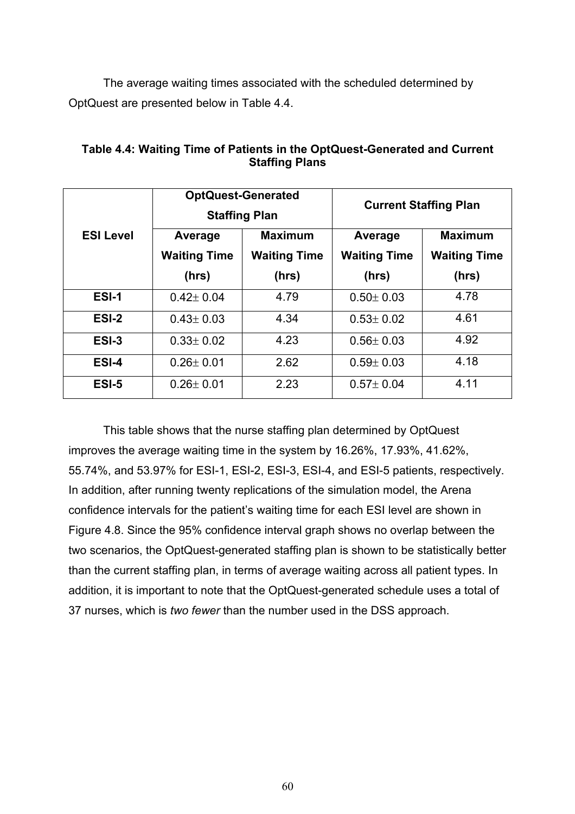The average waiting times associated with the scheduled determined by OptQuest are presented below in Table 4.4.

|                  |                     | <b>OptQuest-Generated</b><br><b>Staffing Plan</b> | <b>Current Staffing Plan</b> |                                       |  |
|------------------|---------------------|---------------------------------------------------|------------------------------|---------------------------------------|--|
| <b>ESI Level</b> | Average             | <b>Maximum</b>                                    | Average                      | <b>Maximum</b><br><b>Waiting Time</b> |  |
|                  | <b>Waiting Time</b> | <b>Waiting Time</b>                               | <b>Waiting Time</b>          |                                       |  |
|                  | (hrs)               | (hrs)                                             | (hrs)                        | (hrs)                                 |  |
| ESI-1            | $0.42 \pm 0.04$     | 4.79                                              | $0.50 \pm 0.03$              | 4.78                                  |  |
| ESI-2            | $0.43 \pm 0.03$     | 4.34                                              | $0.53 \pm 0.02$              | 4.61                                  |  |
| ESI-3            | $0.33 \pm 0.02$     | 4.23                                              | $0.56 \pm 0.03$              | 4.92                                  |  |
| ESI-4            | $0.26 \pm 0.01$     | 2.62                                              | $0.59 \pm 0.03$              | 4.18                                  |  |
| ESI-5            | $0.26 \pm 0.01$     | 2.23                                              | $0.57 \pm 0.04$              | 4.11                                  |  |

**Table 4.4: Waiting Time of Patients in the OptQuest-Generated and Current Staffing Plans** 

This table shows that the nurse staffing plan determined by OptQuest improves the average waiting time in the system by 16.26%, 17.93%, 41.62%, 55.74%, and 53.97% for ESI-1, ESI-2, ESI-3, ESI-4, and ESI-5 patients, respectively. In addition, after running twenty replications of the simulation model, the Arena confidence intervals for the patient's waiting time for each ESI level are shown in Figure 4.8. Since the 95% confidence interval graph shows no overlap between the two scenarios, the OptQuest-generated staffing plan is shown to be statistically better than the current staffing plan, in terms of average waiting across all patient types. In addition, it is important to note that the OptQuest-generated schedule uses a total of 37 nurses, which is *two fewer* than the number used in the DSS approach.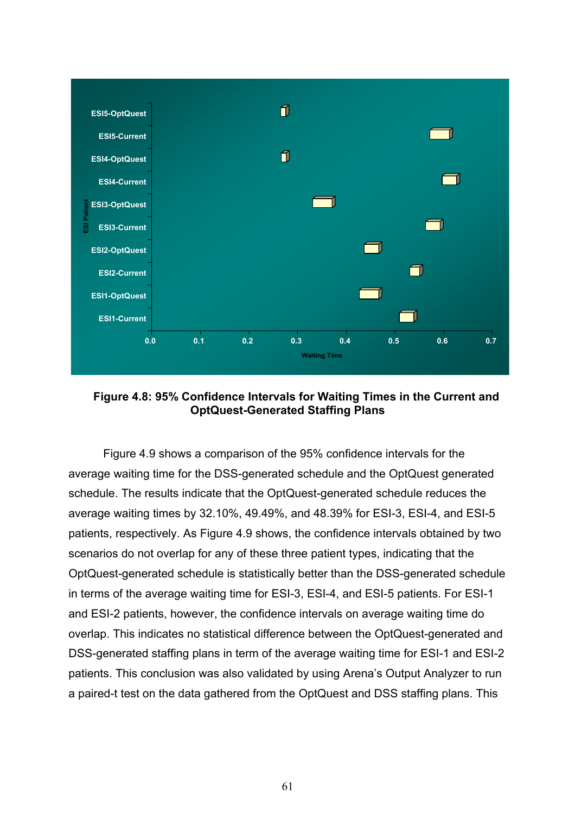

**Figure 4.8: 95% Confidence Intervals for Waiting Times in the Current and OptQuest-Generated Staffing Plans** 

Figure 4.9 shows a comparison of the 95% confidence intervals for the average waiting time for the DSS-generated schedule and the OptQuest generated schedule. The results indicate that the OptQuest-generated schedule reduces the average waiting times by 32.10%, 49.49%, and 48.39% for ESI-3, ESI-4, and ESI-5 patients, respectively. As Figure 4.9 shows, the confidence intervals obtained by two scenarios do not overlap for any of these three patient types, indicating that the OptQuest-generated schedule is statistically better than the DSS-generated schedule in terms of the average waiting time for ESI-3, ESI-4, and ESI-5 patients. For ESI-1 and ESI-2 patients, however, the confidence intervals on average waiting time do overlap. This indicates no statistical difference between the OptQuest-generated and DSS-generated staffing plans in term of the average waiting time for ESI-1 and ESI-2 patients. This conclusion was also validated by using Arena's Output Analyzer to run a paired-t test on the data gathered from the OptQuest and DSS staffing plans. This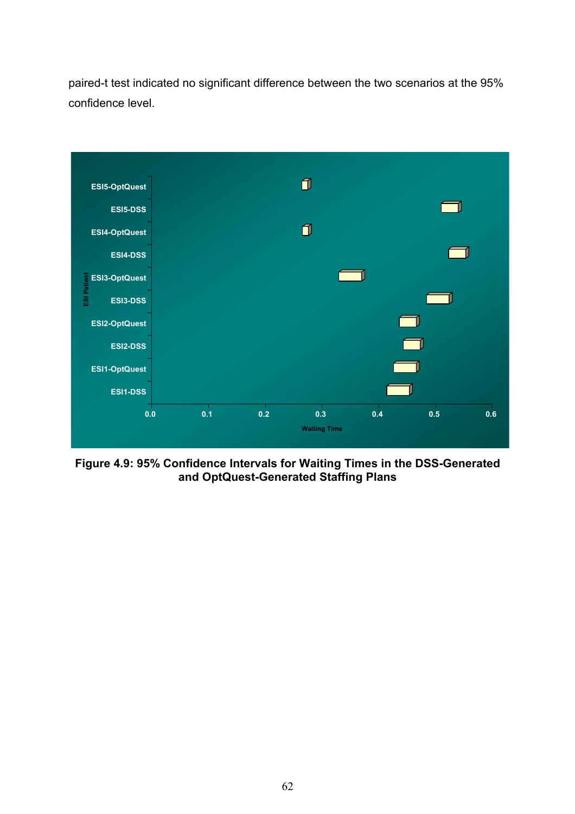paired-t test indicated no significant difference between the two scenarios at the 95% confidence level.



**Figure 4.9: 95% Confidence Intervals for Waiting Times in the DSS-Generated and OptQuest-Generated Staffing Plans**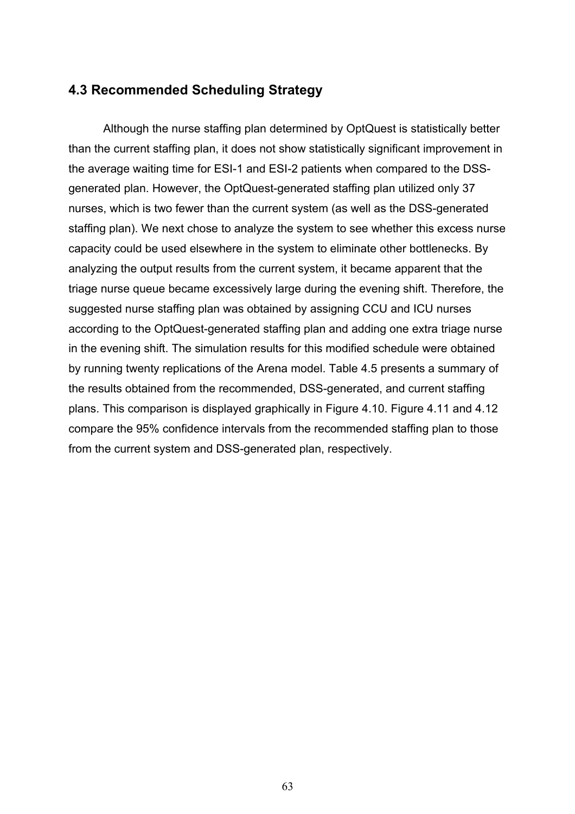# **4.3 Recommended Scheduling Strategy**

Although the nurse staffing plan determined by OptQuest is statistically better than the current staffing plan, it does not show statistically significant improvement in the average waiting time for ESI-1 and ESI-2 patients when compared to the DSSgenerated plan. However, the OptQuest-generated staffing plan utilized only 37 nurses, which is two fewer than the current system (as well as the DSS-generated staffing plan). We next chose to analyze the system to see whether this excess nurse capacity could be used elsewhere in the system to eliminate other bottlenecks. By analyzing the output results from the current system, it became apparent that the triage nurse queue became excessively large during the evening shift. Therefore, the suggested nurse staffing plan was obtained by assigning CCU and ICU nurses according to the OptQuest-generated staffing plan and adding one extra triage nurse in the evening shift. The simulation results for this modified schedule were obtained by running twenty replications of the Arena model. Table 4.5 presents a summary of the results obtained from the recommended, DSS-generated, and current staffing plans. This comparison is displayed graphically in Figure 4.10. Figure 4.11 and 4.12 compare the 95% confidence intervals from the recommended staffing plan to those from the current system and DSS-generated plan, respectively.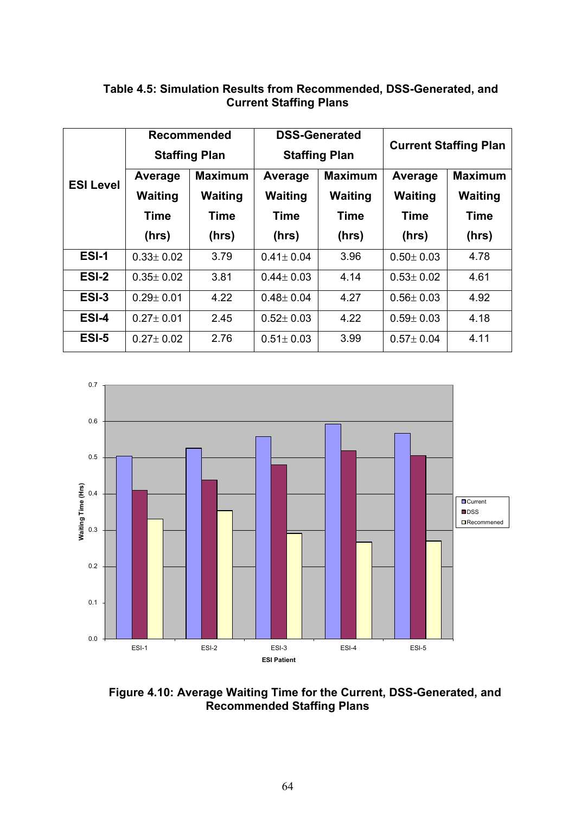|                  |                 | <b>Recommended</b><br><b>Staffing Plan</b> |                 | <b>DSS-Generated</b><br><b>Staffing Plan</b> | <b>Current Staffing Plan</b> |                |  |  |  |
|------------------|-----------------|--------------------------------------------|-----------------|----------------------------------------------|------------------------------|----------------|--|--|--|
| <b>ESI Level</b> | Average         | <b>Maximum</b>                             | Average         | <b>Maximum</b>                               | Average                      | <b>Maximum</b> |  |  |  |
|                  | <b>Waiting</b>  | <b>Waiting</b>                             | <b>Waiting</b>  | <b>Waiting</b>                               | <b>Waiting</b>               | <b>Waiting</b> |  |  |  |
|                  | <b>Time</b>     | <b>Time</b>                                | <b>Time</b>     | <b>Time</b>                                  | <b>Time</b>                  | <b>Time</b>    |  |  |  |
|                  | (hrs)           | (hrs)                                      | (hrs)           | (hrs)                                        | (hrs)                        | (hrs)          |  |  |  |
| ESI-1            | $0.33 \pm 0.02$ | 3.79                                       | $0.41 \pm 0.04$ | 3.96                                         | $0.50 \pm 0.03$              | 4.78           |  |  |  |
| ESI-2            | $0.35 \pm 0.02$ | 3.81                                       | $0.44 \pm 0.03$ | 4.14                                         | $0.53 \pm 0.02$              | 4.61           |  |  |  |
| ESI-3            | $0.29 \pm 0.01$ | 4.22                                       | $0.48 \pm 0.04$ | 4.27                                         | $0.56 \pm 0.03$              | 4.92           |  |  |  |
| ESI-4            | $0.27 \pm 0.01$ | 2.45                                       | $0.52 \pm 0.03$ | 4.22                                         | $0.59 \pm 0.03$              | 4.18           |  |  |  |
| ESI-5            | $0.27 \pm 0.02$ | 2.76                                       | $0.51 \pm 0.03$ | 3.99                                         | $0.57 \pm 0.04$              | 4.11           |  |  |  |

#### **Table 4.5: Simulation Results from Recommended, DSS-Generated, and Current Staffing Plans**



**Figure 4.10: Average Waiting Time for the Current, DSS-Generated, and Recommended Staffing Plans**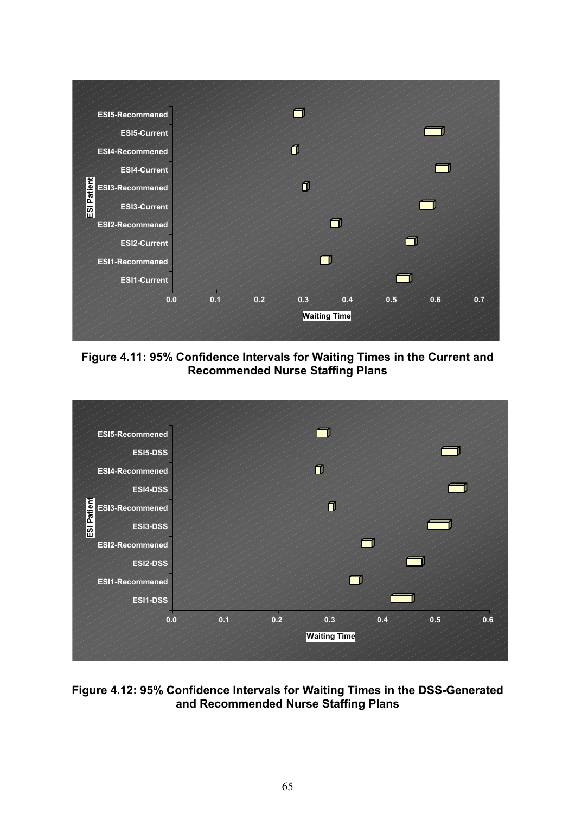

**Figure 4.11: 95% Confidence Intervals for Waiting Times in the Current and Recommended Nurse Staffing Plans** 



#### **Figure 4.12: 95% Confidence Intervals for Waiting Times in the DSS-Generated and Recommended Nurse Staffing Plans**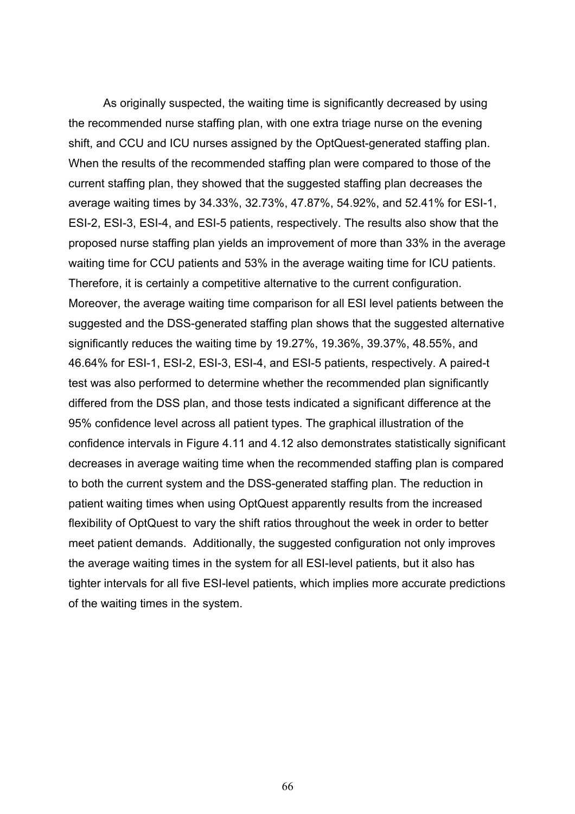As originally suspected, the waiting time is significantly decreased by using the recommended nurse staffing plan, with one extra triage nurse on the evening shift, and CCU and ICU nurses assigned by the OptQuest-generated staffing plan. When the results of the recommended staffing plan were compared to those of the current staffing plan, they showed that the suggested staffing plan decreases the average waiting times by 34.33%, 32.73%, 47.87%, 54.92%, and 52.41% for ESI-1, ESI-2, ESI-3, ESI-4, and ESI-5 patients, respectively. The results also show that the proposed nurse staffing plan yields an improvement of more than 33% in the average waiting time for CCU patients and 53% in the average waiting time for ICU patients. Therefore, it is certainly a competitive alternative to the current configuration. Moreover, the average waiting time comparison for all ESI level patients between the suggested and the DSS-generated staffing plan shows that the suggested alternative significantly reduces the waiting time by 19.27%, 19.36%, 39.37%, 48.55%, and 46.64% for ESI-1, ESI-2, ESI-3, ESI-4, and ESI-5 patients, respectively. A paired-t test was also performed to determine whether the recommended plan significantly differed from the DSS plan, and those tests indicated a significant difference at the 95% confidence level across all patient types. The graphical illustration of the confidence intervals in Figure 4.11 and 4.12 also demonstrates statistically significant decreases in average waiting time when the recommended staffing plan is compared to both the current system and the DSS-generated staffing plan. The reduction in patient waiting times when using OptQuest apparently results from the increased flexibility of OptQuest to vary the shift ratios throughout the week in order to better meet patient demands. Additionally, the suggested configuration not only improves the average waiting times in the system for all ESI-level patients, but it also has tighter intervals for all five ESI-level patients, which implies more accurate predictions of the waiting times in the system.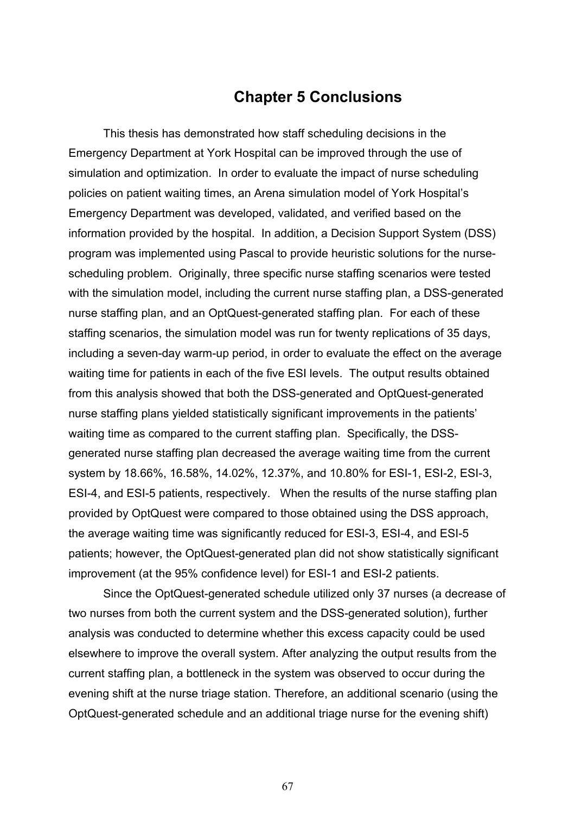## **Chapter 5 Conclusions**

This thesis has demonstrated how staff scheduling decisions in the Emergency Department at York Hospital can be improved through the use of simulation and optimization. In order to evaluate the impact of nurse scheduling policies on patient waiting times, an Arena simulation model of York Hospital's Emergency Department was developed, validated, and verified based on the information provided by the hospital. In addition, a Decision Support System (DSS) program was implemented using Pascal to provide heuristic solutions for the nursescheduling problem. Originally, three specific nurse staffing scenarios were tested with the simulation model, including the current nurse staffing plan, a DSS-generated nurse staffing plan, and an OptQuest-generated staffing plan. For each of these staffing scenarios, the simulation model was run for twenty replications of 35 days, including a seven-day warm-up period, in order to evaluate the effect on the average waiting time for patients in each of the five ESI levels. The output results obtained from this analysis showed that both the DSS-generated and OptQuest-generated nurse staffing plans yielded statistically significant improvements in the patients' waiting time as compared to the current staffing plan. Specifically, the DSSgenerated nurse staffing plan decreased the average waiting time from the current system by 18.66%, 16.58%, 14.02%, 12.37%, and 10.80% for ESI-1, ESI-2, ESI-3, ESI-4, and ESI-5 patients, respectively. When the results of the nurse staffing plan provided by OptQuest were compared to those obtained using the DSS approach, the average waiting time was significantly reduced for ESI-3, ESI-4, and ESI-5 patients; however, the OptQuest-generated plan did not show statistically significant improvement (at the 95% confidence level) for ESI-1 and ESI-2 patients.

Since the OptQuest-generated schedule utilized only 37 nurses (a decrease of two nurses from both the current system and the DSS-generated solution), further analysis was conducted to determine whether this excess capacity could be used elsewhere to improve the overall system. After analyzing the output results from the current staffing plan, a bottleneck in the system was observed to occur during the evening shift at the nurse triage station. Therefore, an additional scenario (using the OptQuest-generated schedule and an additional triage nurse for the evening shift)

67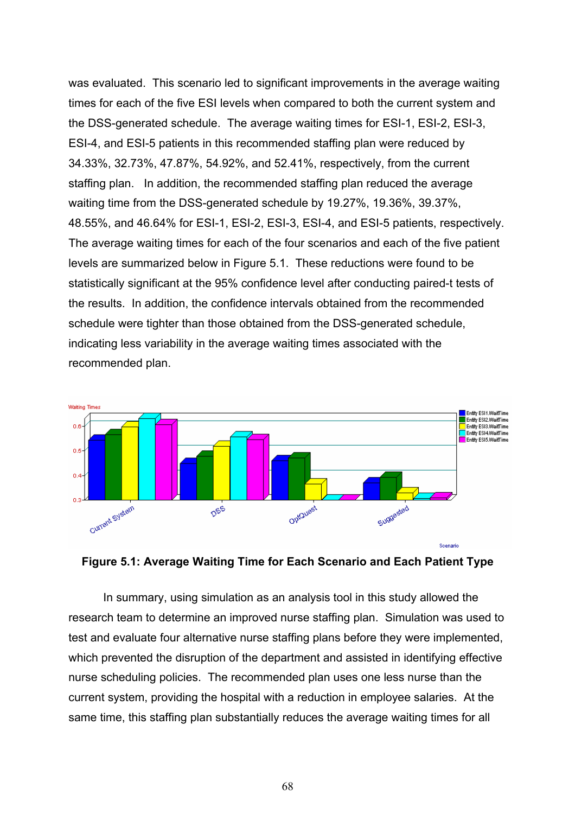was evaluated. This scenario led to significant improvements in the average waiting times for each of the five ESI levels when compared to both the current system and the DSS-generated schedule. The average waiting times for ESI-1, ESI-2, ESI-3, ESI-4, and ESI-5 patients in this recommended staffing plan were reduced by 34.33%, 32.73%, 47.87%, 54.92%, and 52.41%, respectively, from the current staffing plan. In addition, the recommended staffing plan reduced the average waiting time from the DSS-generated schedule by 19.27%, 19.36%, 39.37%, 48.55%, and 46.64% for ESI-1, ESI-2, ESI-3, ESI-4, and ESI-5 patients, respectively. The average waiting times for each of the four scenarios and each of the five patient levels are summarized below in Figure 5.1. These reductions were found to be statistically significant at the 95% confidence level after conducting paired-t tests of the results. In addition, the confidence intervals obtained from the recommended schedule were tighter than those obtained from the DSS-generated schedule, indicating less variability in the average waiting times associated with the recommended plan.





In summary, using simulation as an analysis tool in this study allowed the research team to determine an improved nurse staffing plan. Simulation was used to test and evaluate four alternative nurse staffing plans before they were implemented, which prevented the disruption of the department and assisted in identifying effective nurse scheduling policies. The recommended plan uses one less nurse than the current system, providing the hospital with a reduction in employee salaries. At the same time, this staffing plan substantially reduces the average waiting times for all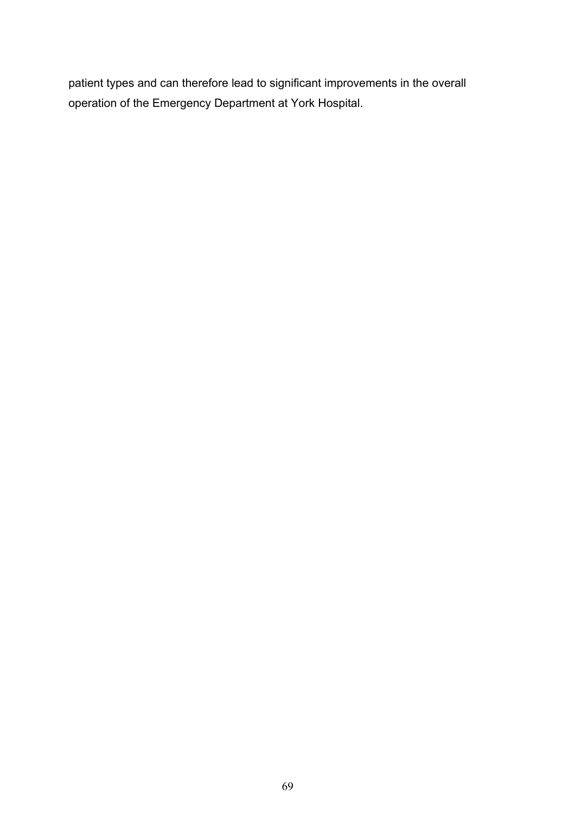patient types and can therefore lead to significant improvements in the overall operation of the Emergency Department at York Hospital.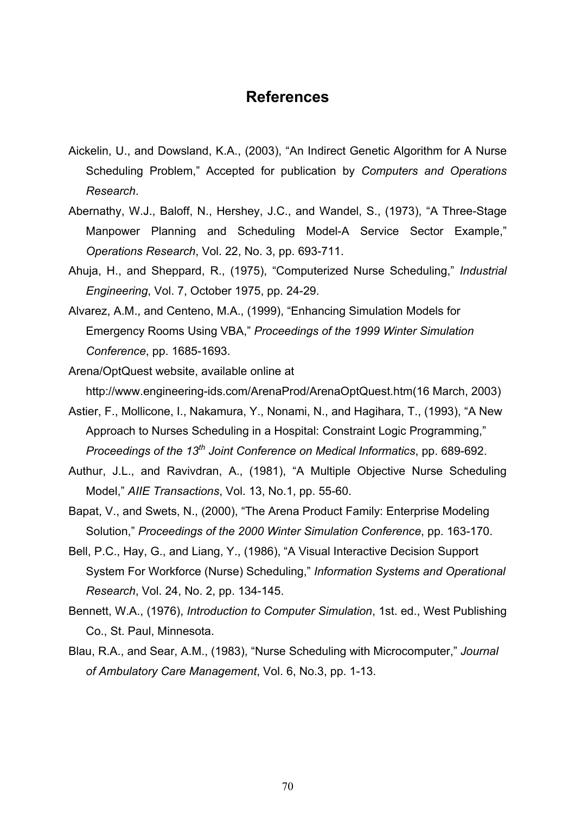### **References**

- Aickelin, U., and Dowsland, K.A., (2003), "An Indirect Genetic Algorithm for A Nurse Scheduling Problem," Accepted for publication by *Computers and Operations Research*.
- Abernathy, W.J., Baloff, N., Hershey, J.C., and Wandel, S., (1973), "A Three-Stage Manpower Planning and Scheduling Model-A Service Sector Example," *Operations Research*, Vol. 22, No. 3, pp. 693-711.
- Ahuja, H., and Sheppard, R., (1975), "Computerized Nurse Scheduling," *Industrial Engineering*, Vol. 7, October 1975, pp. 24-29.
- Alvarez, A.M., and Centeno, M.A., (1999), "Enhancing Simulation Models for Emergency Rooms Using VBA," *Proceedings of the 1999 Winter Simulation Conference*, pp. 1685-1693.
- Arena/OptQuest website, available online at http://www.engineering-ids.com/ArenaProd/ArenaOptQuest.htm(16 March, 2003)
- Astier, F., Mollicone, I., Nakamura, Y., Nonami, N., and Hagihara, T., (1993), "A New Approach to Nurses Scheduling in a Hospital: Constraint Logic Programming," *Proceedings of the 13th Joint Conference on Medical Informatics*, pp. 689-692.
- Authur, J.L., and Ravivdran, A., (1981), "A Multiple Objective Nurse Scheduling Model," *AIIE Transactions*, Vol. 13, No.1, pp. 55-60.
- Bapat, V., and Swets, N., (2000), "The Arena Product Family: Enterprise Modeling Solution," *Proceedings of the 2000 Winter Simulation Conference*, pp. 163-170.
- Bell, P.C., Hay, G., and Liang, Y., (1986), "A Visual Interactive Decision Support System For Workforce (Nurse) Scheduling," *Information Systems and Operational Research*, Vol. 24, No. 2, pp. 134-145.
- Bennett, W.A., (1976), *Introduction to Computer Simulation*, 1st. ed., West Publishing Co., St. Paul, Minnesota.
- Blau, R.A., and Sear, A.M., (1983), "Nurse Scheduling with Microcomputer," *Journal of Ambulatory Care Management*, Vol. 6, No.3, pp. 1-13.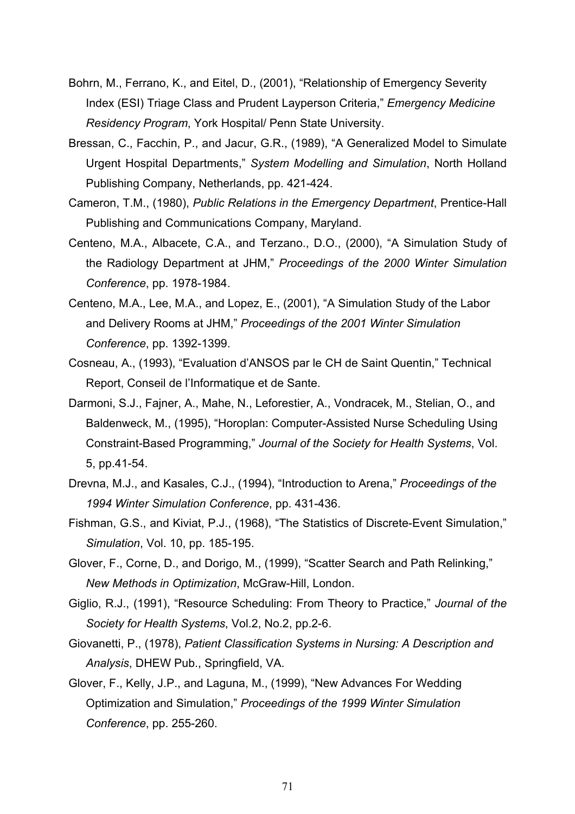- Bohrn, M., Ferrano, K., and Eitel, D., (2001), "Relationship of Emergency Severity Index (ESI) Triage Class and Prudent Layperson Criteria," *Emergency Medicine Residency Program*, York Hospital/ Penn State University.
- Bressan, C., Facchin, P., and Jacur, G.R., (1989), "A Generalized Model to Simulate Urgent Hospital Departments," *System Modelling and Simulation*, North Holland Publishing Company, Netherlands, pp. 421-424.
- Cameron, T.M., (1980), *Public Relations in the Emergency Department*, Prentice-Hall Publishing and Communications Company, Maryland.
- Centeno, M.A., Albacete, C.A., and Terzano., D.O., (2000), "A Simulation Study of the Radiology Department at JHM," *Proceedings of the 2000 Winter Simulation Conference*, pp. 1978-1984.
- Centeno, M.A., Lee, M.A., and Lopez, E., (2001), "A Simulation Study of the Labor and Delivery Rooms at JHM," *Proceedings of the 2001 Winter Simulation Conference*, pp. 1392-1399.
- Cosneau, A., (1993), "Evaluation d'ANSOS par le CH de Saint Quentin," Technical Report, Conseil de l'Informatique et de Sante.
- Darmoni, S.J., Fajner, A., Mahe, N., Leforestier, A., Vondracek, M., Stelian, O., and Baldenweck, M., (1995), "Horoplan: Computer-Assisted Nurse Scheduling Using Constraint-Based Programming," *Journal of the Society for Health Systems*, Vol. 5, pp.41-54.
- Drevna, M.J., and Kasales, C.J., (1994), "Introduction to Arena," *Proceedings of the 1994 Winter Simulation Conference*, pp. 431-436.
- Fishman, G.S., and Kiviat, P.J., (1968), "The Statistics of Discrete-Event Simulation," *Simulation*, Vol. 10, pp. 185-195.
- Glover, F., Corne, D., and Dorigo, M., (1999), "Scatter Search and Path Relinking," *New Methods in Optimization*, McGraw-Hill, London.
- Giglio, R.J., (1991), "Resource Scheduling: From Theory to Practice," *Journal of the Society for Health Systems*, Vol.2, No.2, pp.2-6.
- Giovanetti, P., (1978), *Patient Classification Systems in Nursing: A Description and Analysis*, DHEW Pub., Springfield, VA.
- Glover, F., Kelly, J.P., and Laguna, M., (1999), "New Advances For Wedding Optimization and Simulation," *Proceedings of the 1999 Winter Simulation Conference*, pp. 255-260.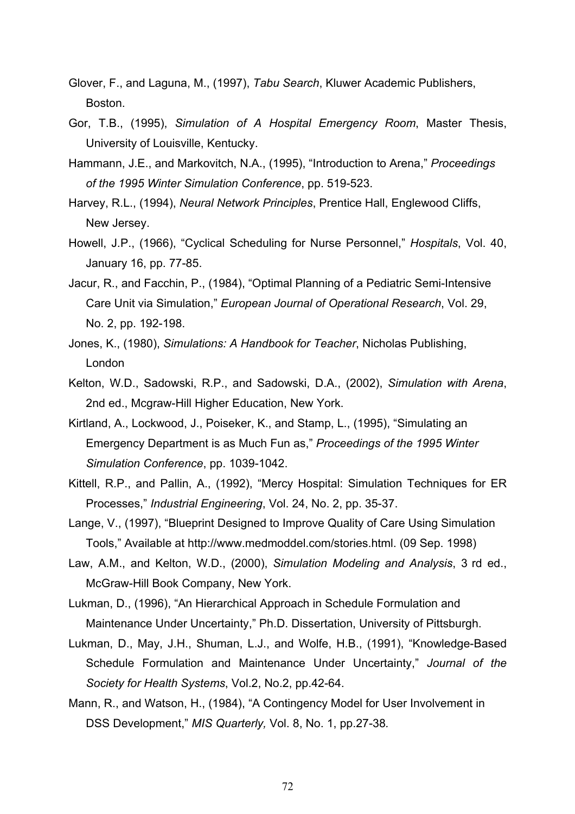- Glover, F., and Laguna, M., (1997), *Tabu Search*, Kluwer Academic Publishers, **Boston**
- Gor, T.B., (1995), *Simulation of A Hospital Emergency Room*, Master Thesis, University of Louisville, Kentucky.
- Hammann, J.E., and Markovitch, N.A., (1995), "Introduction to Arena," *Proceedings of the 1995 Winter Simulation Conference*, pp. 519-523.
- Harvey, R.L., (1994), *Neural Network Principles*, Prentice Hall, Englewood Cliffs, New Jersey.
- Howell, J.P., (1966), "Cyclical Scheduling for Nurse Personnel," *Hospitals*, Vol. 40, January 16, pp. 77-85.
- Jacur, R., and Facchin, P., (1984), "Optimal Planning of a Pediatric Semi-Intensive Care Unit via Simulation," *European Journal of Operational Research*, Vol. 29, No. 2, pp. 192-198.
- Jones, K., (1980), *Simulations: A Handbook for Teacher*, Nicholas Publishing, London
- Kelton, W.D., Sadowski, R.P., and Sadowski, D.A., (2002), *Simulation with Arena*, 2nd ed., Mcgraw-Hill Higher Education, New York.
- Kirtland, A., Lockwood, J., Poiseker, K., and Stamp, L., (1995), "Simulating an Emergency Department is as Much Fun as," *Proceedings of the 1995 Winter Simulation Conference*, pp. 1039-1042.
- Kittell, R.P., and Pallin, A., (1992), "Mercy Hospital: Simulation Techniques for ER Processes," *Industrial Engineering*, Vol. 24, No. 2, pp. 35-37.
- Lange, V., (1997), "Blueprint Designed to Improve Quality of Care Using Simulation Tools," Available at http://www.medmoddel.com/stories.html. (09 Sep. 1998)
- Law, A.M., and Kelton, W.D., (2000), *Simulation Modeling and Analysis*, 3 rd ed., McGraw-Hill Book Company, New York.

Lukman, D., (1996), "An Hierarchical Approach in Schedule Formulation and Maintenance Under Uncertainty," Ph.D. Dissertation, University of Pittsburgh.

Lukman, D., May, J.H., Shuman, L.J., and Wolfe, H.B., (1991), "Knowledge-Based Schedule Formulation and Maintenance Under Uncertainty," *Journal of the Society for Health Systems*, Vol.2, No.2, pp.42-64.

Mann, R., and Watson, H., (1984), "A Contingency Model for User Involvement in DSS Development," *MIS Quarterly,* Vol. 8, No. 1, pp.27-38*.*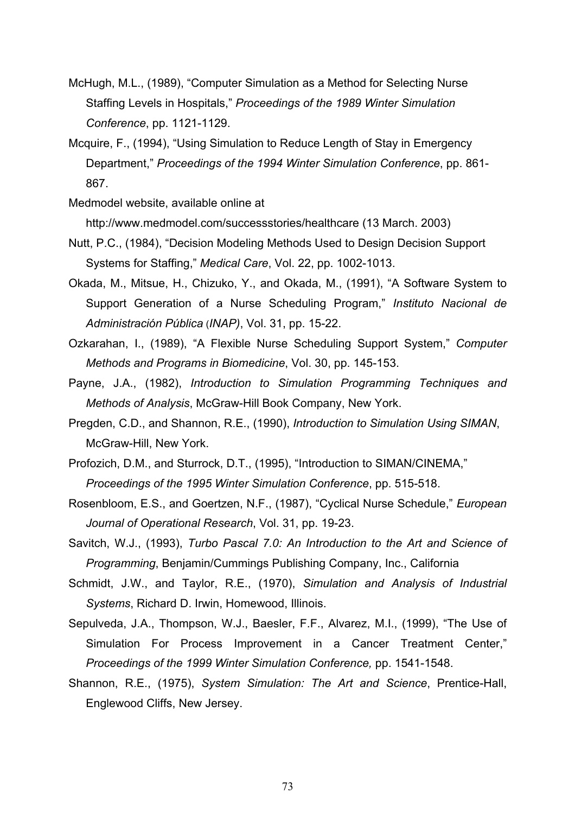- McHugh, M.L., (1989), "Computer Simulation as a Method for Selecting Nurse Staffing Levels in Hospitals," *Proceedings of the 1989 Winter Simulation Conference*, pp. 1121-1129.
- Mcquire, F., (1994), "Using Simulation to Reduce Length of Stay in Emergency Department," *Proceedings of the 1994 Winter Simulation Conference*, pp. 861- 867.

Medmodel website, available online at

http://www.medmodel.com/successstories/healthcare (13 March. 2003)

- Nutt, P.C., (1984), "Decision Modeling Methods Used to Design Decision Support Systems for Staffing," *Medical Care*, Vol. 22, pp. 1002-1013.
- Okada, M., Mitsue, H., Chizuko, Y., and Okada, M., (1991), "A Software System to Support Generation of a Nurse Scheduling Program," *Instituto Nacional de Administración Pública* (*INAP)*, Vol. 31, pp. 15-22.
- Ozkarahan, I., (1989), "A Flexible Nurse Scheduling Support System," *Computer Methods and Programs in Biomedicine*, Vol. 30, pp. 145-153.
- Payne, J.A., (1982), *Introduction to Simulation Programming Techniques and Methods of Analysis*, McGraw-Hill Book Company, New York.
- Pregden, C.D., and Shannon, R.E., (1990), *Introduction to Simulation Using SIMAN*, McGraw-Hill, New York.

Profozich, D.M., and Sturrock, D.T., (1995), "Introduction to SIMAN/CINEMA," *Proceedings of the 1995 Winter Simulation Conference*, pp. 515-518.

- Rosenbloom, E.S., and Goertzen, N.F., (1987), "Cyclical Nurse Schedule," *European Journal of Operational Research*, Vol. 31, pp. 19-23.
- Savitch, W.J., (1993), *Turbo Pascal 7.0: An Introduction to the Art and Science of Programming*, Benjamin/Cummings Publishing Company, Inc., California
- Schmidt, J.W., and Taylor, R.E., (1970), *Simulation and Analysis of Industrial Systems*, Richard D. Irwin, Homewood, Illinois.
- Sepulveda, J.A., Thompson, W.J., Baesler, F.F., Alvarez, M.I., (1999), "The Use of Simulation For Process Improvement in a Cancer Treatment Center," *Proceedings of the 1999 Winter Simulation Conference,* pp. 1541-1548.
- Shannon, R.E., (1975), *System Simulation: The Art and Science*, Prentice-Hall, Englewood Cliffs, New Jersey.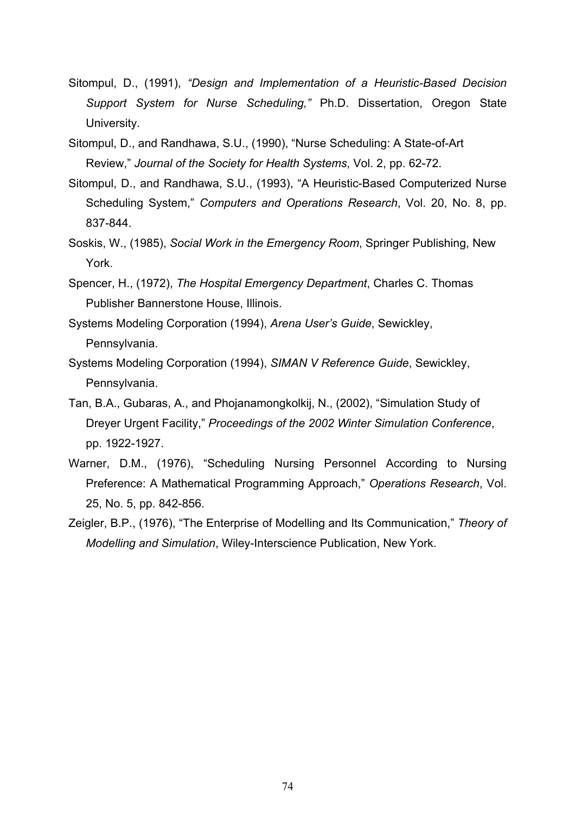- Sitompul, D., (1991), *"Design and Implementation of a Heuristic-Based Decision Support System for Nurse Scheduling,"* Ph.D. Dissertation, Oregon State University.
- Sitompul, D., and Randhawa, S.U., (1990), "Nurse Scheduling: A State-of-Art Review," *Journal of the Society for Health Systems*, Vol. 2, pp. 62-72.
- Sitompul, D., and Randhawa, S.U., (1993), "A Heuristic-Based Computerized Nurse Scheduling System," *Computers and Operations Research*, Vol. 20, No. 8, pp. 837-844.
- Soskis, W., (1985), *Social Work in the Emergency Room*, Springer Publishing, New York.
- Spencer, H., (1972), *The Hospital Emergency Department*, Charles C. Thomas Publisher Bannerstone House, Illinois.
- Systems Modeling Corporation (1994), *Arena User's Guide*, Sewickley, Pennsylvania.
- Systems Modeling Corporation (1994), *SIMAN V Reference Guide*, Sewickley, Pennsylvania.
- Tan, B.A., Gubaras, A., and Phojanamongkolkij, N., (2002), "Simulation Study of Dreyer Urgent Facility," *Proceedings of the 2002 Winter Simulation Conference*, pp. 1922-1927.
- Warner, D.M., (1976), "Scheduling Nursing Personnel According to Nursing Preference: A Mathematical Programming Approach," *Operations Research*, Vol. 25, No. 5, pp. 842-856.
- Zeigler, B.P., (1976), "The Enterprise of Modelling and Its Communication," *Theory of Modelling and Simulation*, Wiley-Interscience Publication, New York.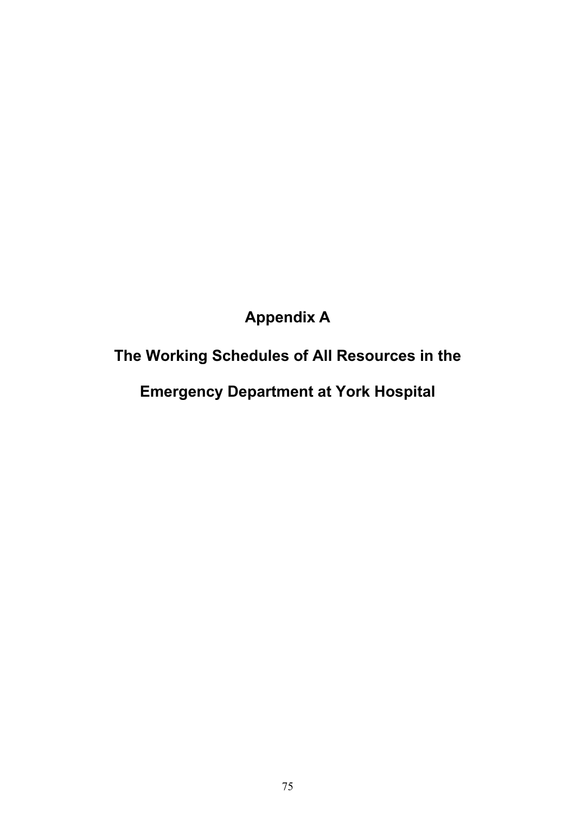# **Appendix A**

# **The Working Schedules of All Resources in the**

**Emergency Department at York Hospital**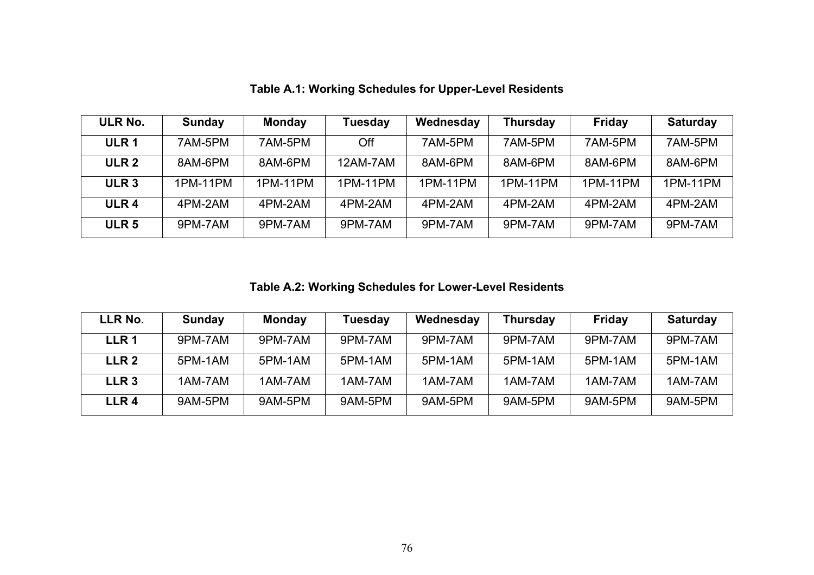| ULR No.          | <b>Sunday</b> | <b>Monday</b> | <b>Tuesday</b> | Wednesday | <b>Thursday</b> | <b>Friday</b> | <b>Saturday</b> |
|------------------|---------------|---------------|----------------|-----------|-----------------|---------------|-----------------|
| ULR <sub>1</sub> | 7AM-5PM       | 7AM-5PM       | Off            | 7AM-5PM   | 7AM-5PM         | 7AM-5PM       | 7AM-5PM         |
| ULR <sub>2</sub> | 8AM-6PM       | 8AM-6PM       | 12AM-7AM       | 8AM-6PM   | 8AM-6PM         | 8AM-6PM       | 8AM-6PM         |
| ULR <sub>3</sub> | 1PM-11PM      | 1PM-11PM      | 1PM-11PM       | 1PM-11PM  | 1PM-11PM        | 1PM-11PM      | 1PM-11PM        |
| ULR <sub>4</sub> | 4PM-2AM       | 4PM-2AM       | 4PM-2AM        | 4PM-2AM   | 4PM-2AM         | 4PM-2AM       | 4PM-2AM         |
| ULR <sub>5</sub> | 9PM-7AM       | 9PM-7AM       | 9PM-7AM        | 9PM-7AM   | 9PM-7AM         | 9PM-7AM       | 9PM-7AM         |

**Table A.1: Working Schedules for Upper-Level Residents** 

**Table A.2: Working Schedules for Lower-Level Residents** 

| LLR No.          | Sunday  | <b>Monday</b> | Tuesday | Wednesday | <b>Thursday</b> | Friday  | <b>Saturday</b> |
|------------------|---------|---------------|---------|-----------|-----------------|---------|-----------------|
| LLR 1            | 9PM-7AM | 9PM-7AM       | 9PM-7AM | 9PM-7AM   | 9PM-7AM         | 9PM-7AM | 9PM-7AM         |
| LLR <sub>2</sub> | 5PM-1AM | 5PM-1AM       | 5PM-1AM | 5PM-1AM   | 5PM-1AM         | 5PM-1AM | 5PM-1AM         |
| LLR <sub>3</sub> | 1AM-7AM | 1AM-7AM       | 1AM-7AM | 1AM-7AM   | 1AM-7AM         | 1AM-7AM | 1AM-7AM         |
| LLR4             | 9AM-5PM | 9AM-5PM       | 9AM-5PM | 9AM-5PM   | 9AM-5PM         | 9AM-5PM | 9AM-5PM         |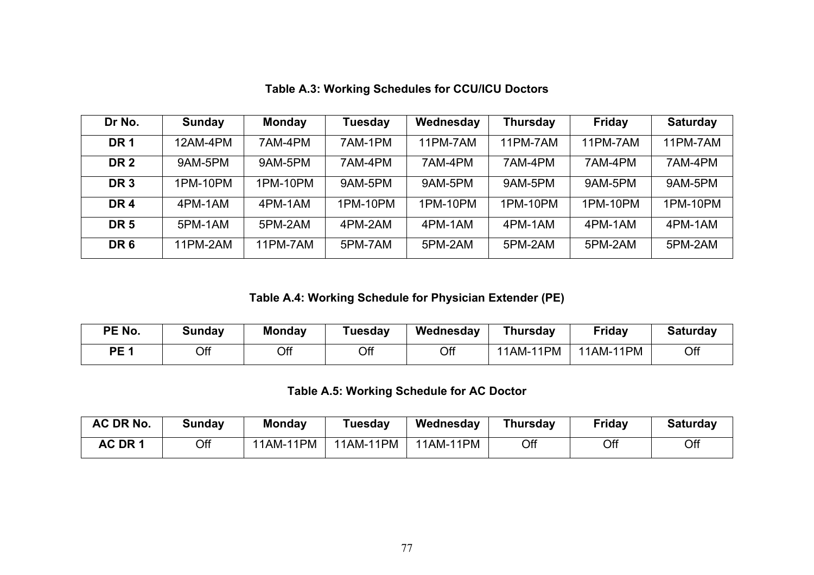| Dr No.          | <b>Sunday</b> | <b>Monday</b> | Tuesday  | Wednesday | <b>Thursday</b> | <b>Friday</b> | <b>Saturday</b> |
|-----------------|---------------|---------------|----------|-----------|-----------------|---------------|-----------------|
| <b>DR1</b>      | 12AM-4PM      | 7AM-4PM       | 7AM-1PM  | 11PM-7AM  | 11PM-7AM        | 11PM-7AM      | 11PM-7AM        |
| DR <sub>2</sub> | 9AM-5PM       | 9AM-5PM       | 7AM-4PM  | 7AM-4PM   | 7AM-4PM         | 7AM-4PM       | 7AM-4PM         |
| DR <sub>3</sub> | 1PM-10PM      | 1PM-10PM      | 9AM-5PM  | 9AM-5PM   | 9AM-5PM         | 9AM-5PM       | 9AM-5PM         |
| DR <sub>4</sub> | 4PM-1AM       | 4PM-1AM       | 1PM-10PM | 1PM-10PM  | 1PM-10PM        | 1PM-10PM      | 1PM-10PM        |
| DR <sub>5</sub> | 5PM-1AM       | 5PM-2AM       | 4PM-2AM  | 4PM-1AM   | 4PM-1AM         | 4PM-1AM       | 4PM-1AM         |
| DR <sub>6</sub> | 11PM-2AM      | 11PM-7AM      | 5PM-7AM  | 5PM-2AM   | 5PM-2AM         | 5PM-2AM       | 5PM-2AM         |

**Table A.3: Working Schedules for CCU/ICU Doctors** 

**Table A.4: Working Schedule for Physician Extender (PE)** 

| <b>PE No.</b>   | Sunday | <b>Monday</b> | Tuesday | Wednesday | <b>Thursday</b>   | <b>Friday</b>     | <b>Saturday</b> |
|-----------------|--------|---------------|---------|-----------|-------------------|-------------------|-----------------|
| PE <sub>1</sub> | Off    | Off           | Off     | Off       | -11PM<br>$11$ AM- | 11PM<br>$11AM-$ . | Off             |

### **Table A.5: Working Schedule for AC Doctor**

| AC DR No. | Sunday | <b>Monday</b> | ⊺uesday   | Wednesday | Thursday | <b>Friday</b> | <b>Saturday</b> |
|-----------|--------|---------------|-----------|-----------|----------|---------------|-----------------|
| AC DR 1   | Off    | 11AM-11PM     | 11AM-11PM | 11AM-11PM | Off      | Off           | Off             |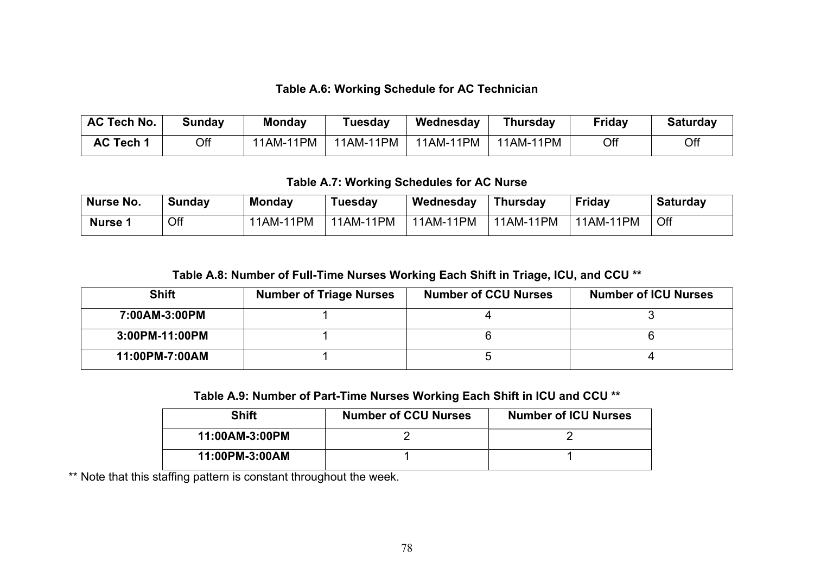#### **Table A.6: Working Schedule for AC Technician**

| <b>AC Tech No.</b> | Sunday | <b>Monday</b> | Tuesday   | Wednesday | Thursday  | <b>Friday</b> | <b>Saturday</b> |
|--------------------|--------|---------------|-----------|-----------|-----------|---------------|-----------------|
| <b>AC Tech 1</b>   | Off    | 11AM-11PM     | 11AM-11PM | 11AM-11PM | 11AM-11PM | Off           | Off             |

#### **Table A.7: Working Schedules for AC Nurse**

| Nurse No.          | Sunday | <b>Monday</b> | Tuesday   | Wednesday | Thursday  | <b>Friday</b> | <b>Saturday</b> |
|--------------------|--------|---------------|-----------|-----------|-----------|---------------|-----------------|
| Nurse <sup>4</sup> | Off    | 11AM-11PM     | 11AM-11PM | 11AM-11PM | 11AM-11PM | 11AM-11PM     | Off             |

#### **Table A.8: Number of Full-Time Nurses Working Each Shift in Triage, ICU, and CCU \*\***

| <b>Shift</b>   | <b>Number of Triage Nurses</b> | <b>Number of CCU Nurses</b> | <b>Number of ICU Nurses</b> |
|----------------|--------------------------------|-----------------------------|-----------------------------|
| 7:00AM-3:00PM  |                                |                             |                             |
| 3:00PM-11:00PM |                                |                             |                             |
| 11:00PM-7:00AM |                                |                             |                             |

#### **Table A.9: Number of Part-Time Nurses Working Each Shift in ICU and CCU \*\***

| <b>Shift</b>   | <b>Number of CCU Nurses</b> | <b>Number of ICU Nurses</b> |
|----------------|-----------------------------|-----------------------------|
| 11:00AM-3:00PM |                             |                             |
| 11:00PM-3:00AM |                             |                             |

\*\* Note that this staffing pattern is constant throughout the week.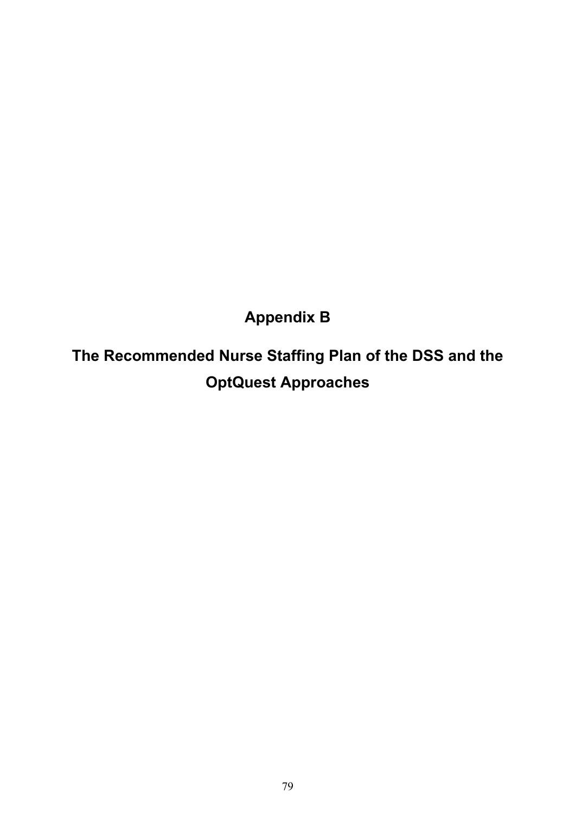**Appendix B** 

**The Recommended Nurse Staffing Plan of the DSS and the OptQuest Approaches**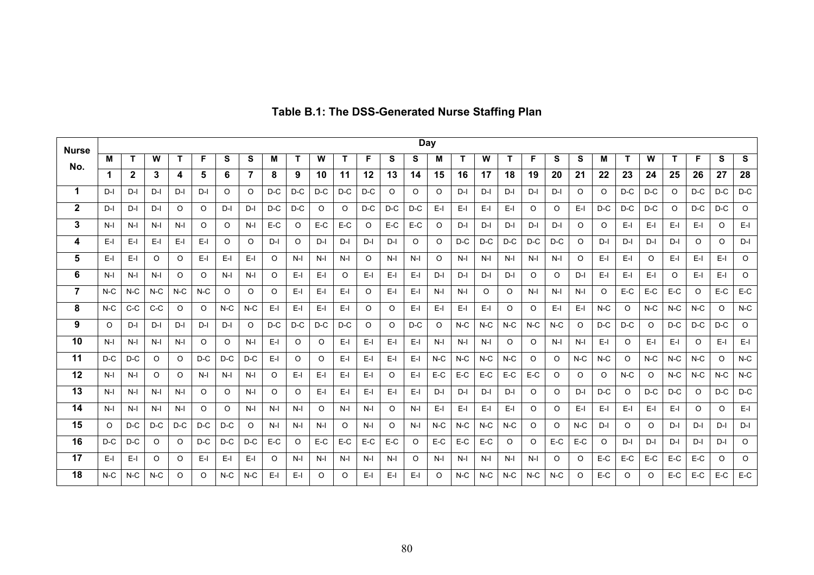| <b>Nurse</b>   | <b>Day</b> |              |         |         |         |         |         |         |          |         |         |         |         |         |          |       |       |         |         |         |         |         |         |          |         |          |         |         |
|----------------|------------|--------------|---------|---------|---------|---------|---------|---------|----------|---------|---------|---------|---------|---------|----------|-------|-------|---------|---------|---------|---------|---------|---------|----------|---------|----------|---------|---------|
| No.            | м          | т            | W       | T       | F       | S       | S       | M       |          | W       |         | F       | s       | s       | Μ        | Т     | W     | т       | F       | S       | S       | Μ       |         | W        | т       | F        | S       | S       |
|                |            | $\mathbf{2}$ | 3       | 4       | 5       | 6       |         | 8       | 9        | 10      | 11      | $12 \,$ | 13      | 14      | 15       | 16    | 17    | 18      | 19      | 20      | 21      | 22      | 23      | 24       | 25      | 26       | 27      | 28      |
| 1              | $D-I$      | $D-I$        | $D-I$   | $D-I$   | $D-I$   | $\circ$ | $\circ$ | $D-C$   | $D-C$    | $D-C$   | $D-C$   | $D-C$   | $\circ$ | O       | O        | $D-I$ | D-l   | D-l     | $D-I$   | $D-I$   | O       | $\circ$ | $D-C$   | $D-C$    | $\circ$ | $D-C$    | $D-C$   | $D-C$   |
| $\mathbf{2}$   | $D-I$      | $D-I$        | $D-I$   | O       | O       | $D-I$   | $D-I$   | $D-C$   | $D-C$    | $\circ$ | O       | $D-C$   | $D-C$   | $D-C$   | $E-I$    | $E-I$ | $E-I$ | $E-I$   | $\circ$ | O       | $E-I$   | $D-C$   | $D-C$   | $D-C$    | $\circ$ | $D-C$    | $D-C$   | $\circ$ |
| 3              | $N-I$      | $N-I$        | $N-I$   | $N-I$   | $\circ$ | $\circ$ | $N-I$   | E-C     | $\circ$  | E-C     | E-C     | $\circ$ | $E-C$   | E-C     | O        | $D-I$ | $D-I$ | $D-I$   | $D-I$   | $D-I$   | O       | O       | $E-I$   | $E-I$    | $E-I$   | $E-I$    | $\circ$ | $E-I$   |
| 4              | $E-I$      | $E-I$        | $E-I$   | $E-I$   | $E-I$   | $\circ$ | O       | $D-I$   | $\circ$  | $D-I$   | $D-I$   | $D-I$   | $D-I$   | O       | $\Omega$ | $D-C$ | $D-C$ | $D-C$   | $D-C$   | $D-C$   | O       | $D-I$   | $D-I$   | $D-I$    | $D-I$   | $\circ$  | $\circ$ | $D-I$   |
| 5              | $E-I$      | $E-I$        | $\circ$ | $\circ$ | $E-I$   | E-I     | $E-I$   | $\circ$ | $N-I$    | $N-I$   | $N-I$   | O       | $N-I$   | $N-I$   | O        | $N-I$ | $N-I$ | $N-I$   | $N-I$   | $N-I$   | O       | $E-I$   | $E-I$   | $\circ$  | $E-I$   | $E-I$    | $E-I$   | $\circ$ |
| 6              | $N-I$      | $N-I$        | $N-I$   | $\circ$ | $\circ$ | $N-I$   | $N-I$   | $\circ$ | $E-I$    | E-I     | O       | $E-I$   | E-I     | $E-I$   | $D-I$    | $D-I$ | $D-I$ | $D-I$   | $\circ$ | $\circ$ | $D-I$   | $E-I$   | $E-I$   | $E-I$    | $\circ$ | $E-I$    | $E-I$   | $\circ$ |
| $\overline{7}$ | $N-C$      | $N-C$        | $N-C$   | $N-C$   | $N-C$   | $\circ$ | $\circ$ | O       | E-I      | E-I     | E-I     | O       | E-I     | $E-I$   | N-I      | $N-I$ | O     | O       | $N-I$   | $N-I$   | $N-I$   | $\circ$ | E-C     | E-C      | E-C     | $\Omega$ | E-C     | E-C     |
| 8              | $N-C$      | $C-C$        | $C-C$   | O       | $\circ$ | $N-C$   | $N-C$   | E-I     | E-I      | E-I     | E-I     | O       | O       | $E-I$   | E-I      | E-I   | E-I   | O       | O       | E-I     | E-I     | $N-C$   | $\circ$ | $N-C$    | $N-C$   | $N-C$    | O       | $N-C$   |
| 9              | O          | $D-I$        | $D-I$   | $D-I$   | $D-I$   | $D-I$   | O       | $D-C$   | $D-C$    | $D-C$   | $D-C$   | O       | O       | $D-C$   | O        | $N-C$ | $N-C$ | $N-C$   | $N-C$   | $N-C$   | O       | $D-C$   | $D-C$   | $\Omega$ | $D-C$   | $D-C$    | $D-C$   | O       |
| 10             | $N-I$      | $N-I$        | $N-I$   | $N-I$   | $\circ$ | $\circ$ | $N-I$   | E-I     | $\circ$  | O       | $E-I$   | $E-I$   | E-I     | E-I     | $N-I$    | $N-I$ | $N-I$ | $\circ$ | $\circ$ | $N-I$   | $N-I$   | E-I     | $\circ$ | $E-I$    | $E-I$   | $\circ$  | $E-I$   | $E-I$   |
| 11             | $D-C$      | $D-C$        | O       | $\circ$ | $D-C$   | $D-C$   | $D-C$   | $E-I$   | O        | $\circ$ | E-I     | $E-I$   | $E-I$   | $E-I$   | $N-C$    | $N-C$ | $N-C$ | $N-C$   | $\circ$ | O       | $N-C$   | $N-C$   | $\circ$ | $N-C$    | $N-C$   | $N-C$    | $\circ$ | $N-C$   |
| 12             | $N-I$      | $N-I$        | O       | $\circ$ | $N-I$   | $N-I$   | $N-I$   | $\circ$ | $E-I$    | $E-I$   | E-I     | $E-I$   | O       | $E-I$   | $E-C$    | E-C   | E-C   | E-C     | E-C     | O       | $\circ$ | O       | $N-C$   | $\circ$  | $N-C$   | $N-C$    | $N-C$   | $N-C$   |
| 13             | $N-I$      | $N-I$        | $N-I$   | $N-I$   | $\circ$ | $\circ$ | $N-I$   | $\circ$ | $\circ$  | E-I     | E-I     | $E-I$   | $E-I$   | $E-I$   | $D-I$    | $D-I$ | $D-I$ | $D-I$   | O       | O       | $D-I$   | $D-C$   | $\circ$ | $D-C$    | $D-C$   | $\Omega$ | $D-C$   | $D-C$   |
| 14             | $N-I$      | $N-I$        | $N-I$   | $N-I$   | $\circ$ | $\circ$ | $N-I$   | $N-I$   | $N-I$    | $\circ$ | $N-I$   | $N-I$   | $\circ$ | $N-I$   | E-I      | $E-I$ | $E-I$ | $E-I$   | $\circ$ | $\circ$ | $E-I$   | $E-I$   | $E-I$   | $E-I$    | $E-I$   | $\circ$  | $\circ$ | $E-I$   |
| 15             | $\circ$    | $D-C$        | $D-C$   | $D-C$   | $D-C$   | $D-C$   | $\circ$ | $N-I$   | $N-I$    | $N-I$   | $\circ$ | $N-I$   | $\circ$ | $N-I$   | $N-C$    | $N-C$ | $N-C$ | $N-C$   | O       | O       | $N-C$   | $D-I$   | $\circ$ | $\circ$  | $D-I$   | $D-I$    | $D-I$   | $D-I$   |
| 16             | $D-C$      | $D-C$        | $\circ$ | $\circ$ | $D-C$   | $D-C$   | $D-C$   | $E-C$   | $\Omega$ | $E-C$   | $E-C$   | $E-C$   | E-C     | $\circ$ | $E-C$    | $E-C$ | $E-C$ | O       | O.      | $E-C$   | E-C     | $\circ$ | $D-I$   | $D-I$    | $D-I$   | $D-I$    | $D-I$   | O       |
| 17             | $E-I$      | $E-I$        | O       | O       | E-I     | E-I     | E-I     | O       | $N-I$    | $N-I$   | $N-I$   | $N-I$   | $N-I$   | O       | $N-I$    | $N-I$ | $N-I$ | $N-I$   | $N-I$   | $\circ$ | $\circ$ | E-C     | E-C     | $E-C$    | $E-C$   | E-C      | $\circ$ | $\circ$ |
| 18             | $N-C$      | $N-C$        | $N-C$   | O       | $\circ$ | $N-C$   | $N-C$   | $E-I$   | $E-I$    | O       | O       | E-I     | E-I     | $E-I$   | $\Omega$ | $N-C$ | $N-C$ | $N-C$   | $N-C$   | $N-C$   | $\circ$ | $E-C$   | $\circ$ | $\circ$  | $E-C$   | $E-C$    | $E-C$   | E-C     |

# **Table B.1: The DSS-Generated Nurse Staffing Plan**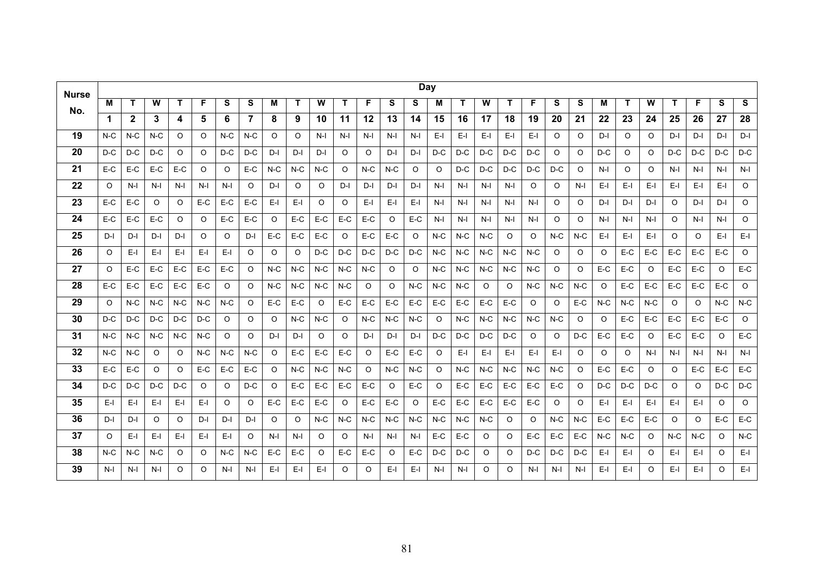| <b>Nurse</b> | <b>Day</b> |             |       |       |          |       |                |         |         |         |       |         |       |         |         |       |         |         |         |          |         |         |         |          |         |          |          |         |
|--------------|------------|-------------|-------|-------|----------|-------|----------------|---------|---------|---------|-------|---------|-------|---------|---------|-------|---------|---------|---------|----------|---------|---------|---------|----------|---------|----------|----------|---------|
| No.          | м          | T           | W     | Т     | F        | S     | S              | М       | T       | W       | т     | F       | s     | s       | м       | т     | W       | T       | F       | S        | S       | М       | т       | W        | т       | F        | S        | S       |
|              | 1          | $\mathbf 2$ | 3     | 4     | 5        | 6     | $\overline{7}$ | 8       | 9       | 10      | 11    | 12      | 13    | 14      | 15      | 16    | 17      | 18      | 19      | 20       | 21      | 22      | 23      | 24       | 25      | 26       | 27       | 28      |
| 19           | $N-C$      | $N-C$       | $N-C$ | O     | O        | $N-C$ | $N-C$          | O       | O       | $N-I$   | $N-I$ | $N-I$   | $N-I$ | $N-I$   | E-I     | E-I   | E-I     | E-I     | E-I     | O        | O       | $D-I$   | O       | O        | D-I     | $D-I$    | $D-I$    | $D-I$   |
| 20           | D-C        | D-C         | $D-C$ | O     | O        | $D-C$ | $D-C$          | $D-I$   | $D-I$   | $D-I$   | O     | O       | $D-I$ | $D-I$   | $D-C$   | $D-C$ | $D-C$   | $D-C$   | $D-C$   | $\Omega$ | $\circ$ | $D-C$   | O       | $\Omega$ | $D-C$   | $D-C$    | $D-C$    | $D-C$   |
| 21           | $E-C$      | E-C         | $E-C$ | E-C   | O        | O     | E-C            | $N-C$   | $N-C$   | $N-C$   | O     | $N-C$   | $N-C$ | O       | O       | $D-C$ | $D-C$   | $D-C$   | $D-C$   | $D-C$    | O       | $N-I$   | O       | O        | $N-I$   | $N-I$    | $N-I$    | $N-I$   |
| 22           | $\Omega$   | $N-I$       | $N-I$ | $N-I$ | $N-I$    | $N-I$ | $\circ$        | $D-I$   | $\circ$ | $\circ$ | D-I   | $D-I$   | D-I   | $D-I$   | $N-I$   | $N-I$ | $N-I$   | $N-I$   | $\circ$ | $\circ$  | $N-I$   | $E-I$   | E-I     | $E-I$    | E-I     | $E-I$    | $E-I$    | $\circ$ |
| 23           | E-C        | E-C         | O     | O     | E-C      | E-C   | E-C            | E-I     | E-I     | O       | O     | E-I     | E-I   | $E-I$   | N-I     | N-I   | N-I     | N-I     | N-I     | O        | O       | $D-I$   | $D-I$   | $D-I$    | O       | D-I      | D-I      | O       |
| 24           | $E-C$      | E-C         | E-C   | O     | O        | E-C   | E-C            | $\circ$ | E-C     | E-C     | E-C   | E-C     | O     | E-C     | N-I     | N-I   | N-I     | $N-I$   | N-I     | O        | O       | $N-I$   | N-I     | N-I      | O       | $N-I$    | N-I      | O       |
| 25           | $D-I$      | $D-I$       | D-I   | D-I   | O        | O     | $D-I$          | E-C     | E-C     | $E-C$   | O     | $E-C$   | E-C   | O       | $N-C$   | $N-C$ | $N-C$   | O       | O       | $N-C$    | $N-C$   | $E-I$   | $E-I$   | $E-I$    | O       | O        | $E-I$    | $E-I$   |
| 26           | O          | $E-I$       | $E-I$ | $E-I$ | $E-I$    | $E-I$ | O              | O       | O       | $D-C$   | $D-C$ | $D-C$   | $D-C$ | $D-C$   | $N-C$   | $N-C$ | $N-C$   | $N-C$   | $N-C$   | O        | O       | $\circ$ | E-C     | $E-C$    | $E-C$   | $E-C$    | $E-C$    | O       |
| 27           | Ω          | E-C         | E-C   | E-C   | E-C      | $E-C$ | O              | $N-C$   | $N-C$   | $N-C$   | $N-C$ | $N-C$   | O     | $\circ$ | $N-C$   | $N-C$ | $N-C$   | $N-C$   | $N-C$   | $\circ$  | O       | $E-C$   | E-C     | $\Omega$ | $E-C$   | $E-C$    | O        | E-C     |
| 28           | $E-C$      | $E-C$       | $E-C$ | $E-C$ | $E-C$    | O     | O              | $N-C$   | $N-C$   | $N-C$   | $N-C$ | O       | O     | $N-C$   | $N-C$   | $N-C$ | O       | $\circ$ | $N-C$   | $N-C$    | $N-C$   | $\circ$ | $E-C$   | $E-C$    | $E-C$   | $E-C$    | $E-C$    | $\circ$ |
| 29           | O          | $N-C$       | $N-C$ | $N-C$ | $N-C$    | $N-C$ | O              | $E-C$   | $E-C$   | O       | E-C   | $E-C$   | $E-C$ | $E-C$   | E-C     | $E-C$ | $E-C$   | $E-C$   | $\circ$ | O        | $E-C$   | $N-C$   | $N-C$   | $N-C$    | $\circ$ | $\Omega$ | $N-C$    | $N-C$   |
| 30           | $D-C$      | $D-C$       | $D-C$ | $D-C$ | $D-C$    | O     | O              | O       | $N-C$   | $N-C$   | O     | $N-C$   | $N-C$ | $N-C$   | $\circ$ | $N-C$ | $N-C$   | $N-C$   | $N-C$   | $N-C$    | $\circ$ | O       | $E-C$   | $E-C$    | $E-C$   | $E-C$    | $E-C$    | $\circ$ |
| 31           | $N-C$      | $N-C$       | $N-C$ | $N-C$ | $N-C$    | O     | $\circ$        | $D-I$   | $D-I$   | O       | O     | $D-I$   | $D-I$ | $D-I$   | $D-C$   | $D-C$ | $D-C$   | $D-C$   | O       | $\circ$  | $D-C$   | $E-C$   | $E-C$   | O        | $E-C$   | $E-C$    | O        | $E-C$   |
| 32           | $N-C$      | $N-C$       | O     | O     | $N-C$    | $N-C$ | $N-C$          | O       | $E-C$   | E-C     | E-C   | O       | E-C   | E-C     | $\circ$ | $E-I$ | E-I     | E-I     | E-I     | $E-I$    | O       | $\circ$ | $\circ$ | $N-I$    | $N-I$   | $N-I$    | $N-I$    | $N-I$   |
| 33           | $E-C$      | E-C         | O     | O     | $E-C$    | E-C   | E-C            | O       | $N-C$   | $N-C$   | $N-C$ | $\circ$ | $N-C$ | $N-C$   | O       | $N-C$ | $N-C$   | $N-C$   | $N-C$   | $N-C$    | O       | E-C     | $E-C$   | $\Omega$ | O       | E-C      | E-C      | E-C     |
| 34           | $D-C$      | $D-C$       | $D-C$ | $D-C$ | O        | O     | $D-C$          | O       | E-C     | $E-C$   | E-C   | E-C     | O     | E-C     | O       | E-C   | E-C     | E-C     | E-C     | E-C      | O       | $D-C$   | $D-C$   | D-C      | O       | $\circ$  | $D-C$    | $D-C$   |
| 35           | $E-I$      | $E-I$       | $E-I$ | $E-I$ | $E-I$    | O     | O              | $E-C$   | $E-C$   | $E-C$   | O     | $E-C$   | E-C   | O       | E-C     | E-C   | E-C     | $E-C$   | E-C     | $\circ$  | O       | $E-I$   | $E-I$   | $E-I$    | $E-I$   | $E-I$    | 0        | O       |
| 36           | D-I        | $D-I$       | O     | O     | D-I      | D-I   | $D-I$          | O       | O       | $N-C$   | $N-C$ | $N-C$   | $N-C$ | $N-C$   | $N-C$   | $N-C$ | $N-C$   | $\circ$ | O       | $N-C$    | $N-C$   | $E-C$   | $E-C$   | $E-C$    | O       | $\circ$  | $E-C$    | $E-C$   |
| 37           | $\circ$    | $E-I$       | E-I   | $E-I$ | $E-I$    | $E-I$ | O              | N-I     | $N-I$   | $\circ$ | O     | N-I     | N-I   | $N-I$   | E-C     | E-C   | O       | O       | E-C     | E-C      | E-C     | $N-C$   | $N-C$   | $\Omega$ | $N-C$   | $N-C$    | O        | $N-C$   |
| 38           | $N-C$      | $N-C$       | $N-C$ | O     | O        | $N-C$ | $N-C$          | $E-C$   | E-C     | O       | E-C   | $E-C$   | O     | E-C     | $D-C$   | $D-C$ | $\circ$ | O       | $D-C$   | $D-C$    | $D-C$   | $E-I$   | $E-I$   | O        | $E-I$   | $E-I$    | O        | $E-I$   |
| 39           | $N-I$      | $N-I$       | $N-I$ | O     | $\Omega$ | $N-I$ | $N-I$          | E-I     | E-I     | $E-I$   | O     | O       | E-I   | $E-I$   | $N-I$   | $N-I$ | O       | O       | $N-I$   | $N-I$    | $N-I$   | $E-I$   | E-I     | O        | $E-I$   | E-I      | $\Omega$ | $E-I$   |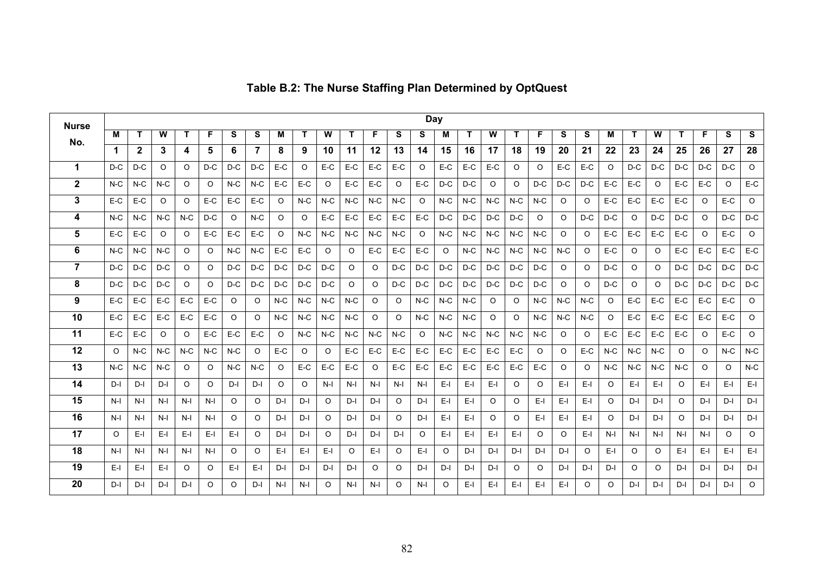| <b>Nurse</b>   |             |              |         |          |         |       |         |         |         |         |          |         |          |         | Day      |       |         |         |         |         |         |         |         |          |         |         |         |                       |
|----------------|-------------|--------------|---------|----------|---------|-------|---------|---------|---------|---------|----------|---------|----------|---------|----------|-------|---------|---------|---------|---------|---------|---------|---------|----------|---------|---------|---------|-----------------------|
| No.            | м           | Т            | W       | т        | F       | S     | s       | М       | т       | W       | т        | F.      | <b>S</b> | S       | м        | Т     | W       | т       | F       | S       | s       | М       | т       | W        | т       | F       | s       | S                     |
|                | $\mathbf 1$ | $\mathbf{2}$ | 3       | 4        | 5       | 6     | 7       | 8       | 9       | 10      | 11       | 12      | 13       | 14      | 15       | 16    | 17      | 18      | 19      | 20      | 21      | 22      | 23      | 24       | 25      | 26      | 27      | 28                    |
| $\mathbf 1$    | $D-C$       | $D-C$        | $\circ$ | O        | $D-C$   | $D-C$ | D-C     | E-C     | $\circ$ | $E-C$   | E-C      | E-C     | $E-C$    | $\circ$ | $E-C$    | E-C   | E-C     | O       | $\circ$ | E-C     | E-C     | $\circ$ | $D-C$   | $D-C$    | $D-C$   | $D-C$   | $D-C$   | $\circ$               |
| $\mathbf{2}$   | $N-C$       | $N-C$        | $N-C$   | O        | $\circ$ | $N-C$ | $N-C$   | E-C     | E-C     | $\circ$ | E-C      | E-C     | $\circ$  | E-C     | $D-C$    | $D-C$ | $\circ$ | O       | $D-C$   | $D-C$   | $D-C$   | E-C     | E-C     | O        | E-C     | E-C     | O       | E-C                   |
| 3              | $E-C$       | $E-C$        | $\circ$ | $\circ$  | E-C     | E-C   | E-C     | $\circ$ | $N-C$   | $N-C$   | $N-C$    | $N-C$   | $N-C$    | $\circ$ | $N-C$    | $N-C$ | $N-C$   | $N-C$   | $N-C$   | $\circ$ | $\circ$ | $E-C$   | $E-C$   | $E-C$    | $E-C$   | $\circ$ | $E-C$   | $\circ$               |
| 4              | $N-C$       | $N-C$        | $N-C$   | $N-C$    | $D-C$   | O     | $N-C$   | $\circ$ | $\circ$ | E-C     | E-C      | E-C     | E-C      | E-C     | D-C      | $D-C$ | $D-C$   | $D-C$   | O       | O       | $D-C$   | $D-C$   | $\circ$ | $D-C$    | D-C     | $\circ$ | $D-C$   | $D-C$                 |
| 5              | $E-C$       | E-C          | $\circ$ | O        | E-C     | E-C   | E-C     | $\circ$ | $N-C$   | $N-C$   | $N-C$    | $N-C$   | $N-C$    | $\circ$ | $N-C$    | $N-C$ | $N-C$   | $N-C$   | $N-C$   | $\circ$ | $\circ$ | $E-C$   | E-C     | E-C      | E-C     | $\circ$ | E-C     | $\circ$               |
| 6              | $N-C$       | $N-C$        | $N-C$   | O        | $\circ$ | $N-C$ | $N-C$   | E-C     | E-C     | O       | O        | E-C     | $E-C$    | $E-C$   | $\circ$  | $N-C$ | $N-C$   | $N-C$   | $N-C$   | $N-C$   | $\circ$ | E-C     | O       | O        | E-C     | $E-C$   | E-C     | $E-C$                 |
| $\overline{7}$ | $D-C$       | $D-C$        | $D-C$   | O        | O       | $D-C$ | D-C     | $D-C$   | $D-C$   | $D-C$   | $\Omega$ | $\circ$ | $D-C$    | $D-C$   | $D-C$    | $D-C$ | $D-C$   | $D-C$   | $D-C$   | $\circ$ | $\circ$ | $D-C$   | $\circ$ | O        | $D-C$   | $D-C$   | $D-C$   | D-C                   |
| 8              | $D-C$       | $D-C$        | $D-C$   | $\circ$  | O       | $D-C$ | D-C     | $D-C$   | $D-C$   | $D-C$   | O        | $\circ$ | $D-C$    | $D-C$   | $D-C$    | $D-C$ | $D-C$   | D-C     | $D-C$   | $\circ$ | $\circ$ | D-C     | $\circ$ | O        | $D-C$   | $D-C$   | $D-C$   | $D-C$                 |
| 9              | E-C         | $E-C$        | E-C     | E-C      | E-C     | O     | O       | $N-C$   | $N-C$   | $N-C$   | $N-C$    | $\circ$ | $\circ$  | $N-C$   | $N-C$    | $N-C$ | $\circ$ | O       | $N-C$   | $N-C$   | $N-C$   | O       | E-C     | E-C      | E-C     | $E-C$   | E-C     | O                     |
| 10             | $E-C$       | $E-C$        | $E-C$   | $E-C$    | E-C     | O     | O       | $N-C$   | $N-C$   | $N-C$   | $N-C$    | $\circ$ | $\circ$  | $N-C$   | $N-C$    | $N-C$ | $\circ$ | O       | $N-C$   | $N-C$   | $N-C$   | $\circ$ | $E-C$   | $E-C$    | E-C     | $E-C$   | $E-C$   | $\circ$               |
| 11             | $E-C$       | $E-C$        | $\circ$ | $\Omega$ | E-C     | E-C   | E-C     | $\circ$ | $N-C$   | $N-C$   | $N-C$    | $N-C$   | $N-C$    | $\circ$ | $N-C$    | $N-C$ | $N-C$   | $N-C$   | $N-C$   | $\circ$ | $\circ$ | E-C     | $E-C$   | $E-C$    | E-C     | $\circ$ | E-C     | $\circ$               |
| 12             | $\circ$     | $N-C$        | $N-C$   | $N-C$    | $N-C$   | $N-C$ | $\circ$ | E-C     | $\circ$ | $\circ$ | E-C      | E-C     | $E-C$    | $E-C$   | E-C      | E-C   | E-C     | E-C     | O       | $\circ$ | E-C     | $N-C$   | $N-C$   | $N-C$    | O       | $\circ$ | $N-C$   | $N\text{-}\mathrm{C}$ |
| 13             | $N-C$       | $N-C$        | $N-C$   | O        | $\circ$ | $N-C$ | $N-C$   | $\circ$ | E-C     | E-C     | E-C      | $\circ$ | E-C      | E-C     | E-C      | E-C   | E-C     | E-C     | E-C     | O       | $\circ$ | $N-C$   | $N-C$   | $N-C$    | $N-C$   | $\circ$ | O       | $N-C$                 |
| 14             | D-I         | D-I          | $D-I$   | O        | O       | D-I   | D-I     | $\circ$ | $\circ$ | $N-I$   | $N-I$    | $N-I$   | $N-I$    | $N-I$   | $E-I$    | $E-I$ | $E-I$   | O       | $\circ$ | E-L     | E-I     | $\circ$ | E-I     | E-I      | O       | $E-I$   | $E-I$   | $E-I$                 |
| 15             | $N-I$       | $N-I$        | $N-I$   | $N-I$    | $N-I$   | O     | O       | $D-I$   | D-l     | $\circ$ | D-l      | $D-I$   | O        | D-I     | $E-I$    | $E-I$ | $\circ$ | O       | $E-I$   | E-I     | $E-I$   | $\circ$ | D-I     | $D-I$    | $\circ$ | $D-I$   | D-I     | D-I                   |
| 16             | $N-I$       | $N-I$        | $N-I$   | $N-I$    | $N-I$   | O     | $\circ$ | $D-I$   | $D-I$   | $\circ$ | D-I      | $D-I$   | O        | D-I     | $E-I$    | $E-I$ | $\circ$ | O       | $E-I$   | E-I     | $E-I$   | O       | D-I     | $D-I$    | O       | $D-I$   | $D-I$   | $D-I$                 |
| 17             | $\circ$     | $E-I$        | $E-I$   | $E-I$    | $E-I$   | $E-I$ | O       | $D-I$   | $D-I$   | O       | $D-I$    | D-I     | $D-I$    | $\circ$ | $E-I$    | $E-I$ | $E-I$   | E-I     | O       | O       | $E-I$   | $N-I$   | $N-I$   | $N-I$    | $N-I$   | $N-I$   | $\circ$ | O                     |
| 18             | $N-I$       | $N-I$        | $N-I$   | $N-I$    | $N-I$   | O     | $\circ$ | E-I     | $E-I$   | E-I     | $\Omega$ | $E-I$   | $\Omega$ | $E-I$   | $\Omega$ | $D-I$ | $D-I$   | $D-I$   | $D-I$   | $D-I$   | $\circ$ | $E-I$   | $\circ$ | $\Omega$ | $E-I$   | $E-I$   | $E-I$   | $E-I$                 |
| 19             | $E-I$       | $E-I$        | E-I     | $\circ$  | $\circ$ | $E-I$ | E-I     | $D-I$   | $D-I$   | $D-I$   | $D-I$    | O       | $\circ$  | D-I     | $D-I$    | $D-I$ | $D-I$   | $\circ$ | $\circ$ | $D-I$   | $D-I$   | $D-I$   | O       | $\circ$  | $D-I$   | $D-I$   | $D-I$   | $D-I$                 |
| 20             | $D-I$       | $D-I$        | $D-I$   | $D-I$    | 0       | O     | D-I     | $N-I$   | $N-I$   | 0       | $N-I$    | $N-I$   | O        | N-I     | O        | $E-I$ | $E-I$   | $E-I$   | $E-I$   | $E-I$   | O       | O       | $D-I$   | $D-I$    | $D-I$   | $D-I$   | $D-I$   | O                     |

# **Table B.2: The Nurse Staffing Plan Determined by OptQuest**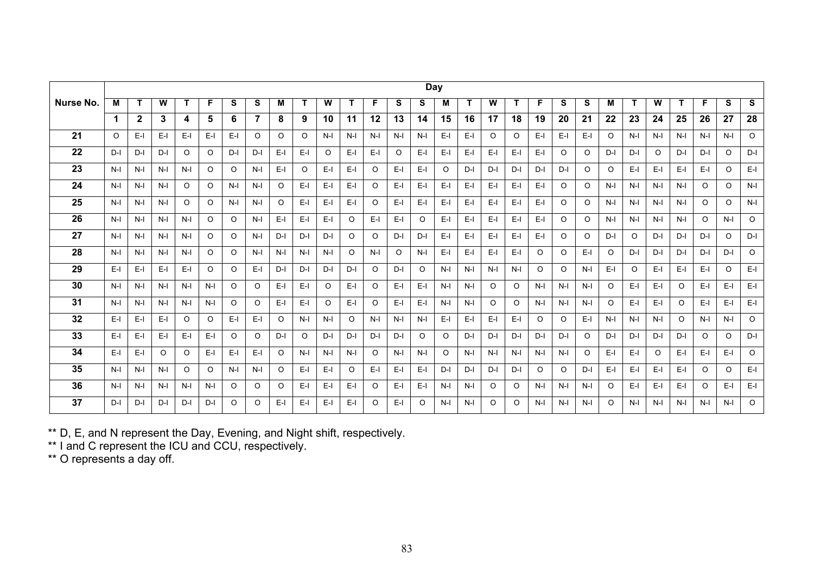|           |         |              |         |         |         |          |                |         |          |         |         |          |         |         | <b>Day</b> |       |         |          |         |          |         |         |         |          |          |          |          |         |
|-----------|---------|--------------|---------|---------|---------|----------|----------------|---------|----------|---------|---------|----------|---------|---------|------------|-------|---------|----------|---------|----------|---------|---------|---------|----------|----------|----------|----------|---------|
| Nurse No. | м       |              | W       |         | F.      | S        | S              | M       | T        | W       |         | F.       | S       | S       | M          |       | W       | T.       | F.      | S        | S       | M       | т       | W        |          | F        | S        | S       |
|           | 1       | $\mathbf{2}$ | 3       | 4       | 5       | 6        | $\overline{7}$ | 8       | 9        | 10      | 11      | 12       | 13      | 14      | 15         | 16    | 17      | 18       | 19      | 20       | 21      | 22      | 23      | 24       | 25       | 26       | 27       | 28      |
| 21        | $\circ$ | E-L          | $E-I$   | $E-I$   | E-I     | $E-I$    | $\circ$        | $\circ$ | $\Omega$ | $N-I$   | $N-I$   | $N-I$    | $N-I$   | $N-I$   | $E-I$      | E-I   | $\circ$ | $\circ$  | $E-I$   | $E-I$    | E-I     | $\circ$ | $N-I$   | $N-I$    | $N-I$    | $N-I$    | $N-I$    | $\circ$ |
| 22        | $D-I$   | D-I          | $D-I$   | $\circ$ | $\circ$ | $D-I$    | D-I            | $E-I$   | E-L      | $\circ$ | E-L     | E-I      | $\circ$ | $E-I$   | $E-I$      | E-I   | $E-I$   | E-I      | $E-I$   | $\circ$  | $\circ$ | $D-I$   | $D-I$   | $\circ$  | $D-I$    | $D-I$    | $\circ$  | D-I     |
| 23        | $N-I$   | $N-I$        | $N-I$   | $N-I$   | $\circ$ | $\Omega$ | N-I            | $E-I$   | $\circ$  | $E-I$   | E-L     | $\circ$  | $E-I$   | $E-I$   | $\Omega$   | $D-I$ | $D-I$   | $D-I$    | $D-I$   | $D-I$    | $\circ$ | $\circ$ | E-I     | $E-I$    | $E-I$    | $E-I$    | $\circ$  | $E-I$   |
| 24        | $N-I$   | $N-I$        | $N-I$   | $\circ$ | $\circ$ | $N-I$    | $N-I$          | $\circ$ | $E-I$    | $E-I$   | E-I     | $\circ$  | $E-I$   | $E-I$   | $E-I$      | $E-I$ | $E-I$   | $E-I$    | $E-I$   | $\circ$  | $\circ$ | $N-I$   | $N-I$   | $N-I$    | $N-I$    | $\circ$  | $\circ$  | $N-I$   |
| 25        | $N-I$   | $N-I$        | $N-I$   | $\circ$ | $\circ$ | $N-I$    | $N-I$          | $\circ$ | $E-I$    | $E-I$   | $E-I$   | $\Omega$ | $E-I$   | $E-I$   | $E-I$      | $E-I$ | $E-I$   | $E-I$    | $E-I$   | $\circ$  | $\circ$ | $N-I$   | $N-I$   | $N-I$    | $N-I$    | $\Omega$ | $\circ$  | $N-I$   |
| 26        | $N-I$   | $N-I$        | $N-I$   | $N-I$   | $\circ$ | $\circ$  | $N-I$          | $E-I$   | $E-I$    | $E-I$   | $\circ$ | $E-I$    | $E-I$   | $\circ$ | $E-I$      | E-I   | $E-I$   | $E-I$    | $E-I$   | $\circ$  | $\circ$ | $N-I$   | $N-I$   | $N-I$    | $N-I$    | $\circ$  | $N-I$    | $\circ$ |
| 27        | $N-I$   | $N-I$        | $N-I$   | $N-I$   | $\circ$ | $\Omega$ | $N-I$          | $D-I$   | D-I      | $D-I$   | $\circ$ | $\circ$  | $D-I$   | $D-I$   | $E-I$      | $E-I$ | $E-I$   | E-I      | $E-I$   | $\circ$  | $\circ$ | D-I     | $\circ$ | $D-I$    | D-I      | $D-I$    | $\circ$  | $D-I$   |
| 28        | $N-I$   | $N-I$        | $N-I$   | N-I     | O       | O        | $N-I$          | $N-I$   | $N-I$    | $N-I$   | $\circ$ | $N-I$    | O       | $N-I$   | $E-I$      | E-I   | $E-I$   | E-I      | O       | $\circ$  | E-I     | $\circ$ | $D-I$   | $D-I$    | D-I      | $D-I$    | D-I      | $\circ$ |
| 29        | $E-I$   | E-L          | E-I     | E-I     | $\circ$ | $\Omega$ | $E-I$          | $D-I$   | D-I      | $D-I$   | $D-I$   | $\circ$  | D-I     | $\circ$ | $N-I$      | $N-I$ | $N-I$   | $N-I$    | $\circ$ | $\circ$  | $N-I$   | $E-I$   | $\circ$ | $E-I$    | E-I      | $E-I$    | $\circ$  | $E-I$   |
| 30        | $N-I$   | $N-I$        | $N-I$   | $N-I$   | $N-I$   | $\circ$  | $\circ$        | $E-I$   | $E-I$    | $\circ$ | E-L     | $\circ$  | $E-I$   | $E-I$   | $N-I$      | $N-I$ | $\circ$ | $\circ$  | $N-I$   | $N-I$    | $N-I$   | $\circ$ | E-I     | $E-I$    | $\circ$  | $E-I$    | $E-I$    | $E-I$   |
| 31        | $N-I$   | $N-I$        | $N-I$   | $N-I$   | $N-I$   | O        | $\circ$        | $E-I$   | E-L      | $\circ$ | E-I     | $\circ$  | $E-I$   | $E-I$   | $N-I$      | $N-I$ | $\circ$ | $\circ$  | $N-I$   | $N-I$    | $N-I$   | $\circ$ | $E-I$   | $E-I$    | $\Omega$ | $E-I$    | E-L      | $E-I$   |
| 32        | $E-I$   | E-L          | E-I     | $\circ$ | $\circ$ | $E-I$    | $E-I$          | $\circ$ | $N-I$    | $N-I$   | $\circ$ | $N-I$    | $N-I$   | $N-I$   | $E-I$      | $E-I$ | $E-I$   | $E-I$    | $\circ$ | $\Omega$ | $E-I$   | $N-I$   | $N-I$   | $N-I$    | $\Omega$ | $N-I$    | $N-I$    | $\circ$ |
| 33        | $E-I$   | E-L          | E-I     | $E-I$   | E-I     | O        | $\circ$        | $D-I$   | $\circ$  | $D-I$   | $D-I$   | $D-I$    | $D-I$   | $\circ$ | $\circ$    | D-I   | $D-I$   | D-I      | $D-I$   | $D-I$    | $\circ$ | $D-I$   | $D-I$   | $D-I$    | $D-I$    | $\circ$  | $\Omega$ | $D-I$   |
| 34        | $E-I$   | E-L          | $\circ$ | $\circ$ | $E-I$   | $E-I$    | $E-I$          | $\circ$ | $N-I$    | $N-I$   | $N-I$   | $\circ$  | $N-I$   | $N-I$   | $\circ$    | $N-I$ | $N-I$   | $N-I$    | $N-I$   | $N-I$    | $\circ$ | $E-I$   | E-I     | $\Omega$ | $E-I$    | $E-I$    | $E-I$    | $\circ$ |
| 35        | $N-I$   | $N-I$        | $N-I$   | $\circ$ | $\circ$ | $N-I$    | N-I            | $\circ$ | E-L      | $E-I$   | $\circ$ | $E-I$    | $E-I$   | $E-I$   | $D-I$      | $D-I$ | $D-I$   | D-I      | $\circ$ | $\circ$  | $D-I$   | $E-I$   | $E-I$   | $E-I$    | E-I      | $\circ$  | $\circ$  | $E-I$   |
| 36        | $N-I$   | $N-I$        | $N-I$   | N-I     | $N-I$   | O        | $\circ$        | O       | E-I      | $E-I$   | E-L     | $\circ$  | $E-I$   | $E-I$   | $N-I$      | $N-I$ | $\circ$ | $\circ$  | $N-I$   | $N-I$    | $N-I$   | $\circ$ | E-I     | $E-I$    | E-I      | $\circ$  | $E-I$    | $E-I$   |
| 37        | $D-I$   | D-I          | $D-I$   | $D-I$   | $D-I$   | O        | O              | $E-I$   | $E-I$    | $E-I$   | E-L     | $\circ$  | $E-I$   | $\circ$ | $N-I$      | $N-I$ | $\circ$ | $\Omega$ | $N-I$   | $N-I$    | $N-I$   | O       | $N-I$   | $N-I$    | $N-I$    | $N-I$    | $N-I$    | $\circ$ |

\*\* D, E, and N represent the Day, Evening, and Night shift, respectively.

\*\* I and C represent the ICU and CCU, respectively.

\*\* O represents a day off.